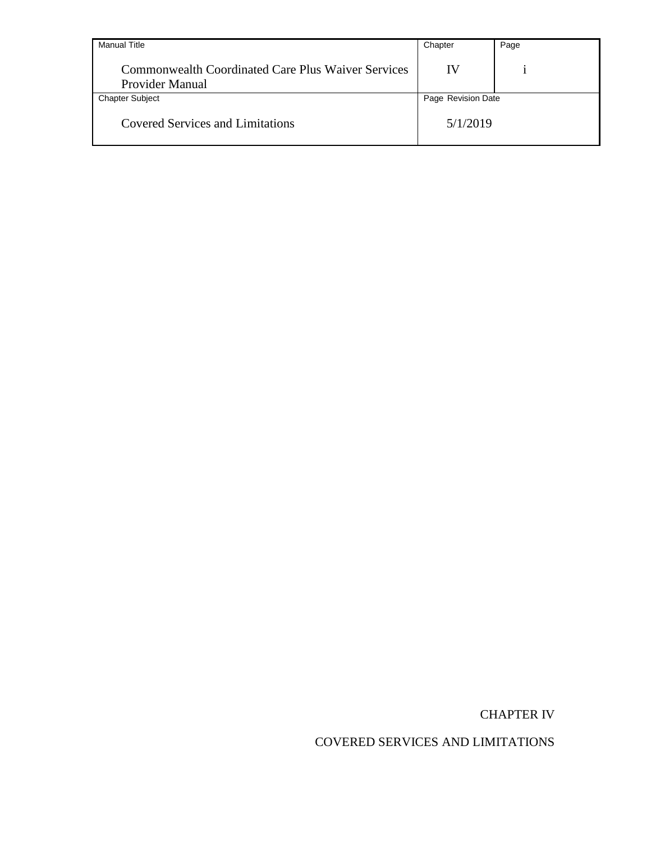| <b>Manual Title</b>                                                          | Chapter            | Page |
|------------------------------------------------------------------------------|--------------------|------|
| <b>Commonwealth Coordinated Care Plus Waiver Services</b><br>Provider Manual | IV                 |      |
| <b>Chapter Subject</b>                                                       | Page Revision Date |      |
| <b>Covered Services and Limitations</b>                                      | 5/1/2019           |      |

CHAPTER IV

COVERED SERVICES AND LIMITATIONS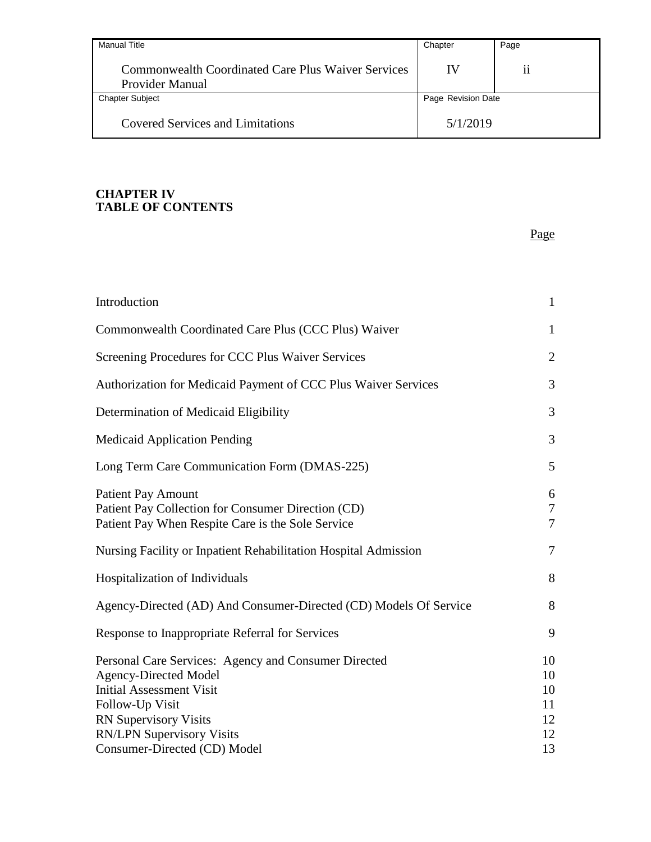| <b>Manual Title</b>                                                          | Chapter            | Page |
|------------------------------------------------------------------------------|--------------------|------|
| <b>Commonwealth Coordinated Care Plus Waiver Services</b><br>Provider Manual | IV                 | ii   |
| <b>Chapter Subject</b>                                                       | Page Revision Date |      |
| <b>Covered Services and Limitations</b>                                      | 5/1/2019           |      |

Page

#### **CHAPTER IV TABLE OF CONTENTS**

**[Introduction](#page-5-0)**[Commonwealth Coordinated Care Plus \(CCC Plus\) Waiver](#page-5-1)[Screening Procedures for CCC Plus Waiver Services](#page-6-0)[Authorization for Medicaid Payment of CCC Plus Waiver Services](#page-7-0)[Determination of Medicaid Eligibility](#page-7-1)[Medicaid Application Pending](#page-7-2)[Long Term Care Communication Form \(DMAS-225\)](#page-9-0)Patient Pay [Amount](#page-10-0) 6 [Patient Pay Collection for Consumer Direction \(CD\)](#page-11-0)[Patient Pay When Respite Care is the Sole Service](#page-11-1)[Nursing Facility or Inpatient Rehabilitation Hospital Admission](#page-11-2) 7 [Hospitalization of Individuals](#page-12-0)[Agency-Directed \(AD\) And Consumer-Directed \(CD\) Models Of Service](#page-12-1) 8 [Response to Inappropriate Referral for Services](#page-13-0)[Personal Care Services: Agency and Consumer Directed](#page-14-0)[Agency-Directed Model](#page-14-1)[Initial Assessment Visit](#page-14-2)[Follow-Up Visit](#page-15-0)RN [Supervisory Visits](#page-16-0)RN/LPN [Supervisory Visits](#page-16-1)[Consumer-Directed \(CD\) Model](#page-17-0)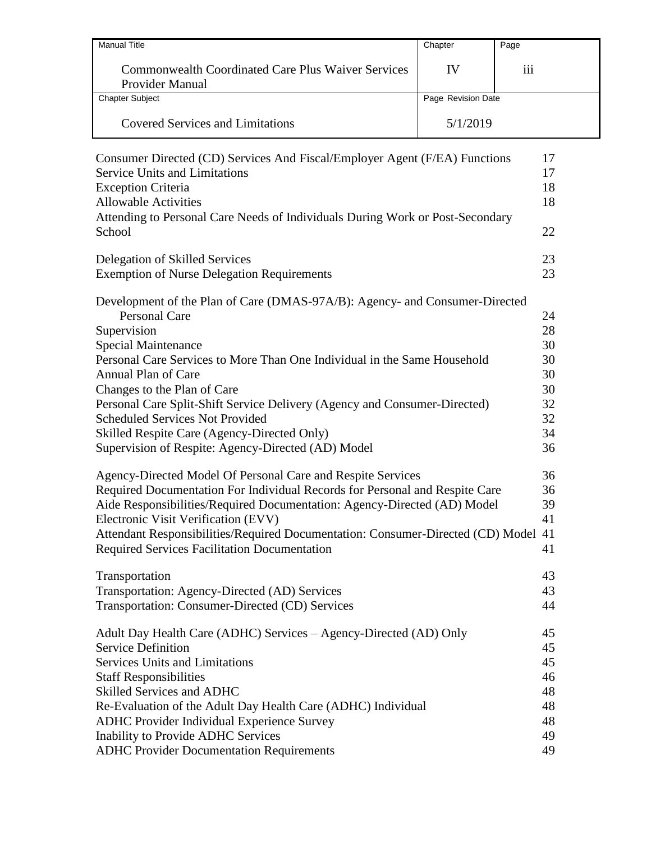| <b>Manual Title</b>                                                          | Chapter            | Page            |
|------------------------------------------------------------------------------|--------------------|-----------------|
| <b>Commonwealth Coordinated Care Plus Waiver Services</b><br>Provider Manual | IV                 | $\cdots$<br>111 |
| <b>Chapter Subject</b>                                                       | Page Revision Date |                 |
| <b>Covered Services and Limitations</b>                                      | 5/1/2019           |                 |

| Consumer Directed (CD) Services And Fiscal/Employer Agent (F/EA) Functions<br><b>Service Units and Limitations</b><br><b>Exception Criteria</b><br><b>Allowable Activities</b><br>Attending to Personal Care Needs of Individuals During Work or Post-Secondary<br>School                                                                                                                                                                                                                                      | 17<br>17<br>18<br>18<br>22                               |
|----------------------------------------------------------------------------------------------------------------------------------------------------------------------------------------------------------------------------------------------------------------------------------------------------------------------------------------------------------------------------------------------------------------------------------------------------------------------------------------------------------------|----------------------------------------------------------|
| Delegation of Skilled Services                                                                                                                                                                                                                                                                                                                                                                                                                                                                                 | 23                                                       |
| <b>Exemption of Nurse Delegation Requirements</b>                                                                                                                                                                                                                                                                                                                                                                                                                                                              | 23                                                       |
| Development of the Plan of Care (DMAS-97A/B): Agency- and Consumer-Directed<br><b>Personal Care</b><br>Supervision<br><b>Special Maintenance</b><br>Personal Care Services to More Than One Individual in the Same Household<br>Annual Plan of Care<br>Changes to the Plan of Care<br>Personal Care Split-Shift Service Delivery (Agency and Consumer-Directed)<br><b>Scheduled Services Not Provided</b><br>Skilled Respite Care (Agency-Directed Only)<br>Supervision of Respite: Agency-Directed (AD) Model | 24<br>28<br>30<br>30<br>30<br>30<br>32<br>32<br>34<br>36 |
| Agency-Directed Model Of Personal Care and Respite Services                                                                                                                                                                                                                                                                                                                                                                                                                                                    | 36                                                       |
| Required Documentation For Individual Records for Personal and Respite Care                                                                                                                                                                                                                                                                                                                                                                                                                                    | 36                                                       |
| Aide Responsibilities/Required Documentation: Agency-Directed (AD) Model                                                                                                                                                                                                                                                                                                                                                                                                                                       | 39                                                       |
| Electronic Visit Verification (EVV)                                                                                                                                                                                                                                                                                                                                                                                                                                                                            | 41                                                       |
| Attendant Responsibilities/Required Documentation: Consumer-Directed (CD) Model                                                                                                                                                                                                                                                                                                                                                                                                                                | 41                                                       |
| <b>Required Services Facilitation Documentation</b>                                                                                                                                                                                                                                                                                                                                                                                                                                                            | 41                                                       |
| Transportation                                                                                                                                                                                                                                                                                                                                                                                                                                                                                                 | 43                                                       |
| Transportation: Agency-Directed (AD) Services                                                                                                                                                                                                                                                                                                                                                                                                                                                                  | 43                                                       |
| Transportation: Consumer-Directed (CD) Services                                                                                                                                                                                                                                                                                                                                                                                                                                                                | 44                                                       |
| Adult Day Health Care (ADHC) Services – Agency-Directed (AD) Only                                                                                                                                                                                                                                                                                                                                                                                                                                              | 45                                                       |
| <b>Service Definition</b>                                                                                                                                                                                                                                                                                                                                                                                                                                                                                      | 45                                                       |
| <b>Services Units and Limitations</b>                                                                                                                                                                                                                                                                                                                                                                                                                                                                          | 45                                                       |
| <b>Staff Responsibilities</b>                                                                                                                                                                                                                                                                                                                                                                                                                                                                                  | 46                                                       |
| Skilled Services and ADHC                                                                                                                                                                                                                                                                                                                                                                                                                                                                                      | 48                                                       |
| Re-Evaluation of the Adult Day Health Care (ADHC) Individual                                                                                                                                                                                                                                                                                                                                                                                                                                                   | 48                                                       |
| <b>ADHC Provider Individual Experience Survey</b>                                                                                                                                                                                                                                                                                                                                                                                                                                                              | 48                                                       |
| Inability to Provide ADHC Services                                                                                                                                                                                                                                                                                                                                                                                                                                                                             | 49                                                       |
| <b>ADHC Provider Documentation Requirements</b>                                                                                                                                                                                                                                                                                                                                                                                                                                                                | 49                                                       |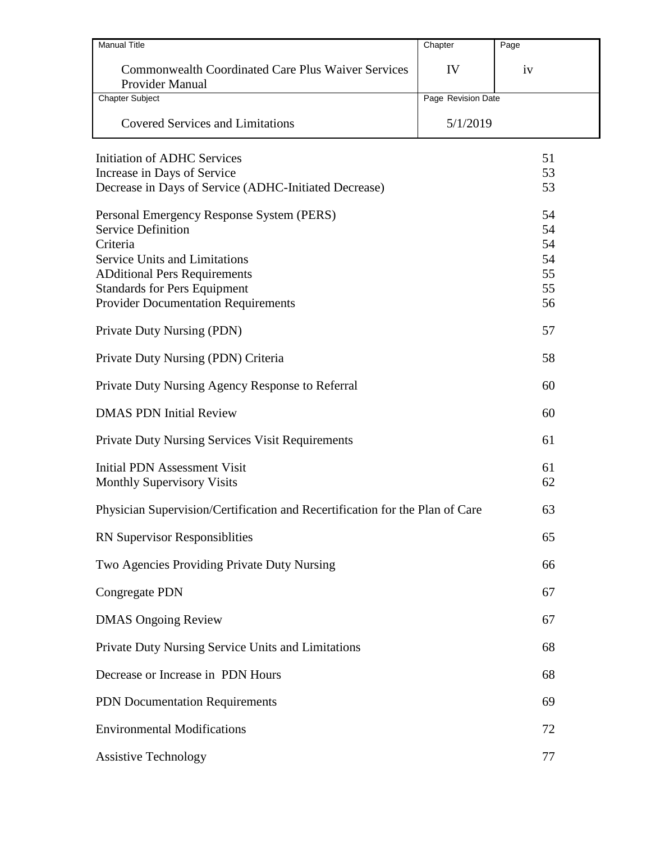| <b>Manual Title</b>                                                                 | Chapter            | Page     |
|-------------------------------------------------------------------------------------|--------------------|----------|
| <b>Commonwealth Coordinated Care Plus Waiver Services</b><br><b>Provider Manual</b> | IV                 | iv       |
| <b>Chapter Subject</b>                                                              | Page Revision Date |          |
| <b>Covered Services and Limitations</b>                                             | 5/1/2019           |          |
| <b>Initiation of ADHC Services</b>                                                  |                    | 51       |
| Increase in Days of Service                                                         |                    | 53       |
| Decrease in Days of Service (ADHC-Initiated Decrease)                               |                    | 53       |
| Personal Emergency Response System (PERS)                                           |                    | 54       |
| <b>Service Definition</b>                                                           |                    | 54       |
| Criteria<br><b>Service Units and Limitations</b>                                    |                    | 54<br>54 |
| <b>ADditional Pers Requirements</b>                                                 |                    | 55       |
| <b>Standards for Pers Equipment</b>                                                 |                    | 55       |
| <b>Provider Documentation Requirements</b>                                          |                    | 56       |
| Private Duty Nursing (PDN)                                                          |                    | 57       |
| Private Duty Nursing (PDN) Criteria                                                 |                    | 58       |
| Private Duty Nursing Agency Response to Referral                                    |                    | 60       |
| <b>DMAS PDN Initial Review</b>                                                      |                    | 60       |
| <b>Private Duty Nursing Services Visit Requirements</b>                             |                    | 61       |
| <b>Initial PDN Assessment Visit</b><br><b>Monthly Supervisory Visits</b>            |                    | 61<br>62 |
| Physician Supervision/Certification and Recertification for the Plan of Care        |                    | 63       |
| <b>RN Supervisor Responsiblities</b>                                                |                    | 65       |
| Two Agencies Providing Private Duty Nursing                                         |                    | 66       |
| <b>Congregate PDN</b>                                                               |                    | 67       |
| <b>DMAS Ongoing Review</b>                                                          |                    | 67       |
| Private Duty Nursing Service Units and Limitations                                  |                    | 68       |
| Decrease or Increase in PDN Hours                                                   |                    | 68       |
| PDN Documentation Requirements                                                      |                    | 69       |
| <b>Environmental Modifications</b>                                                  |                    | 72       |
| <b>Assistive Technology</b>                                                         |                    | 77       |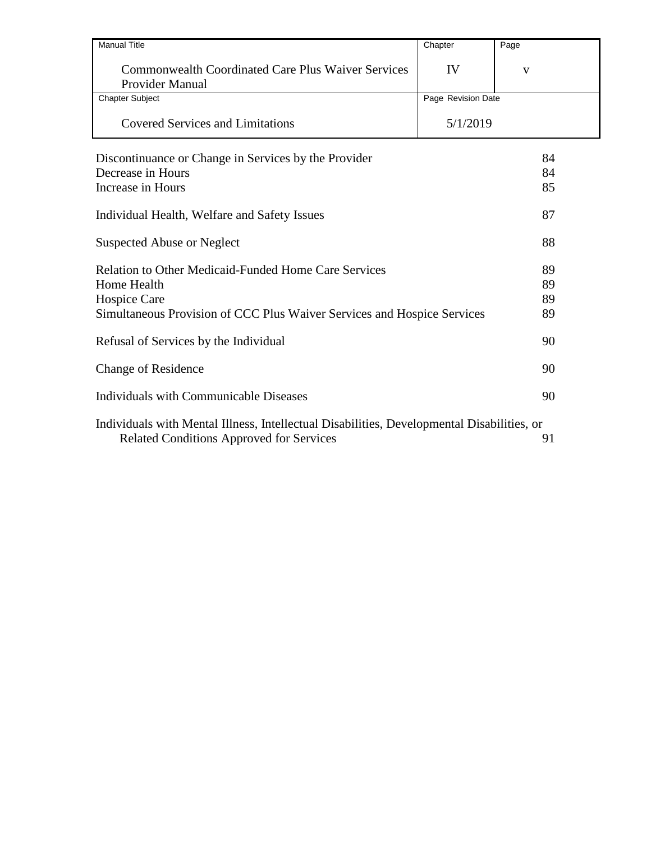| <b>Manual Title</b>                                                                                                                    | Chapter            | Page |
|----------------------------------------------------------------------------------------------------------------------------------------|--------------------|------|
| <b>Commonwealth Coordinated Care Plus Waiver Services</b><br>Provider Manual                                                           | IV                 | V    |
| <b>Chapter Subject</b>                                                                                                                 | Page Revision Date |      |
| <b>Covered Services and Limitations</b>                                                                                                | 5/1/2019           |      |
| Discontinuance or Change in Services by the Provider                                                                                   |                    | 84   |
| Decrease in Hours                                                                                                                      |                    | 84   |
| Increase in Hours                                                                                                                      |                    | 85   |
| Individual Health, Welfare and Safety Issues                                                                                           |                    | 87   |
| <b>Suspected Abuse or Neglect</b>                                                                                                      |                    | 88   |
| <b>Relation to Other Medicaid-Funded Home Care Services</b>                                                                            |                    | 89   |
| <b>Home Health</b>                                                                                                                     |                    | 89   |
| Hospice Care                                                                                                                           |                    | 89   |
| Simultaneous Provision of CCC Plus Waiver Services and Hospice Services                                                                |                    | 89   |
| Refusal of Services by the Individual                                                                                                  |                    | 90   |
| <b>Change of Residence</b>                                                                                                             |                    | 90   |
| Individuals with Communicable Diseases                                                                                                 |                    | 90   |
| Individuals with Mental Illness, Intellectual Disabilities, Developmental Disabilities, or<br>Related Conditions Approved for Services |                    | 91   |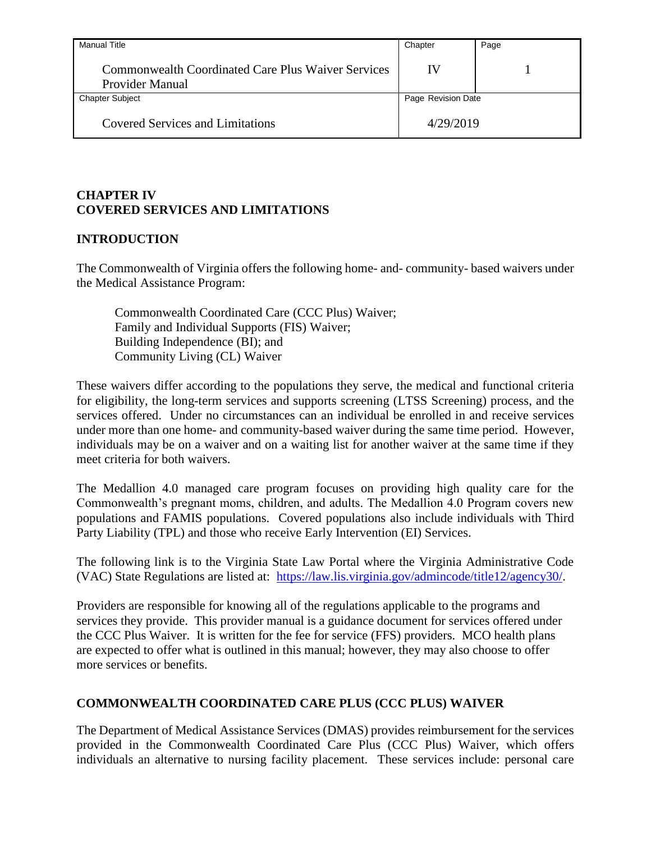| Manual Title                                                                 | Chapter            | Page |
|------------------------------------------------------------------------------|--------------------|------|
| <b>Commonwealth Coordinated Care Plus Waiver Services</b><br>Provider Manual | IV                 |      |
| <b>Chapter Subject</b>                                                       | Page Revision Date |      |
| <b>Covered Services and Limitations</b>                                      | 4/29/2019          |      |

# **CHAPTER IV COVERED SERVICES AND LIMITATIONS**

# <span id="page-5-0"></span>**INTRODUCTION**

The Commonwealth of Virginia offers the following home- and- community- based waivers under the Medical Assistance Program:

Commonwealth Coordinated Care (CCC Plus) Waiver; Family and Individual Supports (FIS) Waiver; Building Independence (BI); and Community Living (CL) Waiver

These waivers differ according to the populations they serve, the medical and functional criteria for eligibility, the long-term services and supports screening (LTSS Screening) process, and the services offered. Under no circumstances can an individual be enrolled in and receive services under more than one home- and community-based waiver during the same time period. However, individuals may be on a waiver and on a waiting list for another waiver at the same time if they meet criteria for both waivers.

The Medallion 4.0 managed care program focuses on providing high quality care for the Commonwealth's pregnant moms, children, and adults. The Medallion 4.0 Program covers new populations and FAMIS populations. Covered populations also include individuals with Third Party Liability (TPL) and those who receive Early Intervention (EI) Services.

The following link is to the Virginia State Law Portal where the Virginia Administrative Code (VAC) State Regulations are listed at: [https://law.lis.virginia.gov/admincode/title12/agency30/.](https://law.lis.virginia.gov/admincode/title12/agency30/)

Providers are responsible for knowing all of the regulations applicable to the programs and services they provide. This provider manual is a guidance document for services offered under the CCC Plus Waiver. It is written for the fee for service (FFS) providers. MCO health plans are expected to offer what is outlined in this manual; however, they may also choose to offer more services or benefits.

### <span id="page-5-1"></span>**COMMONWEALTH COORDINATED CARE PLUS (CCC PLUS) WAIVER**

The Department of Medical Assistance Services (DMAS) provides reimbursement for the services provided in the Commonwealth Coordinated Care Plus (CCC Plus) Waiver, which offers individuals an alternative to nursing facility placement. These services include: personal care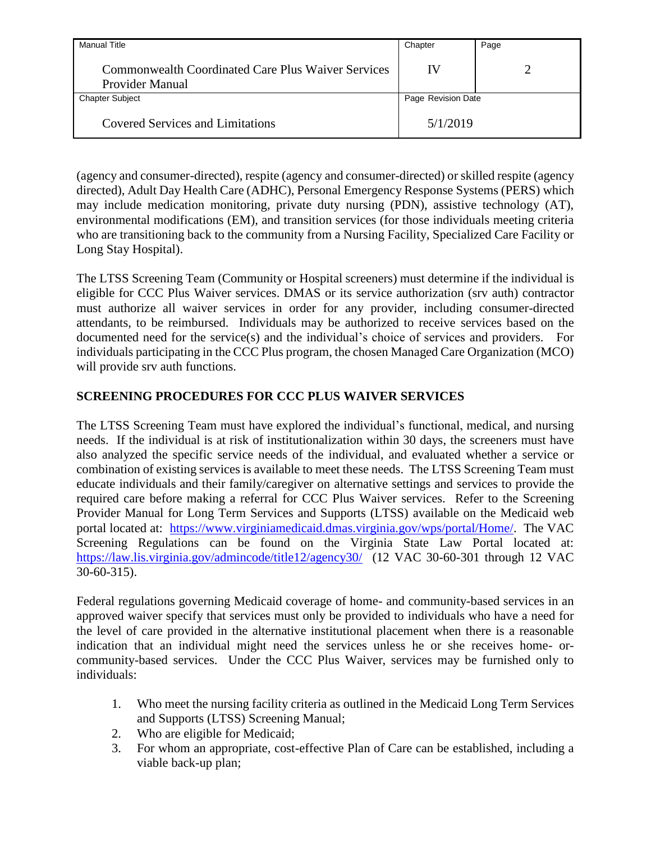| <b>Manual Title</b>                                                          | Chapter            | Page |
|------------------------------------------------------------------------------|--------------------|------|
| <b>Commonwealth Coordinated Care Plus Waiver Services</b><br>Provider Manual | IV                 |      |
| <b>Chapter Subject</b>                                                       | Page Revision Date |      |
| <b>Covered Services and Limitations</b>                                      | 5/1/2019           |      |

(agency and consumer-directed), respite (agency and consumer-directed) or skilled respite (agency directed), Adult Day Health Care (ADHC), Personal Emergency Response Systems (PERS) which may include medication monitoring, private duty nursing (PDN), assistive technology (AT), environmental modifications (EM), and transition services (for those individuals meeting criteria who are transitioning back to the community from a Nursing Facility, Specialized Care Facility or Long Stay Hospital).

The LTSS Screening Team (Community or Hospital screeners) must determine if the individual is eligible for CCC Plus Waiver services. DMAS or its service authorization (srv auth) contractor must authorize all waiver services in order for any provider, including consumer-directed attendants, to be reimbursed. Individuals may be authorized to receive services based on the documented need for the service(s) and the individual's choice of services and providers. For individuals participating in the CCC Plus program, the chosen Managed Care Organization (MCO) will provide srv auth functions.

# <span id="page-6-0"></span>**SCREENING PROCEDURES FOR CCC PLUS WAIVER SERVICES**

The LTSS Screening Team must have explored the individual's functional, medical, and nursing needs. If the individual is at risk of institutionalization within 30 days, the screeners must have also analyzed the specific service needs of the individual, and evaluated whether a service or combination of existing services is available to meet these needs. The LTSS Screening Team must educate individuals and their family/caregiver on alternative settings and services to provide the required care before making a referral for CCC Plus Waiver services. Refer to the Screening Provider Manual for Long Term Services and Supports (LTSS) available on the Medicaid web portal located at: [https://www.virginiamedicaid.dmas.virginia.gov/wps/portal/Home/.](https://www.virginiamedicaid.dmas.virginia.gov/wps/portal/Home/) The VAC Screening Regulations can be found on the Virginia State Law Portal located at: <https://law.lis.virginia.gov/admincode/title12/agency30/>(12 VAC 30-60-301 through 12 VAC 30-60-315).

Federal regulations governing Medicaid coverage of home- and community-based services in an approved waiver specify that services must only be provided to individuals who have a need for the level of care provided in the alternative institutional placement when there is a reasonable indication that an individual might need the services unless he or she receives home- orcommunity-based services. Under the CCC Plus Waiver, services may be furnished only to individuals:

- 1. Who meet the nursing facility criteria as outlined in the Medicaid Long Term Services and Supports (LTSS) Screening Manual;
- 2. Who are eligible for Medicaid;
- 3. For whom an appropriate, cost-effective Plan of Care can be established, including a viable back-up plan;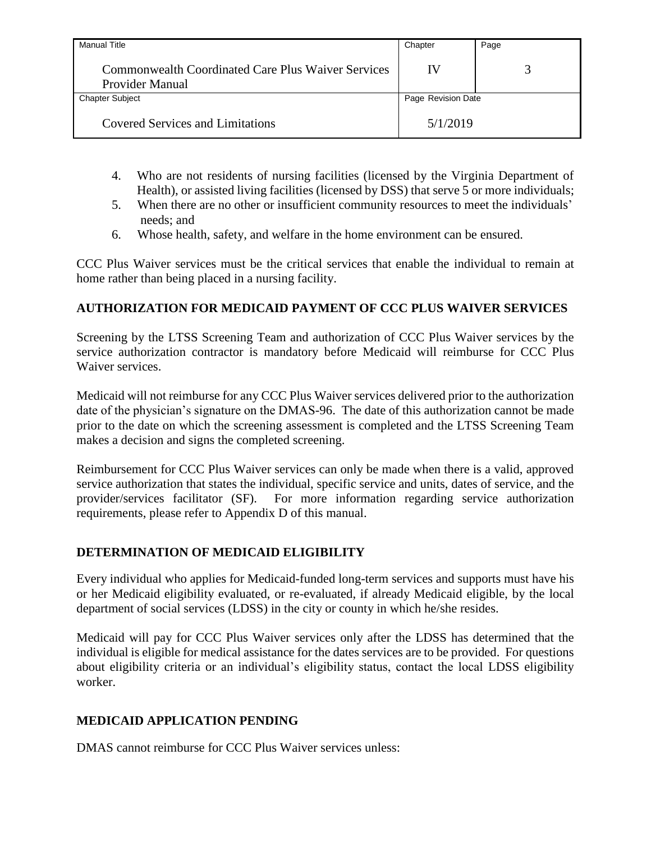| <b>Manual Title</b>                                                          | Chapter            | Page |
|------------------------------------------------------------------------------|--------------------|------|
| <b>Commonwealth Coordinated Care Plus Waiver Services</b><br>Provider Manual | IV                 |      |
| <b>Chapter Subject</b>                                                       | Page Revision Date |      |
| <b>Covered Services and Limitations</b>                                      | 5/1/2019           |      |

- 4. Who are not residents of nursing facilities (licensed by the Virginia Department of Health), or assisted living facilities (licensed by DSS) that serve 5 or more individuals;
- 5. When there are no other or insufficient community resources to meet the individuals' needs; and
- 6. Whose health, safety, and welfare in the home environment can be ensured.

CCC Plus Waiver services must be the critical services that enable the individual to remain at home rather than being placed in a nursing facility.

# <span id="page-7-0"></span>**AUTHORIZATION FOR MEDICAID PAYMENT OF CCC PLUS WAIVER SERVICES**

Screening by the LTSS Screening Team and authorization of CCC Plus Waiver services by the service authorization contractor is mandatory before Medicaid will reimburse for CCC Plus Waiver services.

Medicaid will not reimburse for any CCC Plus Waiver services delivered prior to the authorization date of the physician's signature on the DMAS-96. The date of this authorization cannot be made prior to the date on which the screening assessment is completed and the LTSS Screening Team makes a decision and signs the completed screening.

Reimbursement for CCC Plus Waiver services can only be made when there is a valid, approved service authorization that states the individual, specific service and units, dates of service, and the provider/services facilitator (SF). For more information regarding service authorization requirements, please refer to Appendix D of this manual.

# <span id="page-7-1"></span>**DETERMINATION OF MEDICAID ELIGIBILITY**

Every individual who applies for Medicaid-funded long-term services and supports must have his or her Medicaid eligibility evaluated, or re-evaluated, if already Medicaid eligible, by the local department of social services (LDSS) in the city or county in which he/she resides.

Medicaid will pay for CCC Plus Waiver services only after the LDSS has determined that the individual is eligible for medical assistance for the dates services are to be provided. For questions about eligibility criteria or an individual's eligibility status, contact the local LDSS eligibility worker.

# <span id="page-7-2"></span>**MEDICAID APPLICATION PENDING**

DMAS cannot reimburse for CCC Plus Waiver services unless: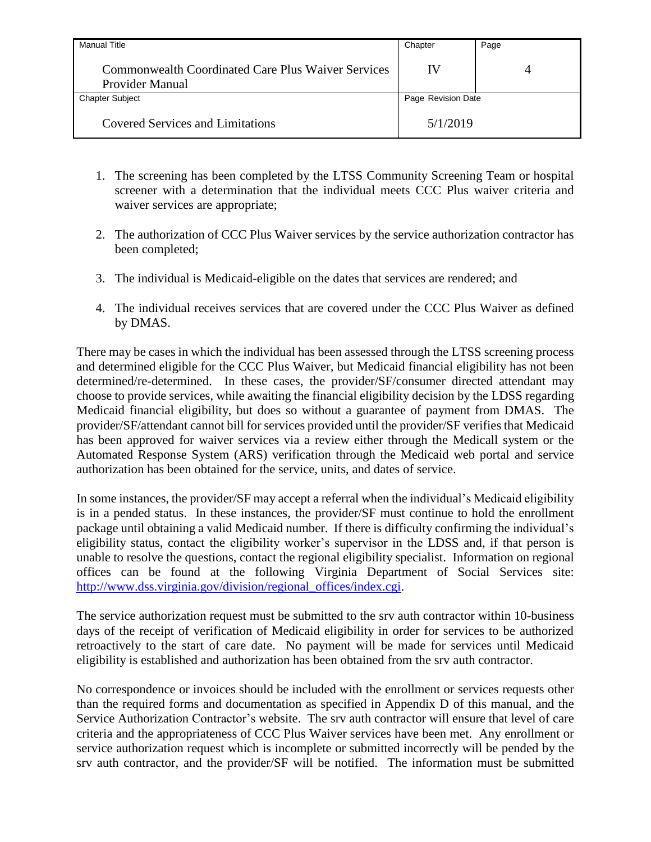| <b>Manual Title</b>                                                          | Chapter            | Page |
|------------------------------------------------------------------------------|--------------------|------|
| <b>Commonwealth Coordinated Care Plus Waiver Services</b><br>Provider Manual | IV                 | 4    |
| <b>Chapter Subject</b>                                                       | Page Revision Date |      |
| <b>Covered Services and Limitations</b>                                      | 5/1/2019           |      |

- 1. The screening has been completed by the LTSS Community Screening Team or hospital screener with a determination that the individual meets CCC Plus waiver criteria and waiver services are appropriate;
- 2. The authorization of CCC Plus Waiver services by the service authorization contractor has been completed;
- 3. The individual is Medicaid-eligible on the dates that services are rendered; and
- 4. The individual receives services that are covered under the CCC Plus Waiver as defined by DMAS.

There may be cases in which the individual has been assessed through the LTSS screening process and determined eligible for the CCC Plus Waiver, but Medicaid financial eligibility has not been determined/re-determined. In these cases, the provider/SF/consumer directed attendant may choose to provide services, while awaiting the financial eligibility decision by the LDSS regarding Medicaid financial eligibility, but does so without a guarantee of payment from DMAS. The provider/SF/attendant cannot bill for services provided until the provider/SF verifies that Medicaid has been approved for waiver services via a review either through the Medicall system or the Automated Response System (ARS) verification through the Medicaid web portal and service authorization has been obtained for the service, units, and dates of service.

In some instances, the provider/SF may accept a referral when the individual's Medicaid eligibility is in a pended status. In these instances, the provider/SF must continue to hold the enrollment package until obtaining a valid Medicaid number. If there is difficulty confirming the individual's eligibility status, contact the eligibility worker's supervisor in the LDSS and, if that person is unable to resolve the questions, contact the regional eligibility specialist. Information on regional offices can be found at the following Virginia Department of Social Services site: [http://www.dss.virginia.gov/division/regional\\_offices/index.cgi.](http://www.dss.virginia.gov/division/regional_offices/index.cgi)

The service authorization request must be submitted to the srv auth contractor within 10-business days of the receipt of verification of Medicaid eligibility in order for services to be authorized retroactively to the start of care date. No payment will be made for services until Medicaid eligibility is established and authorization has been obtained from the srv auth contractor.

No correspondence or invoices should be included with the enrollment or services requests other than the required forms and documentation as specified in Appendix D of this manual, and the Service Authorization Contractor's website. The srv auth contractor will ensure that level of care criteria and the appropriateness of CCC Plus Waiver services have been met. Any enrollment or service authorization request which is incomplete or submitted incorrectly will be pended by the srv auth contractor, and the provider/SF will be notified. The information must be submitted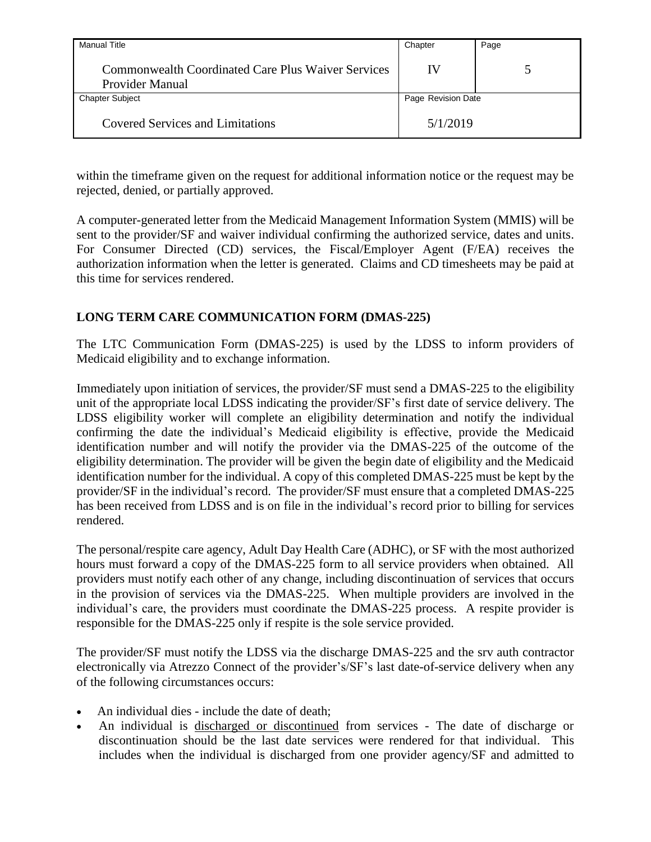| <b>Manual Title</b>                                                   | Chapter            | Page |
|-----------------------------------------------------------------------|--------------------|------|
| Commonwealth Coordinated Care Plus Waiver Services<br>Provider Manual | IV                 |      |
| <b>Chapter Subject</b>                                                | Page Revision Date |      |
| <b>Covered Services and Limitations</b>                               | 5/1/2019           |      |

within the timeframe given on the request for additional information notice or the request may be rejected, denied, or partially approved.

A computer-generated letter from the Medicaid Management Information System (MMIS) will be sent to the provider/SF and waiver individual confirming the authorized service, dates and units. For Consumer Directed (CD) services, the Fiscal/Employer Agent (F/EA) receives the authorization information when the letter is generated. Claims and CD timesheets may be paid at this time for services rendered.

# <span id="page-9-0"></span>**LONG TERM CARE COMMUNICATION FORM (DMAS-225)**

The LTC Communication Form (DMAS-225) is used by the LDSS to inform providers of Medicaid eligibility and to exchange information.

Immediately upon initiation of services, the provider/SF must send a DMAS-225 to the eligibility unit of the appropriate local LDSS indicating the provider/SF's first date of service delivery. The LDSS eligibility worker will complete an eligibility determination and notify the individual confirming the date the individual's Medicaid eligibility is effective, provide the Medicaid identification number and will notify the provider via the DMAS-225 of the outcome of the eligibility determination. The provider will be given the begin date of eligibility and the Medicaid identification number for the individual. A copy of this completed DMAS-225 must be kept by the provider/SF in the individual's record. The provider/SF must ensure that a completed DMAS-225 has been received from LDSS and is on file in the individual's record prior to billing for services rendered.

The personal/respite care agency, Adult Day Health Care (ADHC), or SF with the most authorized hours must forward a copy of the DMAS-225 form to all service providers when obtained. All providers must notify each other of any change, including discontinuation of services that occurs in the provision of services via the DMAS-225. When multiple providers are involved in the individual's care, the providers must coordinate the DMAS-225 process. A respite provider is responsible for the DMAS-225 only if respite is the sole service provided.

The provider/SF must notify the LDSS via the discharge DMAS-225 and the srv auth contractor electronically via Atrezzo Connect of the provider's/SF's last date-of-service delivery when any of the following circumstances occurs:

- An individual dies include the date of death;
- An individual is discharged or discontinued from services The date of discharge or discontinuation should be the last date services were rendered for that individual. This includes when the individual is discharged from one provider agency/SF and admitted to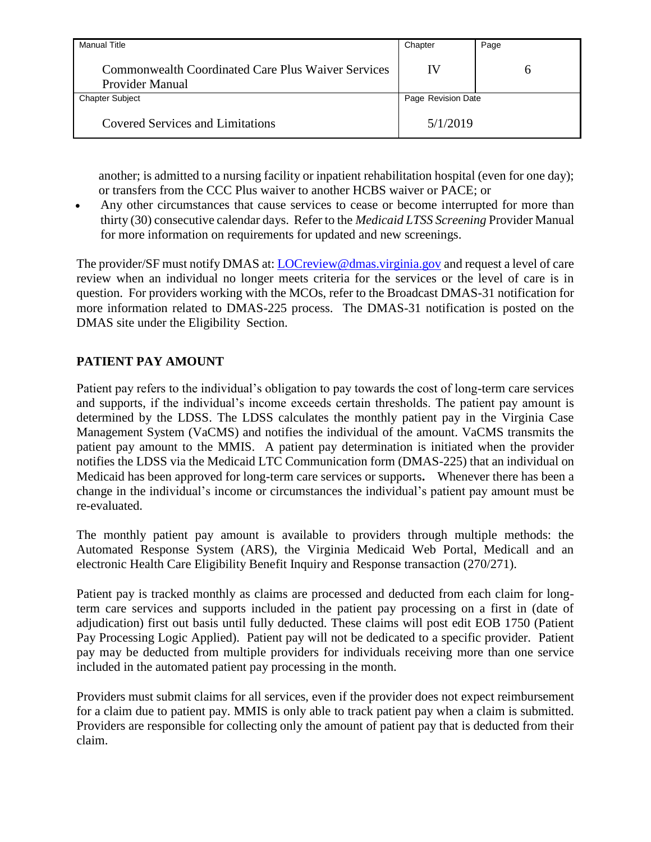| <b>Manual Title</b>                                                          | Chapter            | Page |
|------------------------------------------------------------------------------|--------------------|------|
| <b>Commonwealth Coordinated Care Plus Waiver Services</b><br>Provider Manual | IV                 |      |
| <b>Chapter Subject</b>                                                       | Page Revision Date |      |
| <b>Covered Services and Limitations</b>                                      | 5/1/2019           |      |

another; is admitted to a nursing facility or inpatient rehabilitation hospital (even for one day); or transfers from the CCC Plus waiver to another HCBS waiver or PACE; or

 Any other circumstances that cause services to cease or become interrupted for more than thirty (30) consecutive calendar days. Refer to the *Medicaid LTSS Screening* Provider Manual for more information on requirements for updated and new screenings.

The provider/SF must notify DMAS at: [LOCreview@dmas.virginia.gov](mailto:LOCreview@dmas.virginia.gov) and request a level of care review when an individual no longer meets criteria for the services or the level of care is in question. For providers working with the MCOs, refer to the Broadcast DMAS-31 notification for more information related to DMAS-225 process. The DMAS-31 notification is posted on the DMAS site under the Eligibility Section.

# <span id="page-10-0"></span>**PATIENT PAY AMOUNT**

Patient pay refers to the individual's obligation to pay towards the cost of long-term care services and supports, if the individual's income exceeds certain thresholds. The patient pay amount is determined by the LDSS. The LDSS calculates the monthly patient pay in the Virginia Case Management System (VaCMS) and notifies the individual of the amount. VaCMS transmits the patient pay amount to the MMIS. A patient pay determination is initiated when the provider notifies the LDSS via the Medicaid LTC Communication form (DMAS-225) that an individual on Medicaid has been approved for long-term care services or supports**.** Whenever there has been a change in the individual's income or circumstances the individual's patient pay amount must be re-evaluated.

The monthly patient pay amount is available to providers through multiple methods: the Automated Response System (ARS), the Virginia Medicaid Web Portal, Medicall and an electronic Health Care Eligibility Benefit Inquiry and Response transaction (270/271).

Patient pay is tracked monthly as claims are processed and deducted from each claim for longterm care services and supports included in the patient pay processing on a first in (date of adjudication) first out basis until fully deducted. These claims will post edit EOB 1750 (Patient Pay Processing Logic Applied). Patient pay will not be dedicated to a specific provider. Patient pay may be deducted from multiple providers for individuals receiving more than one service included in the automated patient pay processing in the month.

Providers must submit claims for all services, even if the provider does not expect reimbursement for a claim due to patient pay. MMIS is only able to track patient pay when a claim is submitted. Providers are responsible for collecting only the amount of patient pay that is deducted from their claim.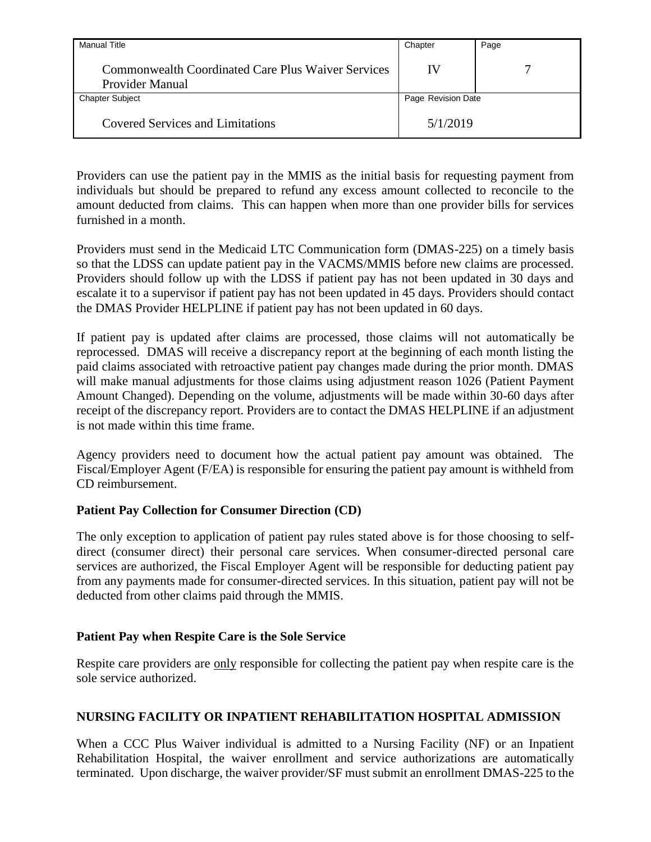| <b>Manual Title</b>                                                   | Chapter            | Page |
|-----------------------------------------------------------------------|--------------------|------|
| Commonwealth Coordinated Care Plus Waiver Services<br>Provider Manual | IV                 |      |
| <b>Chapter Subject</b>                                                | Page Revision Date |      |
| <b>Covered Services and Limitations</b>                               | 5/1/2019           |      |

Providers can use the patient pay in the MMIS as the initial basis for requesting payment from individuals but should be prepared to refund any excess amount collected to reconcile to the amount deducted from claims. This can happen when more than one provider bills for services furnished in a month.

Providers must send in the Medicaid LTC Communication form (DMAS-225) on a timely basis so that the LDSS can update patient pay in the VACMS/MMIS before new claims are processed. Providers should follow up with the LDSS if patient pay has not been updated in 30 days and escalate it to a supervisor if patient pay has not been updated in 45 days. Providers should contact the DMAS Provider HELPLINE if patient pay has not been updated in 60 days.

If patient pay is updated after claims are processed, those claims will not automatically be reprocessed. DMAS will receive a discrepancy report at the beginning of each month listing the paid claims associated with retroactive patient pay changes made during the prior month. DMAS will make manual adjustments for those claims using adjustment reason 1026 (Patient Payment Amount Changed). Depending on the volume, adjustments will be made within 30-60 days after receipt of the discrepancy report. Providers are to contact the DMAS HELPLINE if an adjustment is not made within this time frame.

Agency providers need to document how the actual patient pay amount was obtained. The Fiscal/Employer Agent (F/EA) is responsible for ensuring the patient pay amount is withheld from CD reimbursement.

### <span id="page-11-0"></span>**Patient Pay Collection for Consumer Direction (CD)**

The only exception to application of patient pay rules stated above is for those choosing to selfdirect (consumer direct) their personal care services. When consumer-directed personal care services are authorized, the Fiscal Employer Agent will be responsible for deducting patient pay from any payments made for consumer-directed services. In this situation, patient pay will not be deducted from other claims paid through the MMIS.

### <span id="page-11-1"></span>**Patient Pay when Respite Care is the Sole Service**

Respite care providers are only responsible for collecting the patient pay when respite care is the sole service authorized.

### <span id="page-11-2"></span>**NURSING FACILITY OR INPATIENT REHABILITATION HOSPITAL ADMISSION**

When a CCC Plus Waiver individual is admitted to a Nursing Facility (NF) or an Inpatient Rehabilitation Hospital, the waiver enrollment and service authorizations are automatically terminated. Upon discharge, the waiver provider/SF must submit an enrollment DMAS-225 to the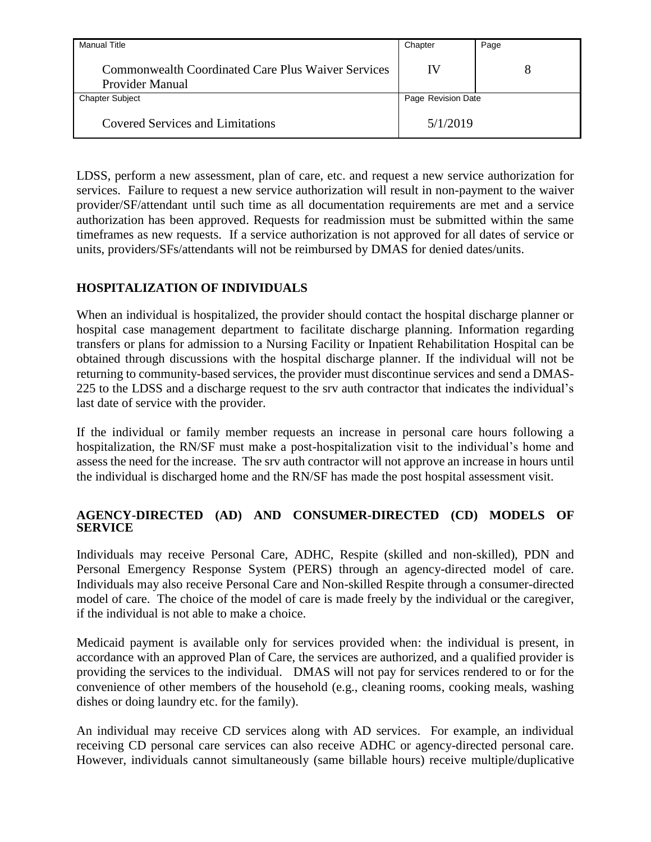| <b>Manual Title</b>                                                   | Chapter            | Page |
|-----------------------------------------------------------------------|--------------------|------|
| Commonwealth Coordinated Care Plus Waiver Services<br>Provider Manual | IV                 |      |
| <b>Chapter Subject</b>                                                | Page Revision Date |      |
| <b>Covered Services and Limitations</b>                               | 5/1/2019           |      |

LDSS, perform a new assessment, plan of care, etc. and request a new service authorization for services. Failure to request a new service authorization will result in non-payment to the waiver provider/SF/attendant until such time as all documentation requirements are met and a service authorization has been approved. Requests for readmission must be submitted within the same timeframes as new requests. If a service authorization is not approved for all dates of service or units, providers/SFs/attendants will not be reimbursed by DMAS for denied dates/units.

# <span id="page-12-0"></span>**HOSPITALIZATION OF INDIVIDUALS**

When an individual is hospitalized, the provider should contact the hospital discharge planner or hospital case management department to facilitate discharge planning. Information regarding transfers or plans for admission to a Nursing Facility or Inpatient Rehabilitation Hospital can be obtained through discussions with the hospital discharge planner. If the individual will not be returning to community-based services, the provider must discontinue services and send a DMAS-225 to the LDSS and a discharge request to the srv auth contractor that indicates the individual's last date of service with the provider.

If the individual or family member requests an increase in personal care hours following a hospitalization, the RN/SF must make a post-hospitalization visit to the individual's home and assess the need for the increase. The srv auth contractor will not approve an increase in hours until the individual is discharged home and the RN/SF has made the post hospital assessment visit.

### <span id="page-12-1"></span>**AGENCY-DIRECTED (AD) AND CONSUMER-DIRECTED (CD) MODELS OF SERVICE**

Individuals may receive Personal Care, ADHC, Respite (skilled and non-skilled), PDN and Personal Emergency Response System (PERS) through an agency-directed model of care. Individuals may also receive Personal Care and Non-skilled Respite through a consumer-directed model of care. The choice of the model of care is made freely by the individual or the caregiver, if the individual is not able to make a choice.

Medicaid payment is available only for services provided when: the individual is present, in accordance with an approved Plan of Care, the services are authorized, and a qualified provider is providing the services to the individual. DMAS will not pay for services rendered to or for the convenience of other members of the household (e.g., cleaning rooms, cooking meals, washing dishes or doing laundry etc. for the family).

An individual may receive CD services along with AD services. For example, an individual receiving CD personal care services can also receive ADHC or agency-directed personal care. However, individuals cannot simultaneously (same billable hours) receive multiple/duplicative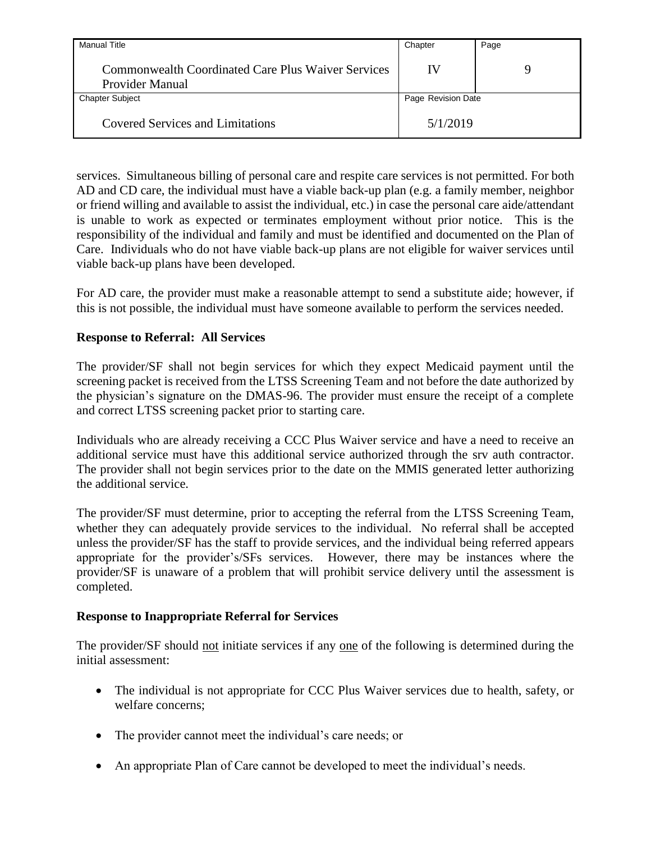| <b>Manual Title</b>                                                          | Chapter            | Page |
|------------------------------------------------------------------------------|--------------------|------|
| <b>Commonwealth Coordinated Care Plus Waiver Services</b><br>Provider Manual | IV                 | Q    |
| <b>Chapter Subject</b>                                                       | Page Revision Date |      |
| <b>Covered Services and Limitations</b>                                      | 5/1/2019           |      |

services. Simultaneous billing of personal care and respite care services is not permitted. For both AD and CD care, the individual must have a viable back-up plan (e.g. a family member, neighbor or friend willing and available to assist the individual, etc.) in case the personal care aide/attendant is unable to work as expected or terminates employment without prior notice. This is the responsibility of the individual and family and must be identified and documented on the Plan of Care. Individuals who do not have viable back-up plans are not eligible for waiver services until viable back-up plans have been developed.

For AD care, the provider must make a reasonable attempt to send a substitute aide; however, if this is not possible, the individual must have someone available to perform the services needed.

#### **Response to Referral: All Services**

The provider/SF shall not begin services for which they expect Medicaid payment until the screening packet is received from the LTSS Screening Team and not before the date authorized by the physician's signature on the DMAS-96. The provider must ensure the receipt of a complete and correct LTSS screening packet prior to starting care.

Individuals who are already receiving a CCC Plus Waiver service and have a need to receive an additional service must have this additional service authorized through the srv auth contractor. The provider shall not begin services prior to the date on the MMIS generated letter authorizing the additional service.

The provider/SF must determine, prior to accepting the referral from the LTSS Screening Team, whether they can adequately provide services to the individual. No referral shall be accepted unless the provider/SF has the staff to provide services, and the individual being referred appears appropriate for the provider's/SFs services. However, there may be instances where the provider/SF is unaware of a problem that will prohibit service delivery until the assessment is completed.

#### <span id="page-13-0"></span>**Response to Inappropriate Referral for Services**

The provider/SF should not initiate services if any one of the following is determined during the initial assessment:

- The individual is not appropriate for CCC Plus Waiver services due to health, safety, or welfare concerns;
- The provider cannot meet the individual's care needs; or
- An appropriate Plan of Care cannot be developed to meet the individual's needs.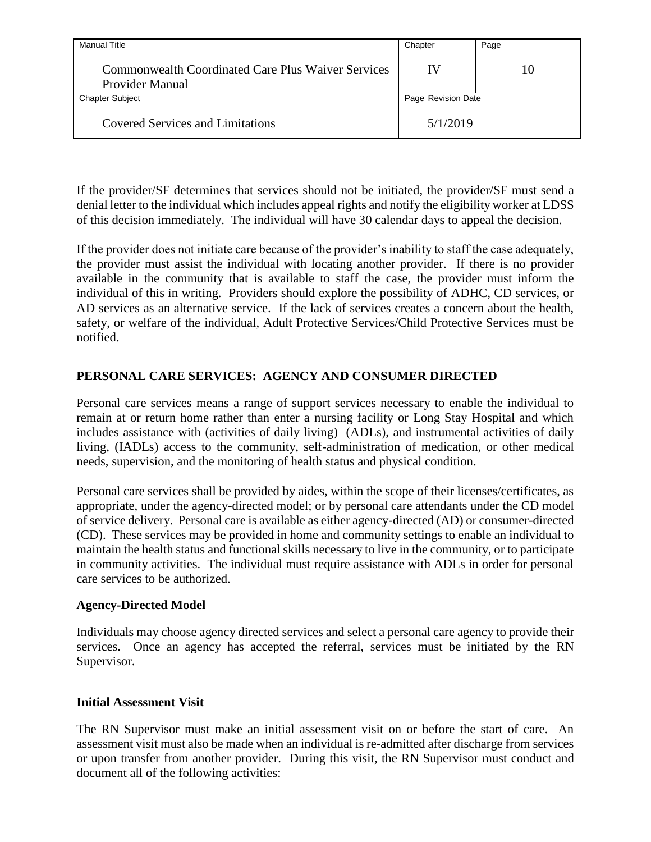| <b>Manual Title</b>                                                          | Chapter            | Page |
|------------------------------------------------------------------------------|--------------------|------|
| <b>Commonwealth Coordinated Care Plus Waiver Services</b><br>Provider Manual | IV                 | 10   |
| <b>Chapter Subject</b>                                                       | Page Revision Date |      |
| <b>Covered Services and Limitations</b>                                      | 5/1/2019           |      |

If the provider/SF determines that services should not be initiated, the provider/SF must send a denial letter to the individual which includes appeal rights and notify the eligibility worker at LDSS of this decision immediately. The individual will have 30 calendar days to appeal the decision.

If the provider does not initiate care because of the provider's inability to staff the case adequately, the provider must assist the individual with locating another provider. If there is no provider available in the community that is available to staff the case, the provider must inform the individual of this in writing. Providers should explore the possibility of ADHC, CD services, or AD services as an alternative service. If the lack of services creates a concern about the health, safety, or welfare of the individual, Adult Protective Services/Child Protective Services must be notified.

# <span id="page-14-0"></span>**PERSONAL CARE SERVICES: AGENCY AND CONSUMER DIRECTED**

Personal care services means a range of support services necessary to enable the individual to remain at or return home rather than enter a nursing facility or Long Stay Hospital and which includes assistance with (activities of daily living) (ADLs), and instrumental activities of daily living, (IADLs) access to the community, self-administration of medication, or other medical needs, supervision, and the monitoring of health status and physical condition.

Personal care services shall be provided by aides, within the scope of their licenses/certificates, as appropriate, under the agency-directed model; or by personal care attendants under the CD model of service delivery. Personal care is available as either agency-directed (AD) or consumer-directed (CD). These services may be provided in home and community settings to enable an individual to maintain the health status and functional skills necessary to live in the community, or to participate in community activities. The individual must require assistance with ADLs in order for personal care services to be authorized.

### <span id="page-14-1"></span>**Agency-Directed Model**

Individuals may choose agency directed services and select a personal care agency to provide their services. Once an agency has accepted the referral, services must be initiated by the RN Supervisor.

### <span id="page-14-2"></span>**Initial Assessment Visit**

The RN Supervisor must make an initial assessment visit on or before the start of care. An assessment visit must also be made when an individual is re-admitted after discharge from services or upon transfer from another provider. During this visit, the RN Supervisor must conduct and document all of the following activities: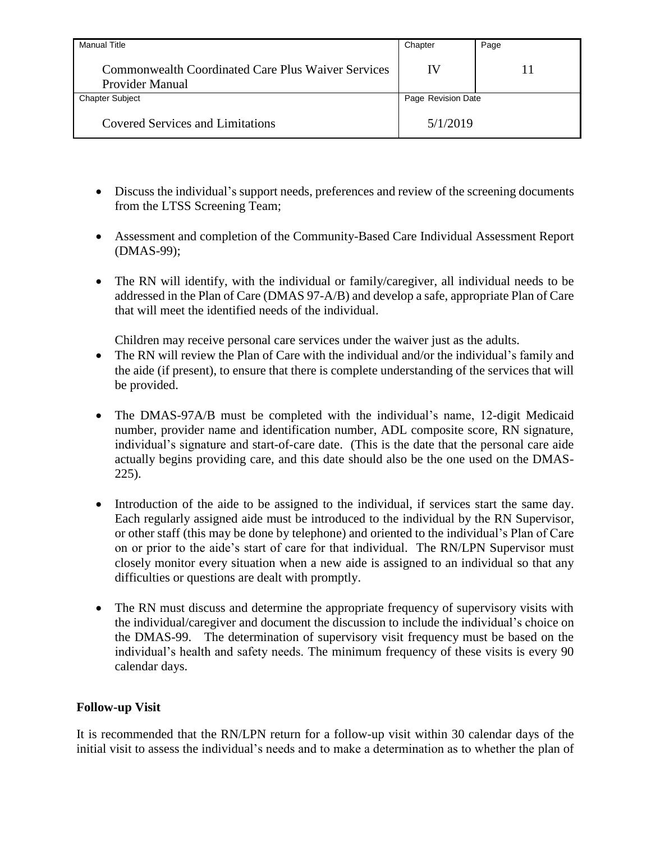| Manual Title                                                                        | Chapter            | Page |
|-------------------------------------------------------------------------------------|--------------------|------|
| <b>Commonwealth Coordinated Care Plus Waiver Services</b><br><b>Provider Manual</b> | IV                 | 11   |
| <b>Chapter Subject</b>                                                              | Page Revision Date |      |
| <b>Covered Services and Limitations</b>                                             | 5/1/2019           |      |

- Discuss the individual's support needs, preferences and review of the screening documents from the LTSS Screening Team;
- Assessment and completion of the Community-Based Care Individual Assessment Report (DMAS-99);
- The RN will identify, with the individual or family/caregiver, all individual needs to be addressed in the Plan of Care (DMAS 97-A/B) and develop a safe, appropriate Plan of Care that will meet the identified needs of the individual.

Children may receive personal care services under the waiver just as the adults.

- The RN will review the Plan of Care with the individual and/or the individual's family and the aide (if present), to ensure that there is complete understanding of the services that will be provided.
- The DMAS-97A/B must be completed with the individual's name, 12-digit Medicaid number, provider name and identification number, ADL composite score, RN signature, individual's signature and start-of-care date. (This is the date that the personal care aide actually begins providing care, and this date should also be the one used on the DMAS-225).
- Introduction of the aide to be assigned to the individual, if services start the same day. Each regularly assigned aide must be introduced to the individual by the RN Supervisor, or other staff (this may be done by telephone) and oriented to the individual's Plan of Care on or prior to the aide's start of care for that individual. The RN/LPN Supervisor must closely monitor every situation when a new aide is assigned to an individual so that any difficulties or questions are dealt with promptly.
- The RN must discuss and determine the appropriate frequency of supervisory visits with the individual/caregiver and document the discussion to include the individual's choice on the DMAS-99. The determination of supervisory visit frequency must be based on the individual's health and safety needs. The minimum frequency of these visits is every 90 calendar days.

### <span id="page-15-0"></span>**Follow-up Visit**

It is recommended that the RN/LPN return for a follow-up visit within 30 calendar days of the initial visit to assess the individual's needs and to make a determination as to whether the plan of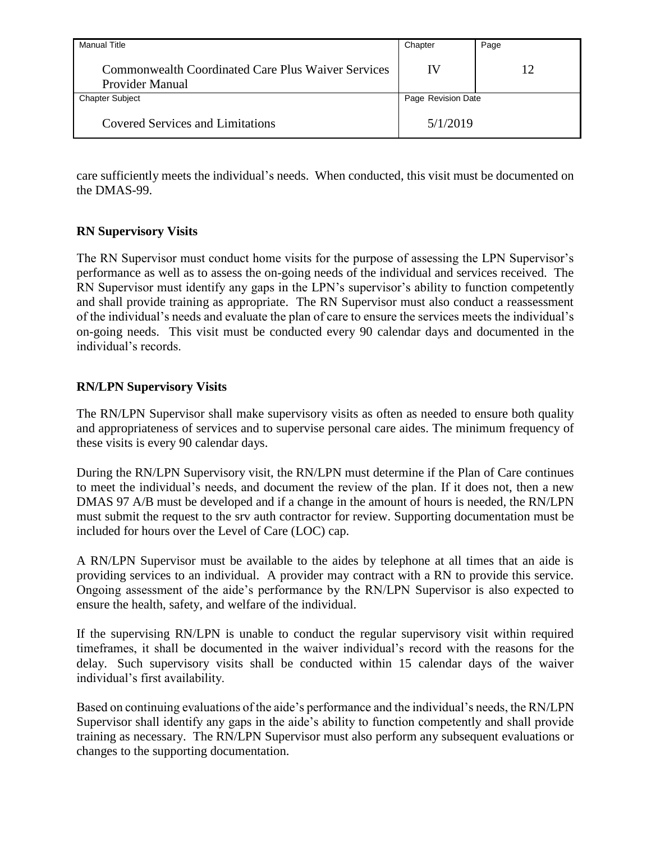| Manual Title                                                          | Chapter            | Page |
|-----------------------------------------------------------------------|--------------------|------|
| Commonwealth Coordinated Care Plus Waiver Services<br>Provider Manual | IV                 |      |
| <b>Chapter Subject</b>                                                | Page Revision Date |      |
| <b>Covered Services and Limitations</b>                               | 5/1/2019           |      |

care sufficiently meets the individual's needs. When conducted, this visit must be documented on the DMAS-99.

### <span id="page-16-0"></span>**RN Supervisory Visits**

The RN Supervisor must conduct home visits for the purpose of assessing the LPN Supervisor's performance as well as to assess the on-going needs of the individual and services received. The RN Supervisor must identify any gaps in the LPN's supervisor's ability to function competently and shall provide training as appropriate. The RN Supervisor must also conduct a reassessment of the individual's needs and evaluate the plan of care to ensure the services meets the individual's on-going needs. This visit must be conducted every 90 calendar days and documented in the individual's records.

#### <span id="page-16-1"></span>**RN/LPN Supervisory Visits**

The RN/LPN Supervisor shall make supervisory visits as often as needed to ensure both quality and appropriateness of services and to supervise personal care aides. The minimum frequency of these visits is every 90 calendar days.

During the RN/LPN Supervisory visit, the RN/LPN must determine if the Plan of Care continues to meet the individual's needs, and document the review of the plan. If it does not, then a new DMAS 97 A/B must be developed and if a change in the amount of hours is needed, the RN/LPN must submit the request to the srv auth contractor for review. Supporting documentation must be included for hours over the Level of Care (LOC) cap.

A RN/LPN Supervisor must be available to the aides by telephone at all times that an aide is providing services to an individual. A provider may contract with a RN to provide this service. Ongoing assessment of the aide's performance by the RN/LPN Supervisor is also expected to ensure the health, safety, and welfare of the individual.

If the supervising RN/LPN is unable to conduct the regular supervisory visit within required timeframes, it shall be documented in the waiver individual's record with the reasons for the delay. Such supervisory visits shall be conducted within 15 calendar days of the waiver individual's first availability.

Based on continuing evaluations of the aide's performance and the individual's needs, the RN/LPN Supervisor shall identify any gaps in the aide's ability to function competently and shall provide training as necessary. The RN/LPN Supervisor must also perform any subsequent evaluations or changes to the supporting documentation.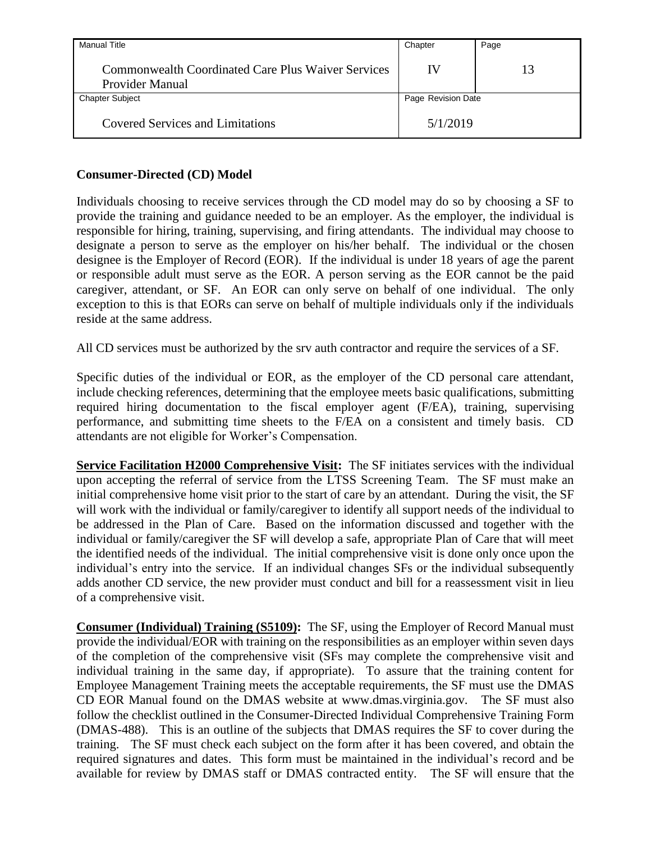| <b>Manual Title</b>                                                   | Chapter            | Page |
|-----------------------------------------------------------------------|--------------------|------|
| Commonwealth Coordinated Care Plus Waiver Services<br>Provider Manual | IV                 | 13   |
| <b>Chapter Subject</b>                                                | Page Revision Date |      |
| <b>Covered Services and Limitations</b>                               | 5/1/2019           |      |

# <span id="page-17-0"></span>**Consumer-Directed (CD) Model**

Individuals choosing to receive services through the CD model may do so by choosing a SF to provide the training and guidance needed to be an employer. As the employer, the individual is responsible for hiring, training, supervising, and firing attendants. The individual may choose to designate a person to serve as the employer on his/her behalf. The individual or the chosen designee is the Employer of Record (EOR). If the individual is under 18 years of age the parent or responsible adult must serve as the EOR. A person serving as the EOR cannot be the paid caregiver, attendant, or SF. An EOR can only serve on behalf of one individual. The only exception to this is that EORs can serve on behalf of multiple individuals only if the individuals reside at the same address.

All CD services must be authorized by the srv auth contractor and require the services of a SF.

Specific duties of the individual or EOR, as the employer of the CD personal care attendant, include checking references, determining that the employee meets basic qualifications, submitting required hiring documentation to the fiscal employer agent (F/EA), training, supervising performance, and submitting time sheets to the F/EA on a consistent and timely basis. CD attendants are not eligible for Worker's Compensation.

**Service Facilitation H2000 Comprehensive Visit:** The SF initiates services with the individual upon accepting the referral of service from the LTSS Screening Team. The SF must make an initial comprehensive home visit prior to the start of care by an attendant. During the visit, the SF will work with the individual or family/caregiver to identify all support needs of the individual to be addressed in the Plan of Care. Based on the information discussed and together with the individual or family/caregiver the SF will develop a safe, appropriate Plan of Care that will meet the identified needs of the individual. The initial comprehensive visit is done only once upon the individual's entry into the service. If an individual changes SFs or the individual subsequently adds another CD service, the new provider must conduct and bill for a reassessment visit in lieu of a comprehensive visit.

**Consumer (Individual) Training (S5109):** The SF, using the Employer of Record Manual must provide the individual/EOR with training on the responsibilities as an employer within seven days of the completion of the comprehensive visit (SFs may complete the comprehensive visit and individual training in the same day, if appropriate). To assure that the training content for Employee Management Training meets the acceptable requirements, the SF must use the DMAS CD EOR Manual found on the DMAS website at www.dmas.virginia.gov. The SF must also follow the checklist outlined in the Consumer-Directed Individual Comprehensive Training Form (DMAS-488). This is an outline of the subjects that DMAS requires the SF to cover during the training. The SF must check each subject on the form after it has been covered, and obtain the required signatures and dates. This form must be maintained in the individual's record and be available for review by DMAS staff or DMAS contracted entity. The SF will ensure that the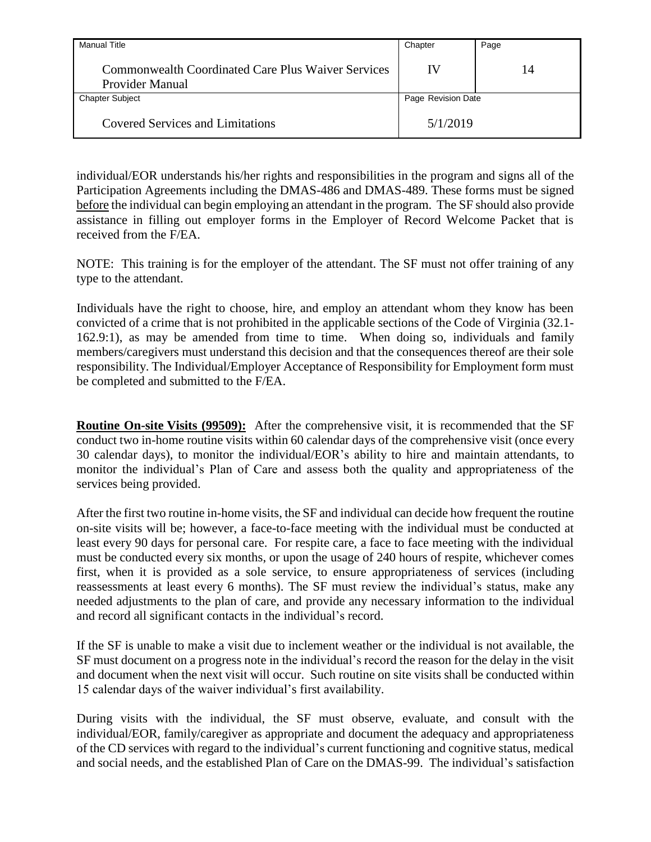| <b>Manual Title</b>                                                   | Chapter            | Page |
|-----------------------------------------------------------------------|--------------------|------|
| Commonwealth Coordinated Care Plus Waiver Services<br>Provider Manual | IV                 | 14   |
| <b>Chapter Subject</b>                                                | Page Revision Date |      |
| <b>Covered Services and Limitations</b>                               | 5/1/2019           |      |

individual/EOR understands his/her rights and responsibilities in the program and signs all of the Participation Agreements including the DMAS-486 and DMAS-489. These forms must be signed before the individual can begin employing an attendant in the program. The SF should also provide assistance in filling out employer forms in the Employer of Record Welcome Packet that is received from the F/EA.

NOTE: This training is for the employer of the attendant. The SF must not offer training of any type to the attendant.

Individuals have the right to choose, hire, and employ an attendant whom they know has been convicted of a crime that is not prohibited in the applicable sections of the Code of Virginia (32.1- 162.9:1), as may be amended from time to time. When doing so, individuals and family members/caregivers must understand this decision and that the consequences thereof are their sole responsibility. The Individual/Employer Acceptance of Responsibility for Employment form must be completed and submitted to the F/EA.

**Routine On-site Visits (99509):** After the comprehensive visit, it is recommended that the SF conduct two in-home routine visits within 60 calendar days of the comprehensive visit (once every 30 calendar days), to monitor the individual/EOR's ability to hire and maintain attendants, to monitor the individual's Plan of Care and assess both the quality and appropriateness of the services being provided.

After the first two routine in-home visits, the SF and individual can decide how frequent the routine on-site visits will be; however, a face-to-face meeting with the individual must be conducted at least every 90 days for personal care. For respite care, a face to face meeting with the individual must be conducted every six months, or upon the usage of 240 hours of respite, whichever comes first, when it is provided as a sole service, to ensure appropriateness of services (including reassessments at least every 6 months). The SF must review the individual's status, make any needed adjustments to the plan of care, and provide any necessary information to the individual and record all significant contacts in the individual's record.

If the SF is unable to make a visit due to inclement weather or the individual is not available, the SF must document on a progress note in the individual's record the reason for the delay in the visit and document when the next visit will occur. Such routine on site visits shall be conducted within 15 calendar days of the waiver individual's first availability.

During visits with the individual, the SF must observe, evaluate, and consult with the individual/EOR, family/caregiver as appropriate and document the adequacy and appropriateness of the CD services with regard to the individual's current functioning and cognitive status, medical and social needs, and the established Plan of Care on the DMAS-99. The individual's satisfaction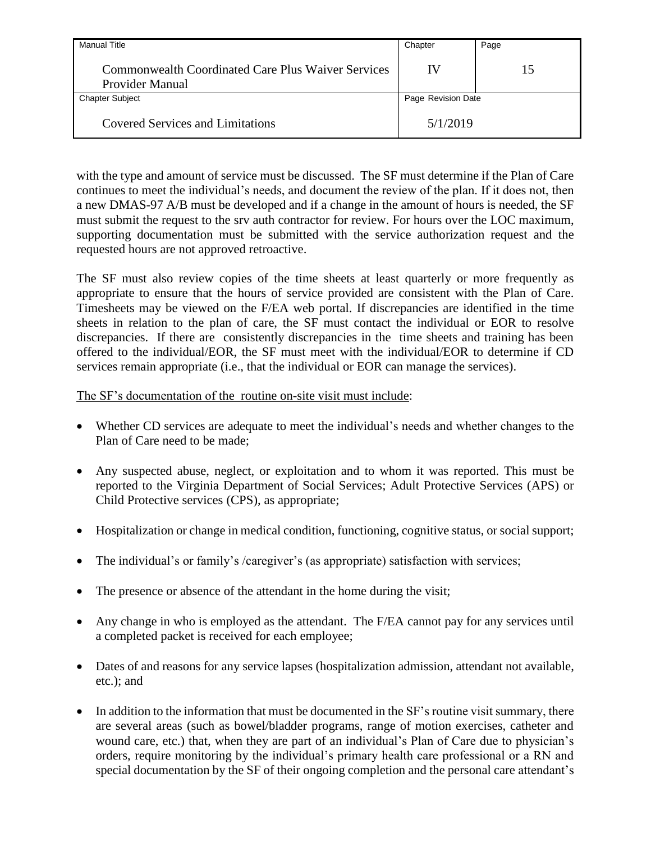| <b>Manual Title</b>                                                   | Chapter            | Page |
|-----------------------------------------------------------------------|--------------------|------|
| Commonwealth Coordinated Care Plus Waiver Services<br>Provider Manual | IV                 | 15   |
| <b>Chapter Subject</b>                                                | Page Revision Date |      |
| <b>Covered Services and Limitations</b>                               | 5/1/2019           |      |

with the type and amount of service must be discussed. The SF must determine if the Plan of Care continues to meet the individual's needs, and document the review of the plan. If it does not, then a new DMAS-97 A/B must be developed and if a change in the amount of hours is needed, the SF must submit the request to the srv auth contractor for review. For hours over the LOC maximum, supporting documentation must be submitted with the service authorization request and the requested hours are not approved retroactive.

The SF must also review copies of the time sheets at least quarterly or more frequently as appropriate to ensure that the hours of service provided are consistent with the Plan of Care. Timesheets may be viewed on the F/EA web portal. If discrepancies are identified in the time sheets in relation to the plan of care, the SF must contact the individual or EOR to resolve discrepancies. If there are consistently discrepancies in the time sheets and training has been offered to the individual/EOR, the SF must meet with the individual/EOR to determine if CD services remain appropriate (i.e., that the individual or EOR can manage the services).

#### The SF's documentation of the routine on-site visit must include:

- Whether CD services are adequate to meet the individual's needs and whether changes to the Plan of Care need to be made;
- Any suspected abuse, neglect, or exploitation and to whom it was reported. This must be reported to the Virginia Department of Social Services; Adult Protective Services (APS) or Child Protective services (CPS), as appropriate;
- Hospitalization or change in medical condition, functioning, cognitive status, or social support;
- The individual's or family's /caregiver's (as appropriate) satisfaction with services;
- The presence or absence of the attendant in the home during the visit;
- Any change in who is employed as the attendant. The F/EA cannot pay for any services until a completed packet is received for each employee;
- Dates of and reasons for any service lapses (hospitalization admission, attendant not available, etc.); and
- In addition to the information that must be documented in the SF's routine visit summary, there are several areas (such as bowel/bladder programs, range of motion exercises, catheter and wound care, etc.) that, when they are part of an individual's Plan of Care due to physician's orders, require monitoring by the individual's primary health care professional or a RN and special documentation by the SF of their ongoing completion and the personal care attendant's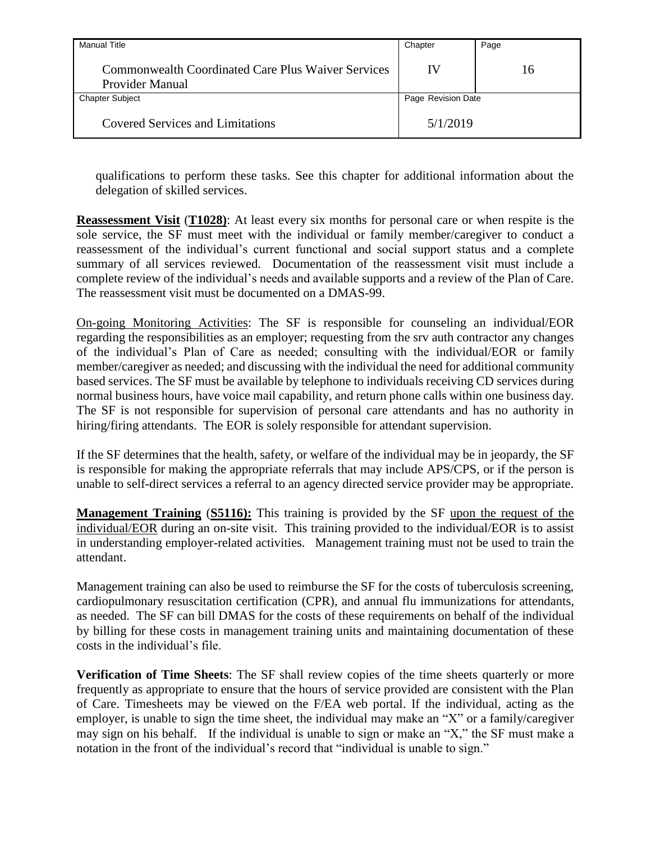| <b>Manual Title</b>                                                   | Chapter            | Page |
|-----------------------------------------------------------------------|--------------------|------|
| Commonwealth Coordinated Care Plus Waiver Services<br>Provider Manual | IV                 | 16   |
| <b>Chapter Subject</b>                                                | Page Revision Date |      |
| <b>Covered Services and Limitations</b>                               | 5/1/2019           |      |

qualifications to perform these tasks. See this chapter for additional information about the delegation of skilled services.

**Reassessment Visit** (**T1028)**: At least every six months for personal care or when respite is the sole service, the SF must meet with the individual or family member/caregiver to conduct a reassessment of the individual's current functional and social support status and a complete summary of all services reviewed. Documentation of the reassessment visit must include a complete review of the individual's needs and available supports and a review of the Plan of Care. The reassessment visit must be documented on a DMAS-99.

On-going Monitoring Activities: The SF is responsible for counseling an individual/EOR regarding the responsibilities as an employer; requesting from the srv auth contractor any changes of the individual's Plan of Care as needed; consulting with the individual/EOR or family member/caregiver as needed; and discussing with the individual the need for additional community based services. The SF must be available by telephone to individuals receiving CD services during normal business hours, have voice mail capability, and return phone calls within one business day. The SF is not responsible for supervision of personal care attendants and has no authority in hiring/firing attendants. The EOR is solely responsible for attendant supervision.

If the SF determines that the health, safety, or welfare of the individual may be in jeopardy, the SF is responsible for making the appropriate referrals that may include APS/CPS, or if the person is unable to self-direct services a referral to an agency directed service provider may be appropriate.

**Management Training** (**S5116):** This training is provided by the SF upon the request of the individual/EOR during an on-site visit. This training provided to the individual/EOR is to assist in understanding employer-related activities. Management training must not be used to train the attendant.

Management training can also be used to reimburse the SF for the costs of tuberculosis screening, cardiopulmonary resuscitation certification (CPR), and annual flu immunizations for attendants, as needed. The SF can bill DMAS for the costs of these requirements on behalf of the individual by billing for these costs in management training units and maintaining documentation of these costs in the individual's file.

**Verification of Time Sheets**: The SF shall review copies of the time sheets quarterly or more frequently as appropriate to ensure that the hours of service provided are consistent with the Plan of Care. Timesheets may be viewed on the F/EA web portal. If the individual, acting as the employer, is unable to sign the time sheet, the individual may make an "X" or a family/caregiver may sign on his behalf. If the individual is unable to sign or make an "X," the SF must make a notation in the front of the individual's record that "individual is unable to sign."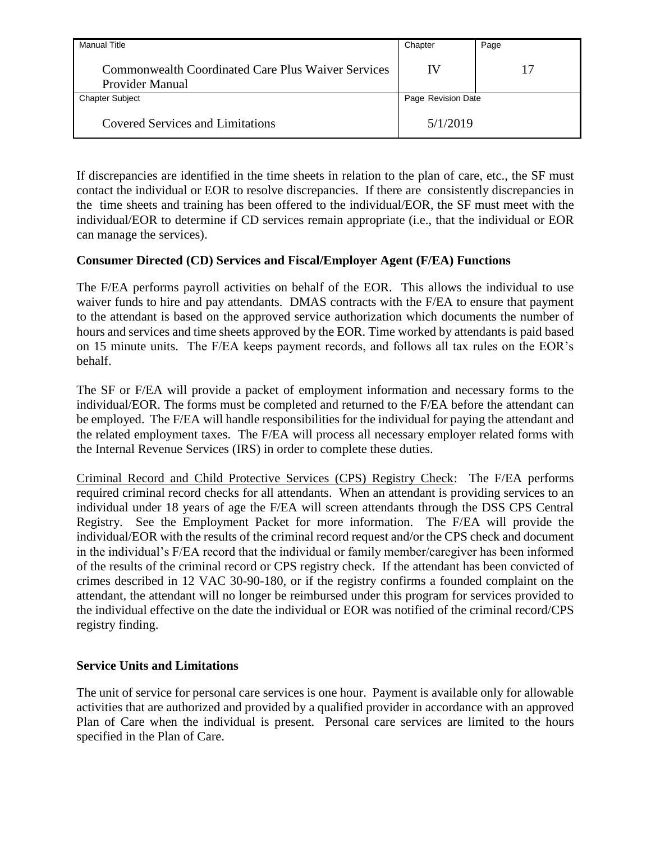| Manual Title                                                          | Chapter            | Page |
|-----------------------------------------------------------------------|--------------------|------|
| Commonwealth Coordinated Care Plus Waiver Services<br>Provider Manual | IV                 |      |
| <b>Chapter Subject</b>                                                | Page Revision Date |      |
| <b>Covered Services and Limitations</b>                               | 5/1/2019           |      |

If discrepancies are identified in the time sheets in relation to the plan of care, etc., the SF must contact the individual or EOR to resolve discrepancies. If there are consistently discrepancies in the time sheets and training has been offered to the individual/EOR, the SF must meet with the individual/EOR to determine if CD services remain appropriate (i.e., that the individual or EOR can manage the services).

### <span id="page-21-0"></span>**Consumer Directed (CD) Services and Fiscal/Employer Agent (F/EA) Functions**

The F/EA performs payroll activities on behalf of the EOR. This allows the individual to use waiver funds to hire and pay attendants. DMAS contracts with the F/EA to ensure that payment to the attendant is based on the approved service authorization which documents the number of hours and services and time sheets approved by the EOR. Time worked by attendants is paid based on 15 minute units. The F/EA keeps payment records, and follows all tax rules on the EOR's behalf.

The SF or F/EA will provide a packet of employment information and necessary forms to the individual/EOR. The forms must be completed and returned to the F/EA before the attendant can be employed. The F/EA will handle responsibilities for the individual for paying the attendant and the related employment taxes. The F/EA will process all necessary employer related forms with the Internal Revenue Services (IRS) in order to complete these duties.

Criminal Record and Child Protective Services (CPS) Registry Check: The F/EA performs required criminal record checks for all attendants. When an attendant is providing services to an individual under 18 years of age the F/EA will screen attendants through the DSS CPS Central Registry. See the Employment Packet for more information. The F/EA will provide the individual/EOR with the results of the criminal record request and/or the CPS check and document in the individual's F/EA record that the individual or family member/caregiver has been informed of the results of the criminal record or CPS registry check. If the attendant has been convicted of crimes described in 12 VAC 30-90-180, or if the registry confirms a founded complaint on the attendant, the attendant will no longer be reimbursed under this program for services provided to the individual effective on the date the individual or EOR was notified of the criminal record/CPS registry finding.

#### <span id="page-21-1"></span>**Service Units and Limitations**

The unit of service for personal care services is one hour. Payment is available only for allowable activities that are authorized and provided by a qualified provider in accordance with an approved Plan of Care when the individual is present. Personal care services are limited to the hours specified in the Plan of Care.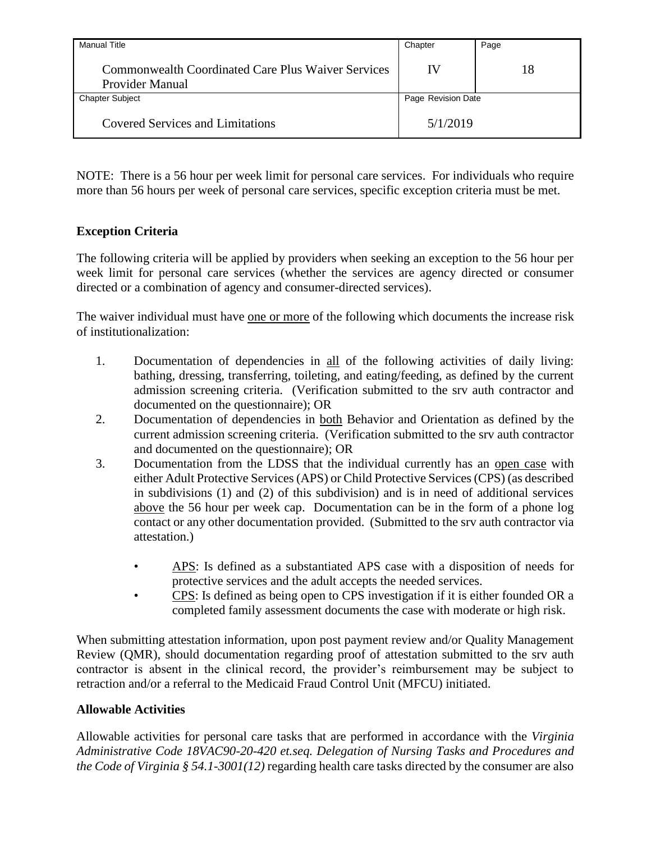| <b>Manual Title</b>                                                   | Chapter            | Page |
|-----------------------------------------------------------------------|--------------------|------|
| Commonwealth Coordinated Care Plus Waiver Services<br>Provider Manual | IV                 | 18   |
| <b>Chapter Subject</b>                                                | Page Revision Date |      |
| <b>Covered Services and Limitations</b>                               | 5/1/2019           |      |

NOTE: There is a 56 hour per week limit for personal care services. For individuals who require more than 56 hours per week of personal care services, specific exception criteria must be met.

# <span id="page-22-0"></span>**Exception Criteria**

The following criteria will be applied by providers when seeking an exception to the 56 hour per week limit for personal care services (whether the services are agency directed or consumer directed or a combination of agency and consumer-directed services).

The waiver individual must have one or more of the following which documents the increase risk of institutionalization:

- 1. Documentation of dependencies in all of the following activities of daily living: bathing, dressing, transferring, toileting, and eating/feeding, as defined by the current admission screening criteria. (Verification submitted to the srv auth contractor and documented on the questionnaire); OR
- 2. Documentation of dependencies in both Behavior and Orientation as defined by the current admission screening criteria. (Verification submitted to the srv auth contractor and documented on the questionnaire); OR
- 3. Documentation from the LDSS that the individual currently has an open case with either Adult Protective Services (APS) or Child Protective Services (CPS) (as described in subdivisions (1) and (2) of this subdivision) and is in need of additional services above the 56 hour per week cap. Documentation can be in the form of a phone log contact or any other documentation provided. (Submitted to the srv auth contractor via attestation.)
	- APS: Is defined as a substantiated APS case with a disposition of needs for protective services and the adult accepts the needed services.
	- CPS: Is defined as being open to CPS investigation if it is either founded OR a completed family assessment documents the case with moderate or high risk.

When submitting attestation information, upon post payment review and/or Quality Management Review (QMR), should documentation regarding proof of attestation submitted to the srv auth contractor is absent in the clinical record, the provider's reimbursement may be subject to retraction and/or a referral to the Medicaid Fraud Control Unit (MFCU) initiated.

### <span id="page-22-1"></span>**Allowable Activities**

Allowable activities for personal care tasks that are performed in accordance with the *Virginia Administrative Code 18VAC90-20-420 et.seq. Delegation of Nursing Tasks and Procedures and the Code of Virginia § 54.1-3001(12)* regarding health care tasks directed by the consumer are also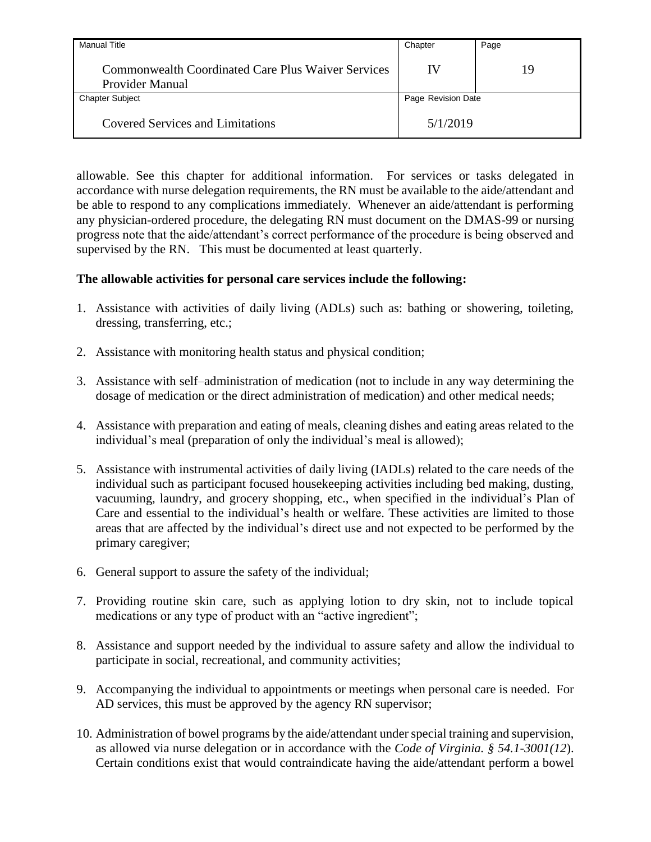| <b>Manual Title</b>                                                          | Chapter            | Page |
|------------------------------------------------------------------------------|--------------------|------|
| <b>Commonwealth Coordinated Care Plus Waiver Services</b><br>Provider Manual | IV                 | 19   |
| <b>Chapter Subject</b>                                                       | Page Revision Date |      |
| <b>Covered Services and Limitations</b>                                      | 5/1/2019           |      |

allowable. See this chapter for additional information. For services or tasks delegated in accordance with nurse delegation requirements, the RN must be available to the aide/attendant and be able to respond to any complications immediately. Whenever an aide/attendant is performing any physician-ordered procedure, the delegating RN must document on the DMAS-99 or nursing progress note that the aide/attendant's correct performance of the procedure is being observed and supervised by the RN. This must be documented at least quarterly.

#### **The allowable activities for personal care services include the following:**

- 1. Assistance with activities of daily living (ADLs) such as: bathing or showering, toileting, dressing, transferring, etc.;
- 2. Assistance with monitoring health status and physical condition;
- 3. Assistance with self–administration of medication (not to include in any way determining the dosage of medication or the direct administration of medication) and other medical needs;
- 4. Assistance with preparation and eating of meals, cleaning dishes and eating areas related to the individual's meal (preparation of only the individual's meal is allowed);
- 5. Assistance with instrumental activities of daily living (IADLs) related to the care needs of the individual such as participant focused housekeeping activities including bed making, dusting, vacuuming, laundry, and grocery shopping, etc., when specified in the individual's Plan of Care and essential to the individual's health or welfare. These activities are limited to those areas that are affected by the individual's direct use and not expected to be performed by the primary caregiver;
- 6. General support to assure the safety of the individual;
- 7. Providing routine skin care, such as applying lotion to dry skin, not to include topical medications or any type of product with an "active ingredient";
- 8. Assistance and support needed by the individual to assure safety and allow the individual to participate in social, recreational, and community activities;
- 9. Accompanying the individual to appointments or meetings when personal care is needed. For AD services, this must be approved by the agency RN supervisor;
- 10. Administration of bowel programs by the aide/attendant under special training and supervision, as allowed via nurse delegation or in accordance with the *Code of Virginia. § 54.1-3001(12*). Certain conditions exist that would contraindicate having the aide/attendant perform a bowel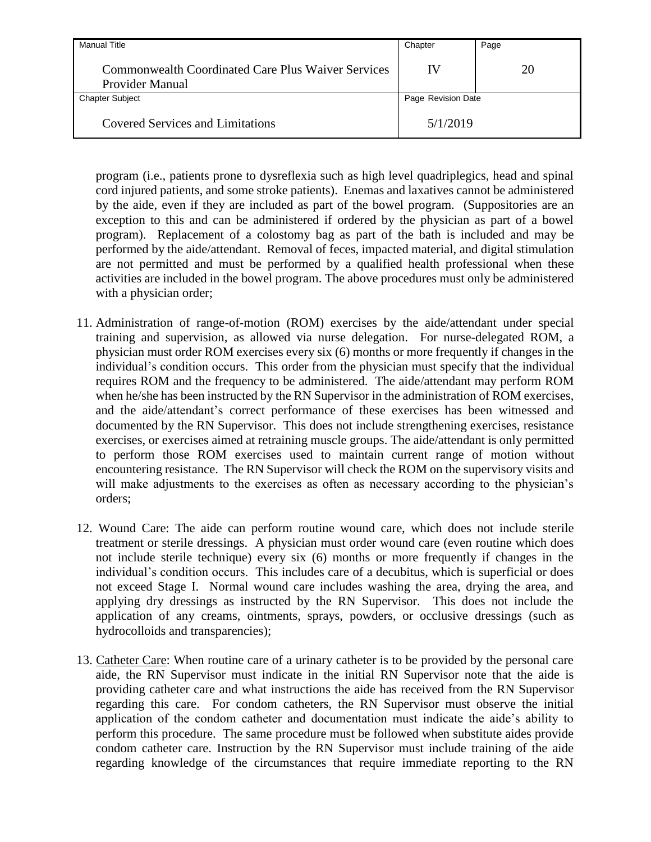| <b>Manual Title</b>                                                          | Chapter            | Page |
|------------------------------------------------------------------------------|--------------------|------|
| <b>Commonwealth Coordinated Care Plus Waiver Services</b><br>Provider Manual | IV                 | 20   |
| <b>Chapter Subject</b>                                                       | Page Revision Date |      |
| Covered Services and Limitations                                             | 5/1/2019           |      |

program (i.e., patients prone to dysreflexia such as high level quadriplegics, head and spinal cord injured patients, and some stroke patients). Enemas and laxatives cannot be administered by the aide, even if they are included as part of the bowel program. (Suppositories are an exception to this and can be administered if ordered by the physician as part of a bowel program). Replacement of a colostomy bag as part of the bath is included and may be performed by the aide/attendant. Removal of feces, impacted material, and digital stimulation are not permitted and must be performed by a qualified health professional when these activities are included in the bowel program. The above procedures must only be administered with a physician order;

- 11. Administration of range-of-motion (ROM) exercises by the aide/attendant under special training and supervision, as allowed via nurse delegation. For nurse-delegated ROM, a physician must order ROM exercises every six (6) months or more frequently if changes in the individual's condition occurs. This order from the physician must specify that the individual requires ROM and the frequency to be administered. The aide/attendant may perform ROM when he/she has been instructed by the RN Supervisor in the administration of ROM exercises, and the aide/attendant's correct performance of these exercises has been witnessed and documented by the RN Supervisor. This does not include strengthening exercises, resistance exercises, or exercises aimed at retraining muscle groups. The aide/attendant is only permitted to perform those ROM exercises used to maintain current range of motion without encountering resistance. The RN Supervisor will check the ROM on the supervisory visits and will make adjustments to the exercises as often as necessary according to the physician's orders;
- 12. Wound Care: The aide can perform routine wound care, which does not include sterile treatment or sterile dressings. A physician must order wound care (even routine which does not include sterile technique) every six (6) months or more frequently if changes in the individual's condition occurs. This includes care of a decubitus, which is superficial or does not exceed Stage I. Normal wound care includes washing the area, drying the area, and applying dry dressings as instructed by the RN Supervisor. This does not include the application of any creams, ointments, sprays, powders, or occlusive dressings (such as hydrocolloids and transparencies);
- 13. Catheter Care: When routine care of a urinary catheter is to be provided by the personal care aide, the RN Supervisor must indicate in the initial RN Supervisor note that the aide is providing catheter care and what instructions the aide has received from the RN Supervisor regarding this care. For condom catheters, the RN Supervisor must observe the initial application of the condom catheter and documentation must indicate the aide's ability to perform this procedure. The same procedure must be followed when substitute aides provide condom catheter care. Instruction by the RN Supervisor must include training of the aide regarding knowledge of the circumstances that require immediate reporting to the RN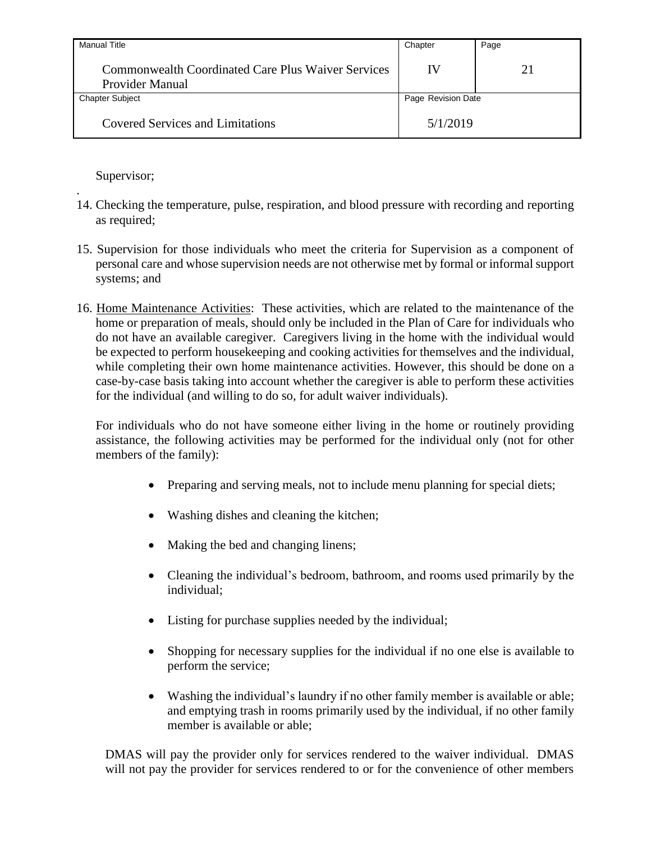| <b>Manual Title</b>                                                   | Chapter            | Page |
|-----------------------------------------------------------------------|--------------------|------|
| Commonwealth Coordinated Care Plus Waiver Services<br>Provider Manual | IV                 | 21   |
| <b>Chapter Subject</b>                                                | Page Revision Date |      |
| <b>Covered Services and Limitations</b>                               | 5/1/2019           |      |

Supervisor;

.

- 14. Checking the temperature, pulse, respiration, and blood pressure with recording and reporting as required;
- 15. Supervision for those individuals who meet the criteria for Supervision as a component of personal care and whose supervision needs are not otherwise met by formal or informal support systems; and
- 16. Home Maintenance Activities: These activities, which are related to the maintenance of the home or preparation of meals, should only be included in the Plan of Care for individuals who do not have an available caregiver. Caregivers living in the home with the individual would be expected to perform housekeeping and cooking activities for themselves and the individual, while completing their own home maintenance activities. However, this should be done on a case-by-case basis taking into account whether the caregiver is able to perform these activities for the individual (and willing to do so, for adult waiver individuals).

For individuals who do not have someone either living in the home or routinely providing assistance, the following activities may be performed for the individual only (not for other members of the family):

- Preparing and serving meals, not to include menu planning for special diets;
- Washing dishes and cleaning the kitchen;
- Making the bed and changing linens;
- Cleaning the individual's bedroom, bathroom, and rooms used primarily by the individual;
- Listing for purchase supplies needed by the individual;
- Shopping for necessary supplies for the individual if no one else is available to perform the service;
- Washing the individual's laundry if no other family member is available or able; and emptying trash in rooms primarily used by the individual, if no other family member is available or able;

DMAS will pay the provider only for services rendered to the waiver individual. DMAS will not pay the provider for services rendered to or for the convenience of other members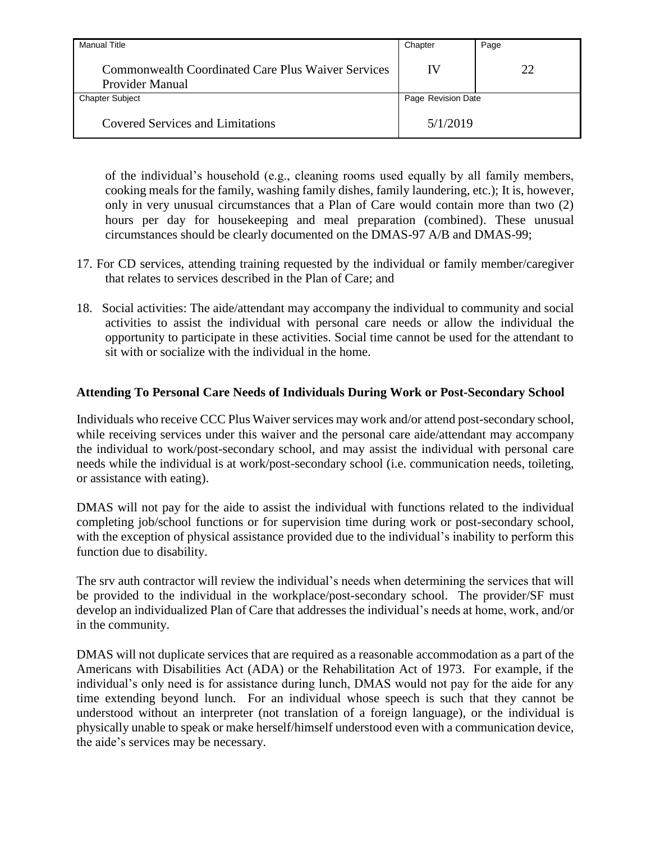| <b>Manual Title</b>                                                   | Chapter            | Page |
|-----------------------------------------------------------------------|--------------------|------|
| Commonwealth Coordinated Care Plus Waiver Services<br>Provider Manual | IV                 | 22   |
| <b>Chapter Subject</b>                                                | Page Revision Date |      |
| <b>Covered Services and Limitations</b>                               | 5/1/2019           |      |

of the individual's household (e.g., cleaning rooms used equally by all family members, cooking meals for the family, washing family dishes, family laundering, etc.); It is, however, only in very unusual circumstances that a Plan of Care would contain more than two (2) hours per day for housekeeping and meal preparation (combined). These unusual circumstances should be clearly documented on the DMAS-97 A/B and DMAS-99;

- 17. For CD services, attending training requested by the individual or family member/caregiver that relates to services described in the Plan of Care; and
- 18. Social activities: The aide/attendant may accompany the individual to community and social activities to assist the individual with personal care needs or allow the individual the opportunity to participate in these activities. Social time cannot be used for the attendant to sit with or socialize with the individual in the home.

#### <span id="page-26-0"></span>**Attending To Personal Care Needs of Individuals During Work or Post-Secondary School**

Individuals who receive CCC Plus Waiver services may work and/or attend post-secondary school, while receiving services under this waiver and the personal care aide/attendant may accompany the individual to work/post-secondary school, and may assist the individual with personal care needs while the individual is at work/post-secondary school (i.e. communication needs, toileting, or assistance with eating).

DMAS will not pay for the aide to assist the individual with functions related to the individual completing job/school functions or for supervision time during work or post-secondary school, with the exception of physical assistance provided due to the individual's inability to perform this function due to disability.

The srv auth contractor will review the individual's needs when determining the services that will be provided to the individual in the workplace/post-secondary school. The provider/SF must develop an individualized Plan of Care that addresses the individual's needs at home, work, and/or in the community.

DMAS will not duplicate services that are required as a reasonable accommodation as a part of the Americans with Disabilities Act (ADA) or the Rehabilitation Act of 1973. For example, if the individual's only need is for assistance during lunch, DMAS would not pay for the aide for any time extending beyond lunch. For an individual whose speech is such that they cannot be understood without an interpreter (not translation of a foreign language), or the individual is physically unable to speak or make herself/himself understood even with a communication device, the aide's services may be necessary.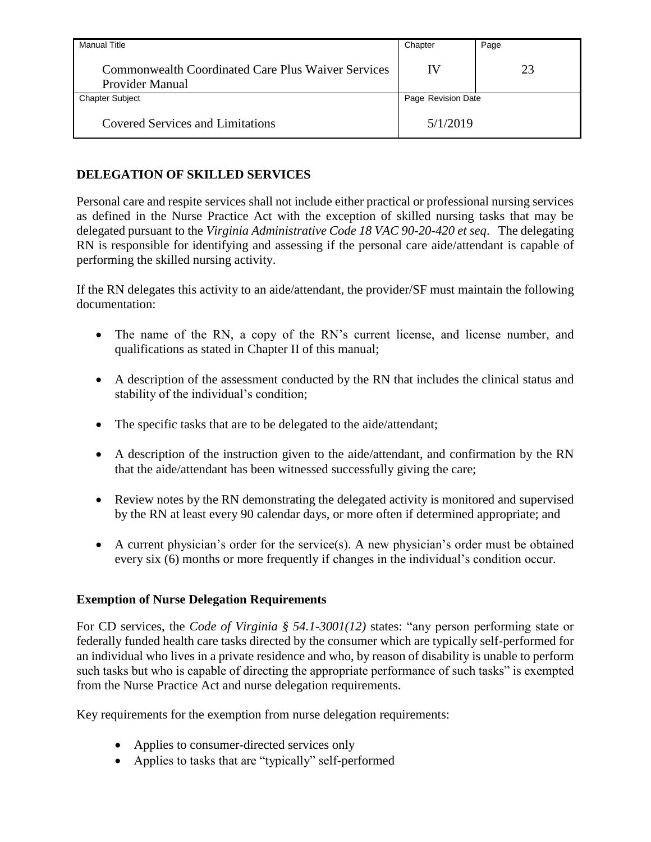| <b>Manual Title</b>                                                   | Chapter            | Page |
|-----------------------------------------------------------------------|--------------------|------|
| Commonwealth Coordinated Care Plus Waiver Services<br>Provider Manual | IV                 | 23   |
| <b>Chapter Subject</b>                                                | Page Revision Date |      |
| <b>Covered Services and Limitations</b>                               | 5/1/2019           |      |

## <span id="page-27-0"></span>**DELEGATION OF SKILLED SERVICES**

Personal care and respite services shall not include either practical or professional nursing services as defined in the Nurse Practice Act with the exception of skilled nursing tasks that may be delegated pursuant to the *Virginia Administrative Code 18 VAC 90-20-420 et seq*. The delegating RN is responsible for identifying and assessing if the personal care aide/attendant is capable of performing the skilled nursing activity.

If the RN delegates this activity to an aide/attendant, the provider/SF must maintain the following documentation:

- The name of the RN, a copy of the RN's current license, and license number, and qualifications as stated in Chapter II of this manual;
- A description of the assessment conducted by the RN that includes the clinical status and stability of the individual's condition;
- The specific tasks that are to be delegated to the aide/attendant;
- A description of the instruction given to the aide/attendant, and confirmation by the RN that the aide/attendant has been witnessed successfully giving the care;
- Review notes by the RN demonstrating the delegated activity is monitored and supervised by the RN at least every 90 calendar days, or more often if determined appropriate; and
- A current physician's order for the service(s). A new physician's order must be obtained every six (6) months or more frequently if changes in the individual's condition occur.

### <span id="page-27-1"></span>**Exemption of Nurse Delegation Requirements**

For CD services, the *Code of Virginia § 54.1-3001(12)* states: "any person performing state or federally funded health care tasks directed by the consumer which are typically self-performed for an individual who lives in a private residence and who, by reason of disability is unable to perform such tasks but who is capable of directing the appropriate performance of such tasks" is exempted from the Nurse Practice Act and nurse delegation requirements.

Key requirements for the exemption from nurse delegation requirements:

- Applies to consumer-directed services only
- Applies to tasks that are "typically" self-performed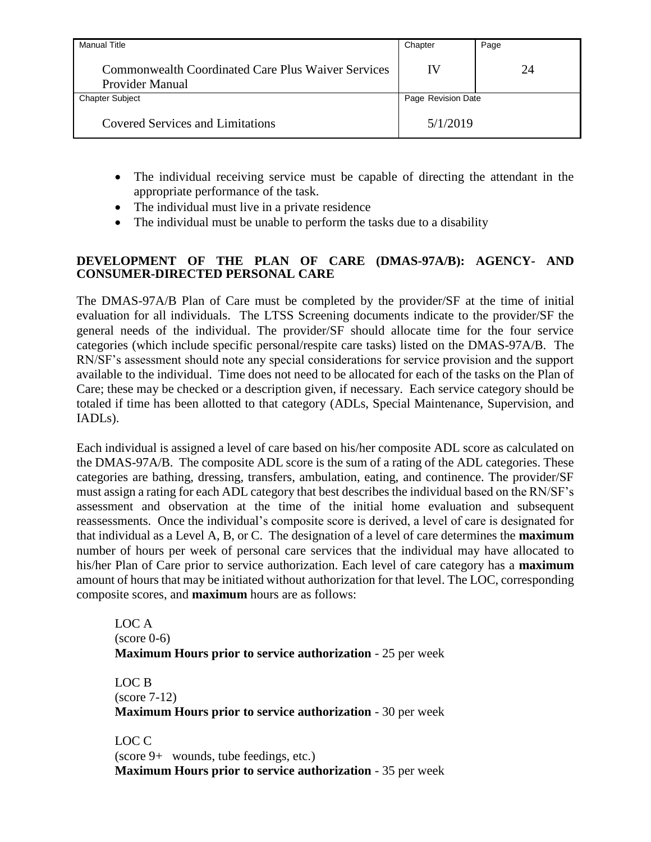| <b>Manual Title</b>                                                   | Chapter            | Page |
|-----------------------------------------------------------------------|--------------------|------|
| Commonwealth Coordinated Care Plus Waiver Services<br>Provider Manual | IV                 | 24   |
| <b>Chapter Subject</b>                                                | Page Revision Date |      |
| <b>Covered Services and Limitations</b>                               | 5/1/2019           |      |

- The individual receiving service must be capable of directing the attendant in the appropriate performance of the task.
- The individual must live in a private residence
- The individual must be unable to perform the tasks due to a disability

#### <span id="page-28-0"></span>**DEVELOPMENT OF THE PLAN OF CARE (DMAS-97A/B): AGENCY- AND CONSUMER-DIRECTED PERSONAL CARE**

The DMAS-97A/B Plan of Care must be completed by the provider/SF at the time of initial evaluation for all individuals. The LTSS Screening documents indicate to the provider/SF the general needs of the individual. The provider/SF should allocate time for the four service categories (which include specific personal/respite care tasks) listed on the DMAS-97A/B. The RN/SF's assessment should note any special considerations for service provision and the support available to the individual. Time does not need to be allocated for each of the tasks on the Plan of Care; these may be checked or a description given, if necessary. Each service category should be totaled if time has been allotted to that category (ADLs, Special Maintenance, Supervision, and IADLs).

Each individual is assigned a level of care based on his/her composite ADL score as calculated on the DMAS-97A/B. The composite ADL score is the sum of a rating of the ADL categories. These categories are bathing, dressing, transfers, ambulation, eating, and continence. The provider/SF must assign a rating for each ADL category that best describes the individual based on the RN/SF's assessment and observation at the time of the initial home evaluation and subsequent reassessments. Once the individual's composite score is derived, a level of care is designated for that individual as a Level A, B, or C. The designation of a level of care determines the **maximum** number of hours per week of personal care services that the individual may have allocated to his/her Plan of Care prior to service authorization. Each level of care category has a **maximum** amount of hours that may be initiated without authorization for that level. The LOC, corresponding composite scores, and **maximum** hours are as follows:

LOC A  $(score 0-6)$ **Maximum Hours prior to service authorization** - 25 per week

LOC B (score 7-12) **Maximum Hours prior to service authorization** - 30 per week

LOC C (score 9+ wounds, tube feedings, etc.) **Maximum Hours prior to service authorization** - 35 per week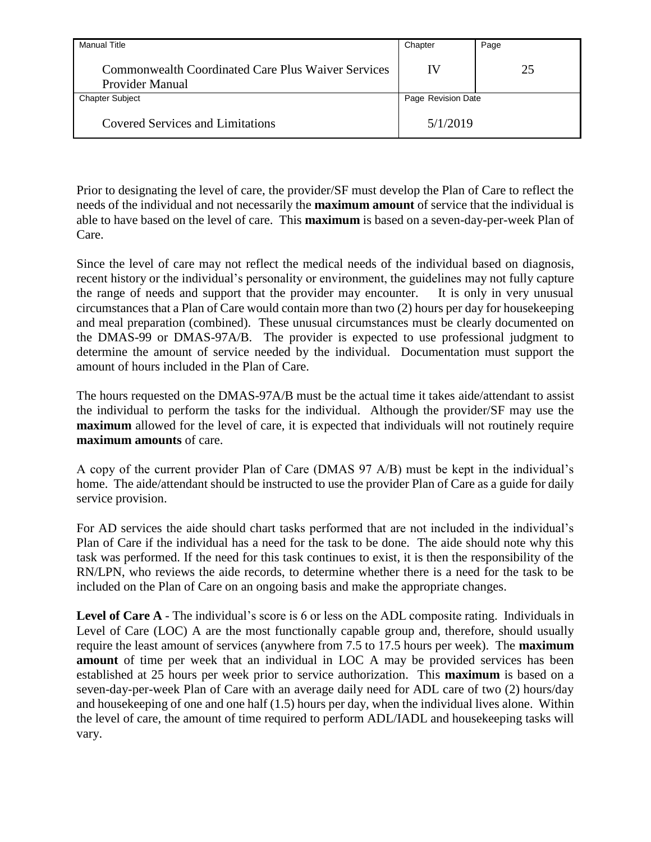| <b>Manual Title</b>                                                   | Chapter            | Page |
|-----------------------------------------------------------------------|--------------------|------|
| Commonwealth Coordinated Care Plus Waiver Services<br>Provider Manual | IV                 | 25   |
| <b>Chapter Subject</b>                                                | Page Revision Date |      |
| <b>Covered Services and Limitations</b>                               | 5/1/2019           |      |

Prior to designating the level of care, the provider/SF must develop the Plan of Care to reflect the needs of the individual and not necessarily the **maximum amount** of service that the individual is able to have based on the level of care. This **maximum** is based on a seven-day-per-week Plan of Care.

Since the level of care may not reflect the medical needs of the individual based on diagnosis, recent history or the individual's personality or environment, the guidelines may not fully capture the range of needs and support that the provider may encounter. It is only in very unusual circumstances that a Plan of Care would contain more than two (2) hours per day for housekeeping and meal preparation (combined). These unusual circumstances must be clearly documented on the DMAS-99 or DMAS-97A/B. The provider is expected to use professional judgment to determine the amount of service needed by the individual. Documentation must support the amount of hours included in the Plan of Care.

The hours requested on the DMAS-97A/B must be the actual time it takes aide/attendant to assist the individual to perform the tasks for the individual. Although the provider/SF may use the **maximum** allowed for the level of care, it is expected that individuals will not routinely require **maximum amounts** of care.

A copy of the current provider Plan of Care (DMAS 97 A/B) must be kept in the individual's home. The aide/attendant should be instructed to use the provider Plan of Care as a guide for daily service provision.

For AD services the aide should chart tasks performed that are not included in the individual's Plan of Care if the individual has a need for the task to be done. The aide should note why this task was performed. If the need for this task continues to exist, it is then the responsibility of the RN/LPN, who reviews the aide records, to determine whether there is a need for the task to be included on the Plan of Care on an ongoing basis and make the appropriate changes.

Level of Care A - The individual's score is 6 or less on the ADL composite rating. Individuals in Level of Care (LOC) A are the most functionally capable group and, therefore, should usually require the least amount of services (anywhere from 7.5 to 17.5 hours per week). The **maximum amount** of time per week that an individual in LOC A may be provided services has been established at 25 hours per week prior to service authorization. This **maximum** is based on a seven-day-per-week Plan of Care with an average daily need for ADL care of two (2) hours/day and housekeeping of one and one half (1.5) hours per day, when the individual lives alone. Within the level of care, the amount of time required to perform ADL/IADL and housekeeping tasks will vary.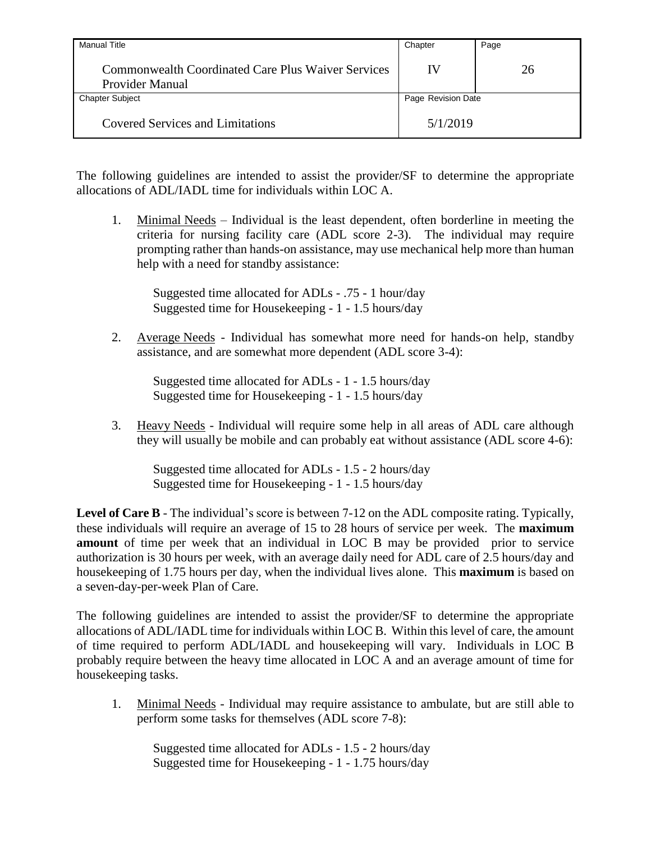| <b>Manual Title</b>                                                   | Chapter            | Page |
|-----------------------------------------------------------------------|--------------------|------|
| Commonwealth Coordinated Care Plus Waiver Services<br>Provider Manual | IV                 | 26   |
| <b>Chapter Subject</b>                                                | Page Revision Date |      |
| <b>Covered Services and Limitations</b>                               | 5/1/2019           |      |

The following guidelines are intended to assist the provider/SF to determine the appropriate allocations of ADL/IADL time for individuals within LOC A.

1. Minimal Needs – Individual is the least dependent, often borderline in meeting the criteria for nursing facility care (ADL score 2-3). The individual may require prompting rather than hands-on assistance, may use mechanical help more than human help with a need for standby assistance:

Suggested time allocated for ADLs - .75 - 1 hour/day Suggested time for Housekeeping - 1 - 1.5 hours/day

2. Average Needs - Individual has somewhat more need for hands-on help, standby assistance, and are somewhat more dependent (ADL score 3-4):

Suggested time allocated for ADLs - 1 - 1.5 hours/day Suggested time for Housekeeping - 1 - 1.5 hours/day

3. Heavy Needs - Individual will require some help in all areas of ADL care although they will usually be mobile and can probably eat without assistance (ADL score 4-6):

Suggested time allocated for ADLs - 1.5 - 2 hours/day Suggested time for Housekeeping - 1 - 1.5 hours/day

**Level of Care B** - The individual's score is between 7-12 on the ADL composite rating. Typically, these individuals will require an average of 15 to 28 hours of service per week. The **maximum amount** of time per week that an individual in LOC B may be provided prior to service authorization is 30 hours per week, with an average daily need for ADL care of 2.5 hours/day and housekeeping of 1.75 hours per day, when the individual lives alone. This **maximum** is based on a seven-day-per-week Plan of Care.

The following guidelines are intended to assist the provider/SF to determine the appropriate allocations of ADL/IADL time for individuals within LOC B. Within this level of care, the amount of time required to perform ADL/IADL and housekeeping will vary. Individuals in LOC B probably require between the heavy time allocated in LOC A and an average amount of time for housekeeping tasks.

1. Minimal Needs - Individual may require assistance to ambulate, but are still able to perform some tasks for themselves (ADL score 7-8):

Suggested time allocated for ADLs - 1.5 - 2 hours/day Suggested time for Housekeeping - 1 - 1.75 hours/day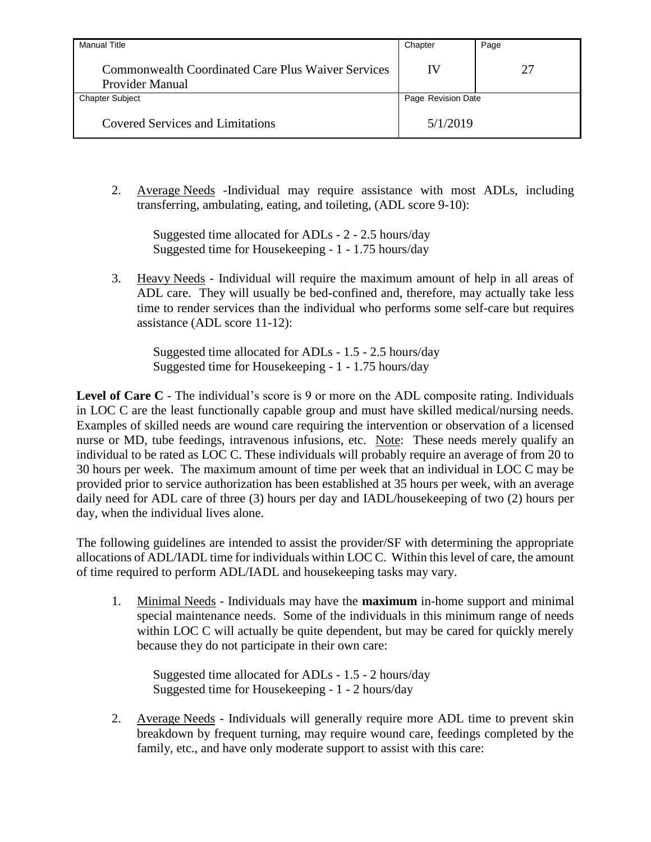| <b>Manual Title</b>                                                          | Chapter            | Page |
|------------------------------------------------------------------------------|--------------------|------|
| <b>Commonwealth Coordinated Care Plus Waiver Services</b><br>Provider Manual | IV                 | 27   |
| <b>Chapter Subject</b>                                                       | Page Revision Date |      |
| <b>Covered Services and Limitations</b>                                      | 5/1/2019           |      |

2. Average Needs -Individual may require assistance with most ADLs, including transferring, ambulating, eating, and toileting, (ADL score 9-10):

Suggested time allocated for ADLs - 2 - 2.5 hours/day Suggested time for Housekeeping - 1 - 1.75 hours/day

3. Heavy Needs - Individual will require the maximum amount of help in all areas of ADL care. They will usually be bed-confined and, therefore, may actually take less time to render services than the individual who performs some self-care but requires assistance (ADL score 11-12):

Suggested time allocated for ADLs - 1.5 - 2.5 hours/day Suggested time for Housekeeping - 1 - 1.75 hours/day

Level of Care C - The individual's score is 9 or more on the ADL composite rating. Individuals in LOC C are the least functionally capable group and must have skilled medical/nursing needs. Examples of skilled needs are wound care requiring the intervention or observation of a licensed nurse or MD, tube feedings, intravenous infusions, etc. Note: These needs merely qualify an individual to be rated as LOC C. These individuals will probably require an average of from 20 to 30 hours per week. The maximum amount of time per week that an individual in LOC C may be provided prior to service authorization has been established at 35 hours per week, with an average daily need for ADL care of three (3) hours per day and IADL/housekeeping of two (2) hours per day, when the individual lives alone.

The following guidelines are intended to assist the provider/SF with determining the appropriate allocations of ADL/IADL time for individuals within LOC C. Within this level of care, the amount of time required to perform ADL/IADL and housekeeping tasks may vary.

1. Minimal Needs - Individuals may have the **maximum** in-home support and minimal special maintenance needs. Some of the individuals in this minimum range of needs within LOC C will actually be quite dependent, but may be cared for quickly merely because they do not participate in their own care:

Suggested time allocated for ADLs - 1.5 - 2 hours/day Suggested time for Housekeeping - 1 - 2 hours/day

2. Average Needs - Individuals will generally require more ADL time to prevent skin breakdown by frequent turning, may require wound care, feedings completed by the family, etc., and have only moderate support to assist with this care: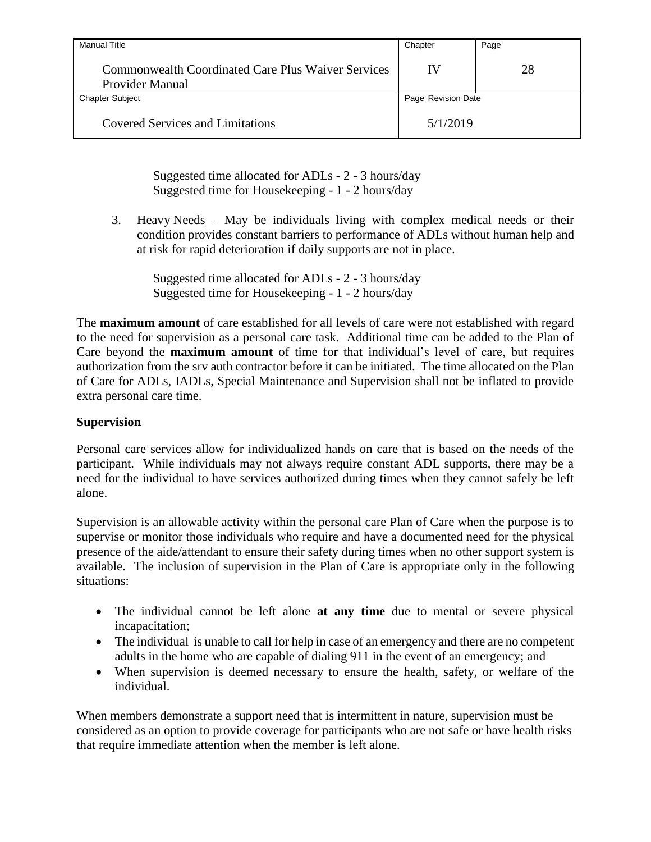| Manual Title                                                                 | Chapter            | Page |
|------------------------------------------------------------------------------|--------------------|------|
| Commonwealth Coordinated Care Plus Waiver Services<br><b>Provider Manual</b> | IV                 | 28   |
| <b>Chapter Subject</b>                                                       | Page Revision Date |      |
| <b>Covered Services and Limitations</b>                                      | 5/1/2019           |      |

Suggested time allocated for ADLs - 2 - 3 hours/day Suggested time for Housekeeping - 1 - 2 hours/day

3. Heavy Needs – May be individuals living with complex medical needs or their condition provides constant barriers to performance of ADLs without human help and at risk for rapid deterioration if daily supports are not in place.

Suggested time allocated for ADLs - 2 - 3 hours/day Suggested time for Housekeeping - 1 - 2 hours/day

The **maximum amount** of care established for all levels of care were not established with regard to the need for supervision as a personal care task. Additional time can be added to the Plan of Care beyond the **maximum amount** of time for that individual's level of care, but requires authorization from the srv auth contractor before it can be initiated. The time allocated on the Plan of Care for ADLs, IADLs, Special Maintenance and Supervision shall not be inflated to provide extra personal care time.

### <span id="page-32-0"></span>**Supervision**

Personal care services allow for individualized hands on care that is based on the needs of the participant. While individuals may not always require constant ADL supports, there may be a need for the individual to have services authorized during times when they cannot safely be left alone.

Supervision is an allowable activity within the personal care Plan of Care when the purpose is to supervise or monitor those individuals who require and have a documented need for the physical presence of the aide/attendant to ensure their safety during times when no other support system is available. The inclusion of supervision in the Plan of Care is appropriate only in the following situations:

- The individual cannot be left alone **at any time** due to mental or severe physical incapacitation;
- The individual is unable to call for help in case of an emergency and there are no competent adults in the home who are capable of dialing 911 in the event of an emergency; and
- When supervision is deemed necessary to ensure the health, safety, or welfare of the individual.

When members demonstrate a support need that is intermittent in nature, supervision must be considered as an option to provide coverage for participants who are not safe or have health risks that require immediate attention when the member is left alone.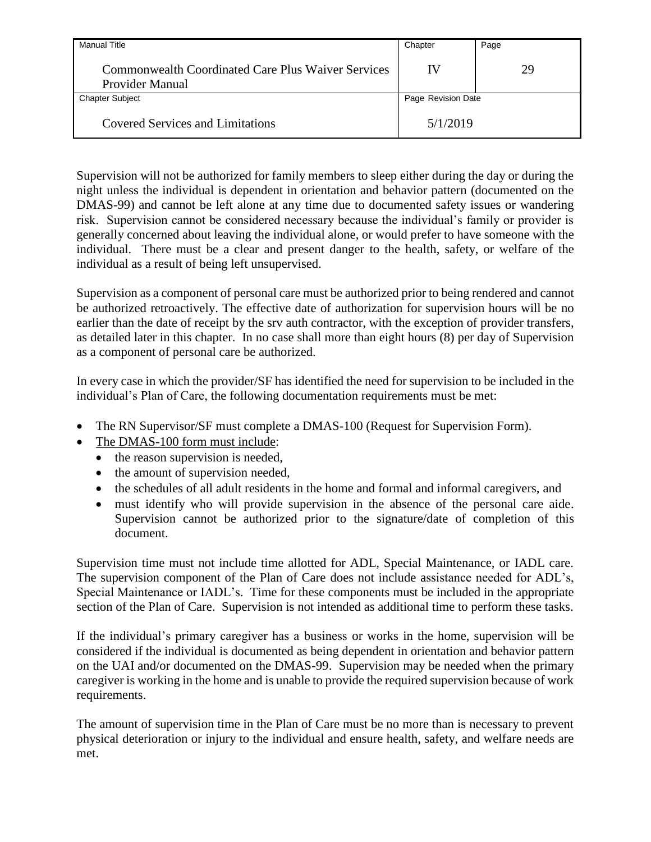| <b>Manual Title</b>                                                          | Chapter            | Page |
|------------------------------------------------------------------------------|--------------------|------|
| <b>Commonwealth Coordinated Care Plus Waiver Services</b><br>Provider Manual | IV                 | 29   |
| <b>Chapter Subject</b>                                                       | Page Revision Date |      |
| <b>Covered Services and Limitations</b>                                      | 5/1/2019           |      |

Supervision will not be authorized for family members to sleep either during the day or during the night unless the individual is dependent in orientation and behavior pattern (documented on the DMAS-99) and cannot be left alone at any time due to documented safety issues or wandering risk. Supervision cannot be considered necessary because the individual's family or provider is generally concerned about leaving the individual alone, or would prefer to have someone with the individual. There must be a clear and present danger to the health, safety, or welfare of the individual as a result of being left unsupervised.

Supervision as a component of personal care must be authorized prior to being rendered and cannot be authorized retroactively. The effective date of authorization for supervision hours will be no earlier than the date of receipt by the srv auth contractor, with the exception of provider transfers, as detailed later in this chapter. In no case shall more than eight hours (8) per day of Supervision as a component of personal care be authorized.

In every case in which the provider/SF has identified the need for supervision to be included in the individual's Plan of Care, the following documentation requirements must be met:

- The RN Supervisor/SF must complete a DMAS-100 (Request for Supervision Form).
- The DMAS-100 form must include:
	- $\bullet$  the reason supervision is needed,
	- the amount of supervision needed,
	- the schedules of all adult residents in the home and formal and informal caregivers, and
	- must identify who will provide supervision in the absence of the personal care aide. Supervision cannot be authorized prior to the signature/date of completion of this document.

Supervision time must not include time allotted for ADL, Special Maintenance, or IADL care. The supervision component of the Plan of Care does not include assistance needed for ADL's, Special Maintenance or IADL's. Time for these components must be included in the appropriate section of the Plan of Care. Supervision is not intended as additional time to perform these tasks.

If the individual's primary caregiver has a business or works in the home, supervision will be considered if the individual is documented as being dependent in orientation and behavior pattern on the UAI and/or documented on the DMAS-99. Supervision may be needed when the primary caregiver is working in the home and is unable to provide the required supervision because of work requirements.

The amount of supervision time in the Plan of Care must be no more than is necessary to prevent physical deterioration or injury to the individual and ensure health, safety, and welfare needs are met.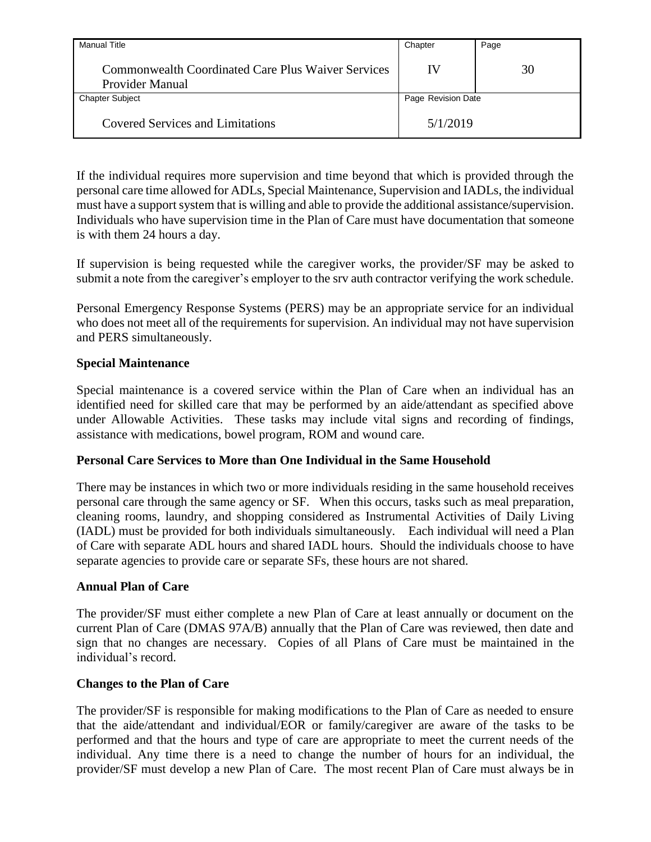| <b>Manual Title</b>                                                   | Chapter            | Page |
|-----------------------------------------------------------------------|--------------------|------|
| Commonwealth Coordinated Care Plus Waiver Services<br>Provider Manual | IV                 | 30   |
| <b>Chapter Subject</b>                                                | Page Revision Date |      |
| <b>Covered Services and Limitations</b>                               | 5/1/2019           |      |

If the individual requires more supervision and time beyond that which is provided through the personal care time allowed for ADLs, Special Maintenance, Supervision and IADLs, the individual must have a support system that is willing and able to provide the additional assistance/supervision. Individuals who have supervision time in the Plan of Care must have documentation that someone is with them 24 hours a day.

If supervision is being requested while the caregiver works, the provider/SF may be asked to submit a note from the caregiver's employer to the srv auth contractor verifying the work schedule.

Personal Emergency Response Systems (PERS) may be an appropriate service for an individual who does not meet all of the requirements for supervision. An individual may not have supervision and PERS simultaneously.

#### <span id="page-34-0"></span>**Special Maintenance**

Special maintenance is a covered service within the Plan of Care when an individual has an identified need for skilled care that may be performed by an aide/attendant as specified above under Allowable Activities. These tasks may include vital signs and recording of findings, assistance with medications, bowel program, ROM and wound care.

#### <span id="page-34-1"></span>**Personal Care Services to More than One Individual in the Same Household**

There may be instances in which two or more individuals residing in the same household receives personal care through the same agency or SF. When this occurs, tasks such as meal preparation, cleaning rooms, laundry, and shopping considered as Instrumental Activities of Daily Living (IADL) must be provided for both individuals simultaneously. Each individual will need a Plan of Care with separate ADL hours and shared IADL hours. Should the individuals choose to have separate agencies to provide care or separate SFs, these hours are not shared.

#### <span id="page-34-2"></span>**Annual Plan of Care**

The provider/SF must either complete a new Plan of Care at least annually or document on the current Plan of Care (DMAS 97A/B) annually that the Plan of Care was reviewed, then date and sign that no changes are necessary. Copies of all Plans of Care must be maintained in the individual's record.

#### <span id="page-34-3"></span>**Changes to the Plan of Care**

The provider/SF is responsible for making modifications to the Plan of Care as needed to ensure that the aide/attendant and individual/EOR or family/caregiver are aware of the tasks to be performed and that the hours and type of care are appropriate to meet the current needs of the individual. Any time there is a need to change the number of hours for an individual, the provider/SF must develop a new Plan of Care. The most recent Plan of Care must always be in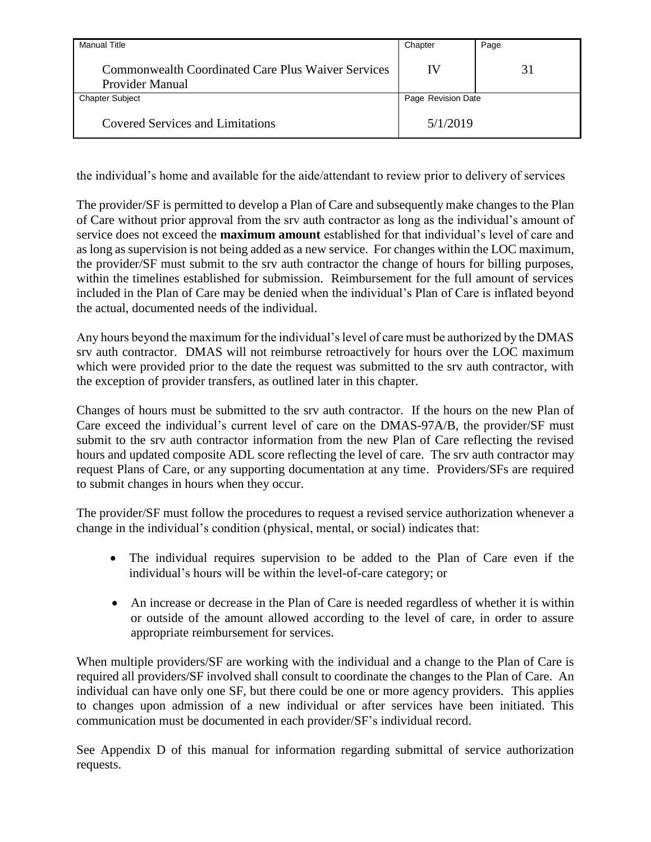| <b>Manual Title</b>                                                   | Chapter            | Page |
|-----------------------------------------------------------------------|--------------------|------|
| Commonwealth Coordinated Care Plus Waiver Services<br>Provider Manual | IV                 | 31   |
| <b>Chapter Subject</b>                                                | Page Revision Date |      |
| <b>Covered Services and Limitations</b>                               | 5/1/2019           |      |

the individual's home and available for the aide/attendant to review prior to delivery of services

The provider/SF is permitted to develop a Plan of Care and subsequently make changes to the Plan of Care without prior approval from the srv auth contractor as long as the individual's amount of service does not exceed the **maximum amount** established for that individual's level of care and as long as supervision is not being added as a new service. For changes within the LOC maximum, the provider/SF must submit to the srv auth contractor the change of hours for billing purposes, within the timelines established for submission. Reimbursement for the full amount of services included in the Plan of Care may be denied when the individual's Plan of Care is inflated beyond the actual, documented needs of the individual.

Any hours beyond the maximum for the individual's level of care must be authorized by the DMAS srv auth contractor. DMAS will not reimburse retroactively for hours over the LOC maximum which were provided prior to the date the request was submitted to the srv auth contractor, with the exception of provider transfers, as outlined later in this chapter.

Changes of hours must be submitted to the srv auth contractor. If the hours on the new Plan of Care exceed the individual's current level of care on the DMAS-97A/B, the provider/SF must submit to the srv auth contractor information from the new Plan of Care reflecting the revised hours and updated composite ADL score reflecting the level of care. The srv auth contractor may request Plans of Care, or any supporting documentation at any time. Providers/SFs are required to submit changes in hours when they occur.

The provider/SF must follow the procedures to request a revised service authorization whenever a change in the individual's condition (physical, mental, or social) indicates that:

- The individual requires supervision to be added to the Plan of Care even if the individual's hours will be within the level-of-care category; or
- An increase or decrease in the Plan of Care is needed regardless of whether it is within or outside of the amount allowed according to the level of care, in order to assure appropriate reimbursement for services.

When multiple providers/SF are working with the individual and a change to the Plan of Care is required all providers/SF involved shall consult to coordinate the changes to the Plan of Care. An individual can have only one SF, but there could be one or more agency providers. This applies to changes upon admission of a new individual or after services have been initiated. This communication must be documented in each provider/SF's individual record.

See Appendix D of this manual for information regarding submittal of service authorization requests.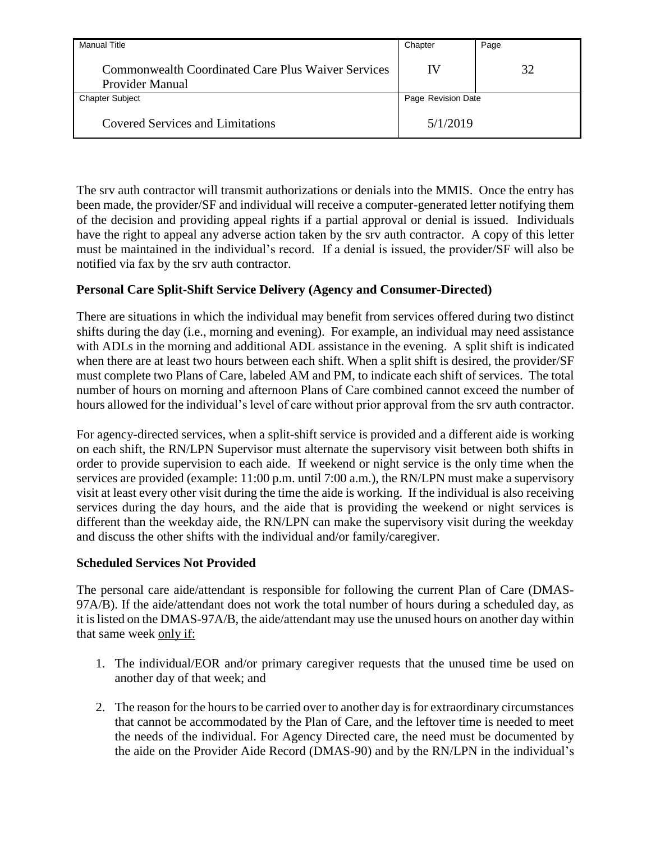| <b>Manual Title</b>                                                   | Chapter            | Page |
|-----------------------------------------------------------------------|--------------------|------|
| Commonwealth Coordinated Care Plus Waiver Services<br>Provider Manual | IV                 | 32   |
| <b>Chapter Subject</b>                                                | Page Revision Date |      |
| <b>Covered Services and Limitations</b>                               | 5/1/2019           |      |

The srv auth contractor will transmit authorizations or denials into the MMIS. Once the entry has been made, the provider/SF and individual will receive a computer-generated letter notifying them of the decision and providing appeal rights if a partial approval or denial is issued. Individuals have the right to appeal any adverse action taken by the srv auth contractor. A copy of this letter must be maintained in the individual's record. If a denial is issued, the provider/SF will also be notified via fax by the srv auth contractor.

## **Personal Care Split-Shift Service Delivery (Agency and Consumer-Directed)**

There are situations in which the individual may benefit from services offered during two distinct shifts during the day (i.e., morning and evening). For example, an individual may need assistance with ADLs in the morning and additional ADL assistance in the evening. A split shift is indicated when there are at least two hours between each shift. When a split shift is desired, the provider/SF must complete two Plans of Care, labeled AM and PM, to indicate each shift of services. The total number of hours on morning and afternoon Plans of Care combined cannot exceed the number of hours allowed for the individual's level of care without prior approval from the srv auth contractor.

For agency-directed services, when a split-shift service is provided and a different aide is working on each shift, the RN/LPN Supervisor must alternate the supervisory visit between both shifts in order to provide supervision to each aide. If weekend or night service is the only time when the services are provided (example: 11:00 p.m. until 7:00 a.m.), the RN/LPN must make a supervisory visit at least every other visit during the time the aide is working. If the individual is also receiving services during the day hours, and the aide that is providing the weekend or night services is different than the weekday aide, the RN/LPN can make the supervisory visit during the weekday and discuss the other shifts with the individual and/or family/caregiver.

## **Scheduled Services Not Provided**

The personal care aide/attendant is responsible for following the current Plan of Care (DMAS-97A/B). If the aide/attendant does not work the total number of hours during a scheduled day, as it is listed on the DMAS-97A/B, the aide/attendant may use the unused hours on another day within that same week only if:

- 1. The individual/EOR and/or primary caregiver requests that the unused time be used on another day of that week; and
- 2. The reason for the hours to be carried over to another day is for extraordinary circumstances that cannot be accommodated by the Plan of Care, and the leftover time is needed to meet the needs of the individual. For Agency Directed care, the need must be documented by the aide on the Provider Aide Record (DMAS-90) and by the RN/LPN in the individual's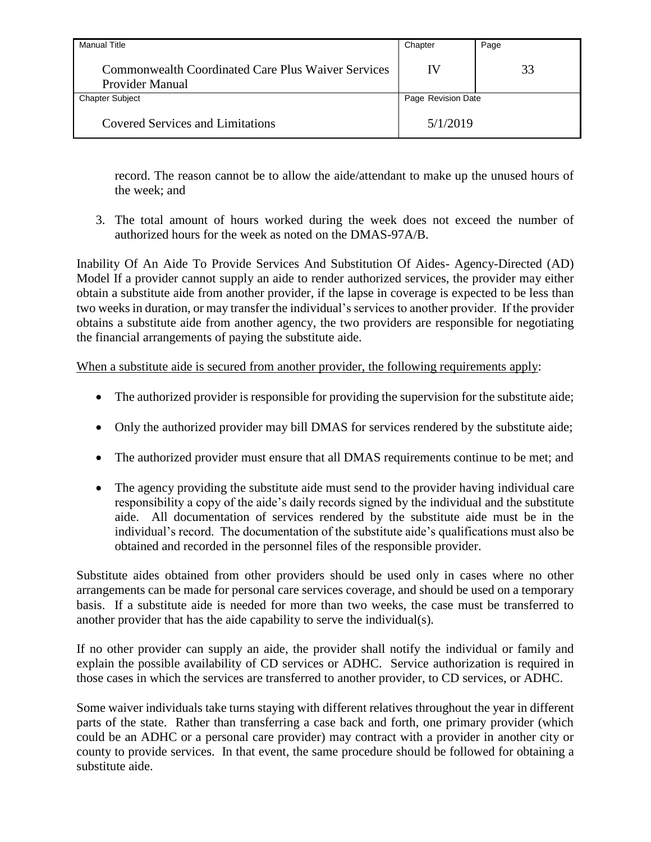| Manual Title                                                          | Chapter            | Page |
|-----------------------------------------------------------------------|--------------------|------|
| Commonwealth Coordinated Care Plus Waiver Services<br>Provider Manual | IV                 | 33   |
| <b>Chapter Subject</b>                                                | Page Revision Date |      |
| <b>Covered Services and Limitations</b>                               | 5/1/2019           |      |

record. The reason cannot be to allow the aide/attendant to make up the unused hours of the week; and

3. The total amount of hours worked during the week does not exceed the number of authorized hours for the week as noted on the DMAS-97A/B.

Inability Of An Aide To Provide Services And Substitution Of Aides- Agency-Directed (AD) Model If a provider cannot supply an aide to render authorized services, the provider may either obtain a substitute aide from another provider, if the lapse in coverage is expected to be less than two weeks in duration, or may transfer the individual's services to another provider. If the provider obtains a substitute aide from another agency, the two providers are responsible for negotiating the financial arrangements of paying the substitute aide.

When a substitute aide is secured from another provider, the following requirements apply:

- The authorized provider is responsible for providing the supervision for the substitute aide;
- Only the authorized provider may bill DMAS for services rendered by the substitute aide;
- The authorized provider must ensure that all DMAS requirements continue to be met; and
- The agency providing the substitute aide must send to the provider having individual care responsibility a copy of the aide's daily records signed by the individual and the substitute aide. All documentation of services rendered by the substitute aide must be in the individual's record. The documentation of the substitute aide's qualifications must also be obtained and recorded in the personnel files of the responsible provider.

Substitute aides obtained from other providers should be used only in cases where no other arrangements can be made for personal care services coverage, and should be used on a temporary basis. If a substitute aide is needed for more than two weeks, the case must be transferred to another provider that has the aide capability to serve the individual(s).

If no other provider can supply an aide, the provider shall notify the individual or family and explain the possible availability of CD services or ADHC. Service authorization is required in those cases in which the services are transferred to another provider, to CD services, or ADHC.

Some waiver individuals take turns staying with different relatives throughout the year in different parts of the state. Rather than transferring a case back and forth, one primary provider (which could be an ADHC or a personal care provider) may contract with a provider in another city or county to provide services. In that event, the same procedure should be followed for obtaining a substitute aide.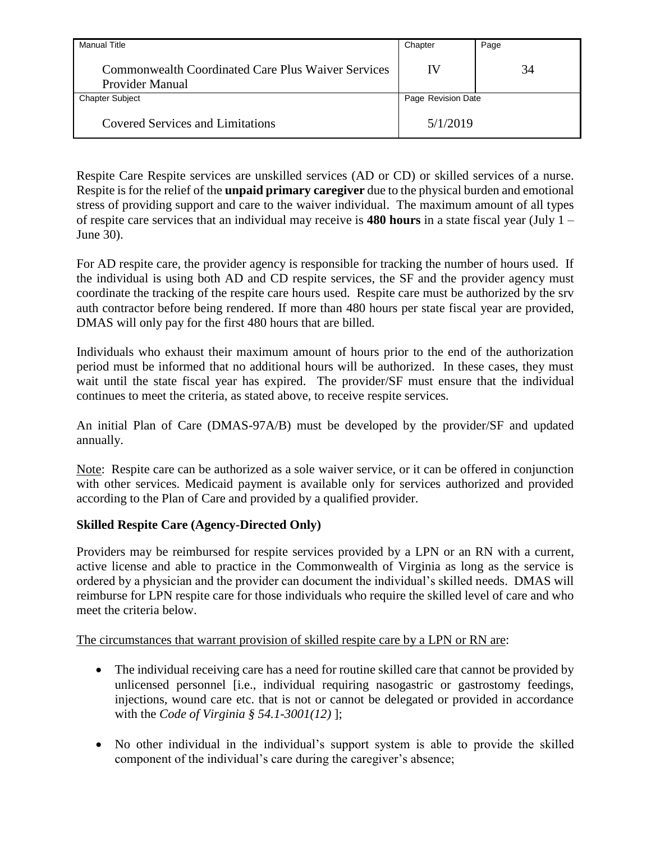| <b>Manual Title</b>                                                          | Chapter            | Page |
|------------------------------------------------------------------------------|--------------------|------|
| <b>Commonwealth Coordinated Care Plus Waiver Services</b><br>Provider Manual | IV                 | 34   |
| <b>Chapter Subject</b>                                                       | Page Revision Date |      |
| <b>Covered Services and Limitations</b>                                      | 5/1/2019           |      |

Respite Care Respite services are unskilled services (AD or CD) or skilled services of a nurse. Respite is for the relief of the **unpaid primary caregiver** due to the physical burden and emotional stress of providing support and care to the waiver individual. The maximum amount of all types of respite care services that an individual may receive is **480 hours** in a state fiscal year (July 1 – June 30).

For AD respite care, the provider agency is responsible for tracking the number of hours used. If the individual is using both AD and CD respite services, the SF and the provider agency must coordinate the tracking of the respite care hours used. Respite care must be authorized by the srv auth contractor before being rendered. If more than 480 hours per state fiscal year are provided, DMAS will only pay for the first 480 hours that are billed.

Individuals who exhaust their maximum amount of hours prior to the end of the authorization period must be informed that no additional hours will be authorized. In these cases, they must wait until the state fiscal year has expired. The provider/SF must ensure that the individual continues to meet the criteria, as stated above, to receive respite services.

An initial Plan of Care (DMAS-97A/B) must be developed by the provider/SF and updated annually.

Note: Respite care can be authorized as a sole waiver service, or it can be offered in conjunction with other services. Medicaid payment is available only for services authorized and provided according to the Plan of Care and provided by a qualified provider.

## **Skilled Respite Care (Agency-Directed Only)**

Providers may be reimbursed for respite services provided by a LPN or an RN with a current, active license and able to practice in the Commonwealth of Virginia as long as the service is ordered by a physician and the provider can document the individual's skilled needs. DMAS will reimburse for LPN respite care for those individuals who require the skilled level of care and who meet the criteria below.

## The circumstances that warrant provision of skilled respite care by a LPN or RN are:

- The individual receiving care has a need for routine skilled care that cannot be provided by unlicensed personnel [i.e., individual requiring nasogastric or gastrostomy feedings, injections, wound care etc. that is not or cannot be delegated or provided in accordance with the *Code of Virginia § 54.1-3001(12)* ];
- No other individual in the individual's support system is able to provide the skilled component of the individual's care during the caregiver's absence;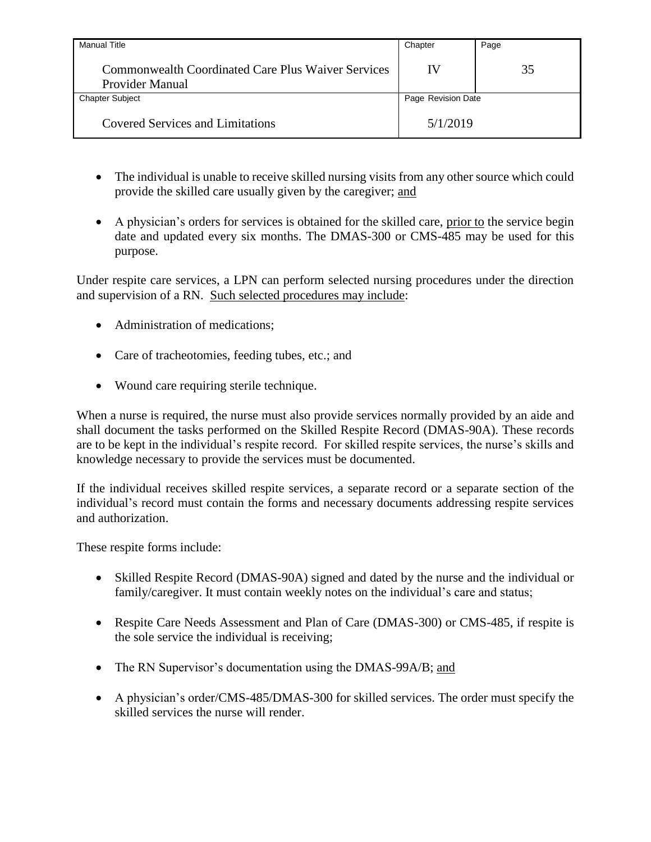| <b>Manual Title</b>                                                          | Chapter            | Page |
|------------------------------------------------------------------------------|--------------------|------|
| <b>Commonwealth Coordinated Care Plus Waiver Services</b><br>Provider Manual | IV                 | 35   |
| <b>Chapter Subject</b>                                                       | Page Revision Date |      |
| <b>Covered Services and Limitations</b>                                      | 5/1/2019           |      |

- The individual is unable to receive skilled nursing visits from any other source which could provide the skilled care usually given by the caregiver; and
- A physician's orders for services is obtained for the skilled care, prior to the service begin date and updated every six months. The DMAS-300 or CMS-485 may be used for this purpose.

Under respite care services, a LPN can perform selected nursing procedures under the direction and supervision of a RN. Such selected procedures may include:

- Administration of medications:
- Care of tracheotomies, feeding tubes, etc.; and
- Wound care requiring sterile technique.

When a nurse is required, the nurse must also provide services normally provided by an aide and shall document the tasks performed on the Skilled Respite Record (DMAS-90A). These records are to be kept in the individual's respite record. For skilled respite services, the nurse's skills and knowledge necessary to provide the services must be documented.

If the individual receives skilled respite services, a separate record or a separate section of the individual's record must contain the forms and necessary documents addressing respite services and authorization.

These respite forms include:

- Skilled Respite Record (DMAS-90A) signed and dated by the nurse and the individual or family/caregiver. It must contain weekly notes on the individual's care and status;
- Respite Care Needs Assessment and Plan of Care (DMAS-300) or CMS-485, if respite is the sole service the individual is receiving;
- The RN Supervisor's documentation using the DMAS-99A/B; and
- A physician's order/CMS-485/DMAS-300 for skilled services. The order must specify the skilled services the nurse will render.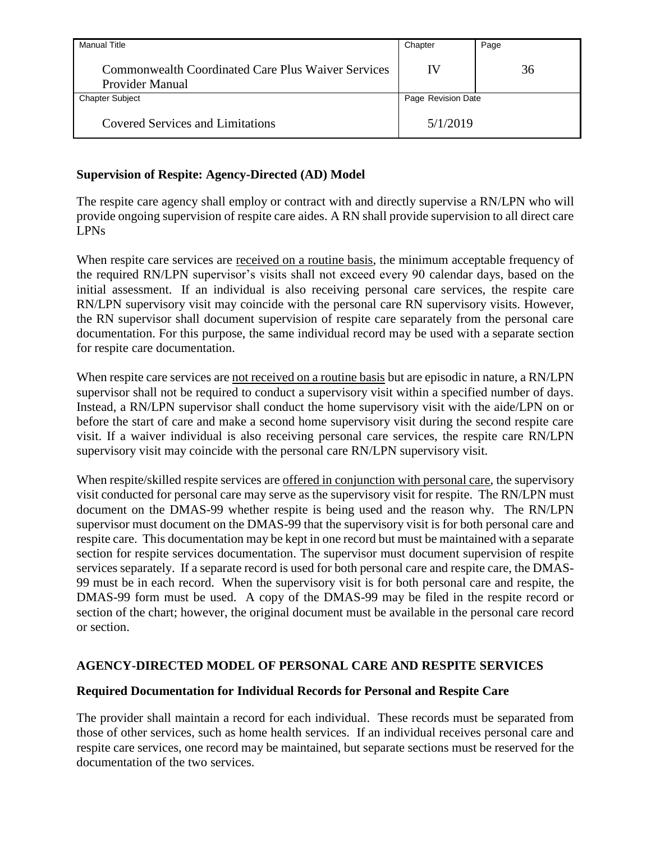| <b>Manual Title</b>                                                          | Chapter            | Page |
|------------------------------------------------------------------------------|--------------------|------|
| <b>Commonwealth Coordinated Care Plus Waiver Services</b><br>Provider Manual | IV                 | 36   |
| <b>Chapter Subject</b>                                                       | Page Revision Date |      |
| <b>Covered Services and Limitations</b>                                      | 5/1/2019           |      |

## **Supervision of Respite: Agency-Directed (AD) Model**

The respite care agency shall employ or contract with and directly supervise a RN/LPN who will provide ongoing supervision of respite care aides. A RN shall provide supervision to all direct care LPNs

When respite care services are received on a routine basis, the minimum acceptable frequency of the required RN/LPN supervisor's visits shall not exceed every 90 calendar days, based on the initial assessment. If an individual is also receiving personal care services, the respite care RN/LPN supervisory visit may coincide with the personal care RN supervisory visits. However, the RN supervisor shall document supervision of respite care separately from the personal care documentation. For this purpose, the same individual record may be used with a separate section for respite care documentation.

When respite care services are not received on a routine basis but are episodic in nature, a RN/LPN supervisor shall not be required to conduct a supervisory visit within a specified number of days. Instead, a RN/LPN supervisor shall conduct the home supervisory visit with the aide/LPN on or before the start of care and make a second home supervisory visit during the second respite care visit. If a waiver individual is also receiving personal care services, the respite care RN/LPN supervisory visit may coincide with the personal care RN/LPN supervisory visit.

When respite/skilled respite services are offered in conjunction with personal care, the supervisory visit conducted for personal care may serve as the supervisory visit for respite. The RN/LPN must document on the DMAS-99 whether respite is being used and the reason why. The RN/LPN supervisor must document on the DMAS-99 that the supervisory visit is for both personal care and respite care. This documentation may be kept in one record but must be maintained with a separate section for respite services documentation. The supervisor must document supervision of respite services separately. If a separate record is used for both personal care and respite care, the DMAS-99 must be in each record. When the supervisory visit is for both personal care and respite, the DMAS-99 form must be used. A copy of the DMAS-99 may be filed in the respite record or section of the chart; however, the original document must be available in the personal care record or section.

## **AGENCY-DIRECTED MODEL OF PERSONAL CARE AND RESPITE SERVICES**

## **Required Documentation for Individual Records for Personal and Respite Care**

The provider shall maintain a record for each individual. These records must be separated from those of other services, such as home health services. If an individual receives personal care and respite care services, one record may be maintained, but separate sections must be reserved for the documentation of the two services.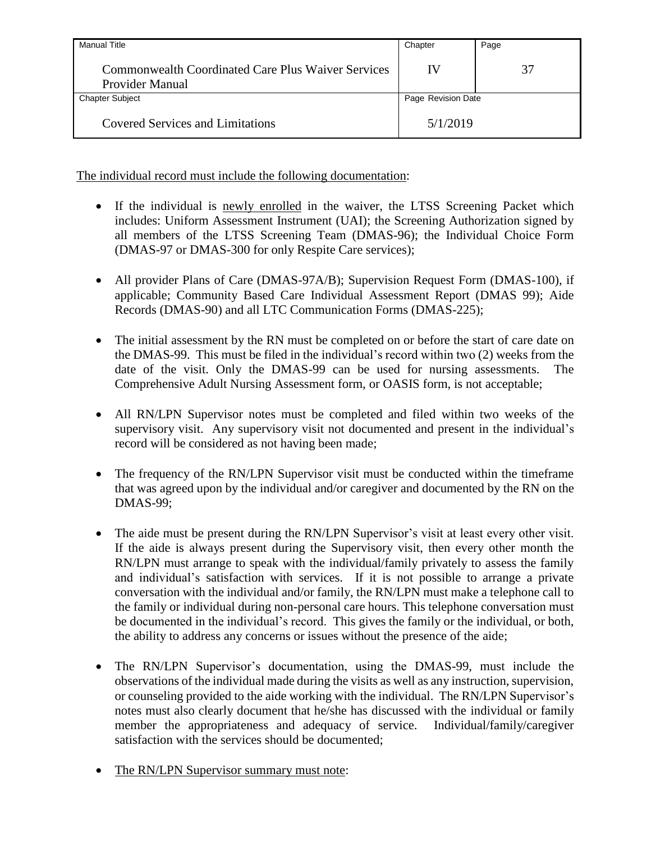| Manual Title                                                                        | Chapter            | Page |
|-------------------------------------------------------------------------------------|--------------------|------|
| <b>Commonwealth Coordinated Care Plus Waiver Services</b><br><b>Provider Manual</b> | IV                 | 37   |
| <b>Chapter Subject</b>                                                              | Page Revision Date |      |
| <b>Covered Services and Limitations</b>                                             | 5/1/2019           |      |

The individual record must include the following documentation:

- If the individual is newly enrolled in the waiver, the LTSS Screening Packet which includes: Uniform Assessment Instrument (UAI); the Screening Authorization signed by all members of the LTSS Screening Team (DMAS-96); the Individual Choice Form (DMAS-97 or DMAS-300 for only Respite Care services);
- All provider Plans of Care (DMAS-97A/B); Supervision Request Form (DMAS-100), if applicable; Community Based Care Individual Assessment Report (DMAS 99); Aide Records (DMAS-90) and all LTC Communication Forms (DMAS-225);
- The initial assessment by the RN must be completed on or before the start of care date on the DMAS-99. This must be filed in the individual's record within two (2) weeks from the date of the visit. Only the DMAS-99 can be used for nursing assessments. The Comprehensive Adult Nursing Assessment form, or OASIS form, is not acceptable;
- All RN/LPN Supervisor notes must be completed and filed within two weeks of the supervisory visit. Any supervisory visit not documented and present in the individual's record will be considered as not having been made;
- The frequency of the RN/LPN Supervisor visit must be conducted within the timeframe that was agreed upon by the individual and/or caregiver and documented by the RN on the DMAS-99;
- The aide must be present during the RN/LPN Supervisor's visit at least every other visit. If the aide is always present during the Supervisory visit, then every other month the RN/LPN must arrange to speak with the individual/family privately to assess the family and individual's satisfaction with services. If it is not possible to arrange a private conversation with the individual and/or family, the RN/LPN must make a telephone call to the family or individual during non-personal care hours. This telephone conversation must be documented in the individual's record. This gives the family or the individual, or both, the ability to address any concerns or issues without the presence of the aide;
- The RN/LPN Supervisor's documentation, using the DMAS-99, must include the observations of the individual made during the visits as well as any instruction, supervision, or counseling provided to the aide working with the individual. The RN/LPN Supervisor's notes must also clearly document that he/she has discussed with the individual or family member the appropriateness and adequacy of service. Individual/family/caregiver satisfaction with the services should be documented;
- The RN/LPN Supervisor summary must note: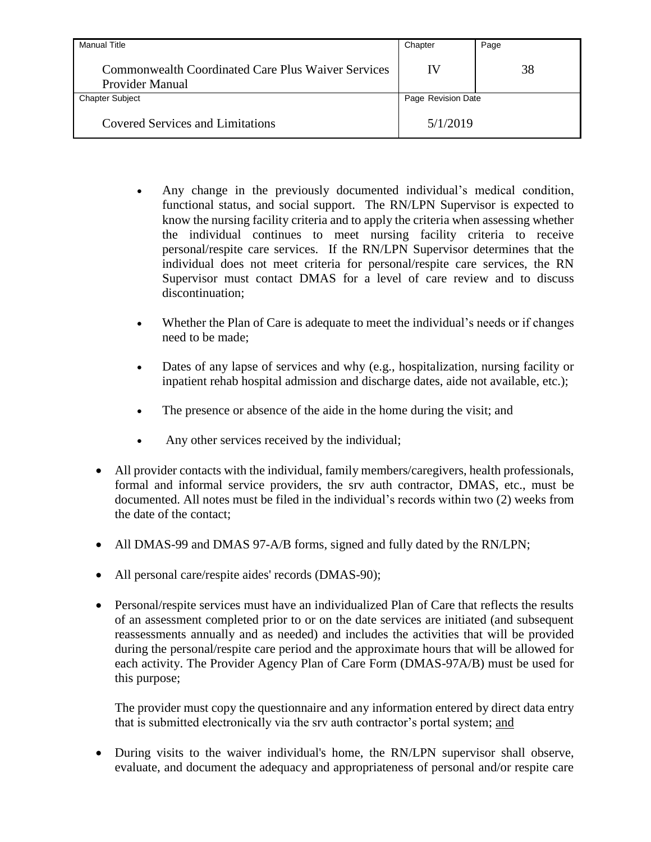| <b>Manual Title</b>                                                          | Chapter            | Page |
|------------------------------------------------------------------------------|--------------------|------|
| <b>Commonwealth Coordinated Care Plus Waiver Services</b><br>Provider Manual | IV                 | 38   |
| <b>Chapter Subject</b>                                                       | Page Revision Date |      |
| <b>Covered Services and Limitations</b>                                      | 5/1/2019           |      |

- Any change in the previously documented individual's medical condition, functional status, and social support. The RN/LPN Supervisor is expected to know the nursing facility criteria and to apply the criteria when assessing whether the individual continues to meet nursing facility criteria to receive personal/respite care services. If the RN/LPN Supervisor determines that the individual does not meet criteria for personal/respite care services, the RN Supervisor must contact DMAS for a level of care review and to discuss discontinuation;
- Whether the Plan of Care is adequate to meet the individual's needs or if changes need to be made;
- Dates of any lapse of services and why (e.g., hospitalization, nursing facility or inpatient rehab hospital admission and discharge dates, aide not available, etc.);
- The presence or absence of the aide in the home during the visit; and
- Any other services received by the individual;
- All provider contacts with the individual, family members/caregivers, health professionals, formal and informal service providers, the srv auth contractor, DMAS, etc., must be documented. All notes must be filed in the individual's records within two (2) weeks from the date of the contact;
- All DMAS-99 and DMAS 97-A/B forms, signed and fully dated by the RN/LPN;
- All personal care/respite aides' records (DMAS-90);
- Personal/respite services must have an individualized Plan of Care that reflects the results of an assessment completed prior to or on the date services are initiated (and subsequent reassessments annually and as needed) and includes the activities that will be provided during the personal/respite care period and the approximate hours that will be allowed for each activity. The Provider Agency Plan of Care Form (DMAS-97A/B) must be used for this purpose;

The provider must copy the questionnaire and any information entered by direct data entry that is submitted electronically via the srv auth contractor's portal system; and

 During visits to the waiver individual's home, the RN/LPN supervisor shall observe, evaluate, and document the adequacy and appropriateness of personal and/or respite care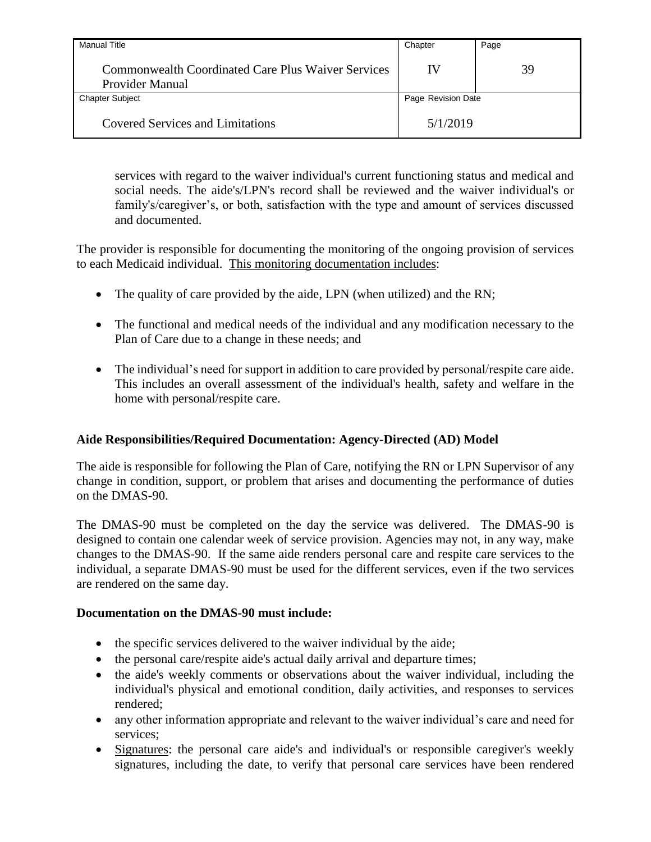| <b>Manual Title</b>                                                   | Chapter            | Page |
|-----------------------------------------------------------------------|--------------------|------|
| Commonwealth Coordinated Care Plus Waiver Services<br>Provider Manual | IV                 | 39   |
| <b>Chapter Subject</b>                                                | Page Revision Date |      |
| <b>Covered Services and Limitations</b>                               | 5/1/2019           |      |

services with regard to the waiver individual's current functioning status and medical and social needs. The aide's/LPN's record shall be reviewed and the waiver individual's or family's/caregiver's, or both, satisfaction with the type and amount of services discussed and documented.

The provider is responsible for documenting the monitoring of the ongoing provision of services to each Medicaid individual. This monitoring documentation includes:

- The quality of care provided by the aide, LPN (when utilized) and the RN;
- The functional and medical needs of the individual and any modification necessary to the Plan of Care due to a change in these needs; and
- The individual's need for support in addition to care provided by personal/respite care aide. This includes an overall assessment of the individual's health, safety and welfare in the home with personal/respite care.

## **Aide Responsibilities/Required Documentation: Agency-Directed (AD) Model**

The aide is responsible for following the Plan of Care, notifying the RN or LPN Supervisor of any change in condition, support, or problem that arises and documenting the performance of duties on the DMAS-90.

The DMAS-90 must be completed on the day the service was delivered. The DMAS-90 is designed to contain one calendar week of service provision. Agencies may not, in any way, make changes to the DMAS-90. If the same aide renders personal care and respite care services to the individual, a separate DMAS-90 must be used for the different services, even if the two services are rendered on the same day.

## **Documentation on the DMAS-90 must include:**

- the specific services delivered to the waiver individual by the aide;
- the personal care/respite aide's actual daily arrival and departure times;
- the aide's weekly comments or observations about the waiver individual, including the individual's physical and emotional condition, daily activities, and responses to services rendered;
- any other information appropriate and relevant to the waiver individual's care and need for services;
- Signatures: the personal care aide's and individual's or responsible caregiver's weekly signatures, including the date, to verify that personal care services have been rendered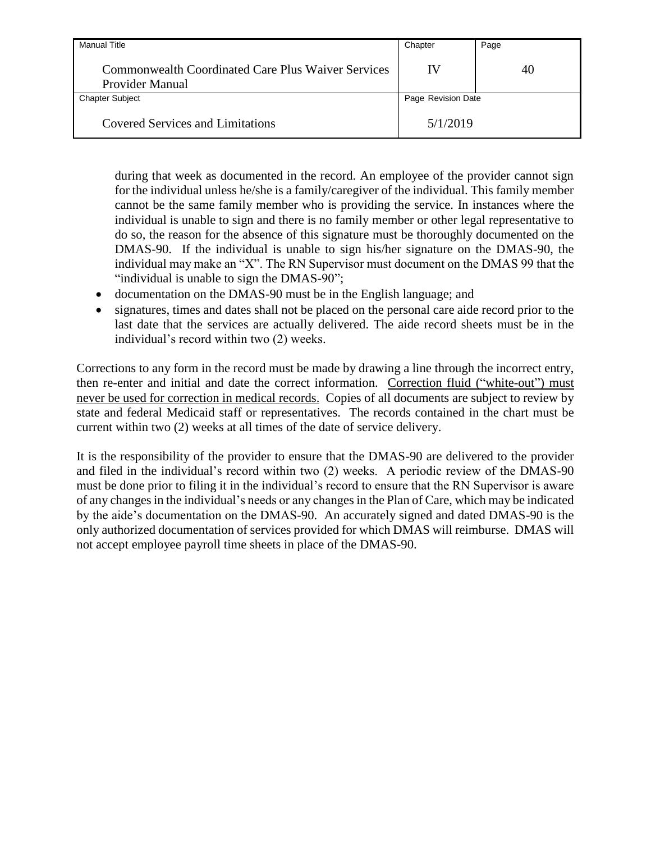| Manual Title                                                                        | Chapter            | Page |
|-------------------------------------------------------------------------------------|--------------------|------|
| <b>Commonwealth Coordinated Care Plus Waiver Services</b><br><b>Provider Manual</b> | IV                 | 40   |
| <b>Chapter Subject</b>                                                              | Page Revision Date |      |
| <b>Covered Services and Limitations</b>                                             | 5/1/2019           |      |

during that week as documented in the record. An employee of the provider cannot sign for the individual unless he/she is a family/caregiver of the individual. This family member cannot be the same family member who is providing the service. In instances where the individual is unable to sign and there is no family member or other legal representative to do so, the reason for the absence of this signature must be thoroughly documented on the DMAS-90. If the individual is unable to sign his/her signature on the DMAS-90, the individual may make an "X". The RN Supervisor must document on the DMAS 99 that the "individual is unable to sign the DMAS-90";

- documentation on the DMAS-90 must be in the English language; and
- signatures, times and dates shall not be placed on the personal care aide record prior to the last date that the services are actually delivered. The aide record sheets must be in the individual's record within two (2) weeks.

Corrections to any form in the record must be made by drawing a line through the incorrect entry, then re-enter and initial and date the correct information. Correction fluid ("white-out") must never be used for correction in medical records. Copies of all documents are subject to review by state and federal Medicaid staff or representatives. The records contained in the chart must be current within two (2) weeks at all times of the date of service delivery.

It is the responsibility of the provider to ensure that the DMAS-90 are delivered to the provider and filed in the individual's record within two (2) weeks. A periodic review of the DMAS-90 must be done prior to filing it in the individual's record to ensure that the RN Supervisor is aware of any changes in the individual's needs or any changes in the Plan of Care, which may be indicated by the aide's documentation on the DMAS-90. An accurately signed and dated DMAS-90 is the only authorized documentation of services provided for which DMAS will reimburse. DMAS will not accept employee payroll time sheets in place of the DMAS-90.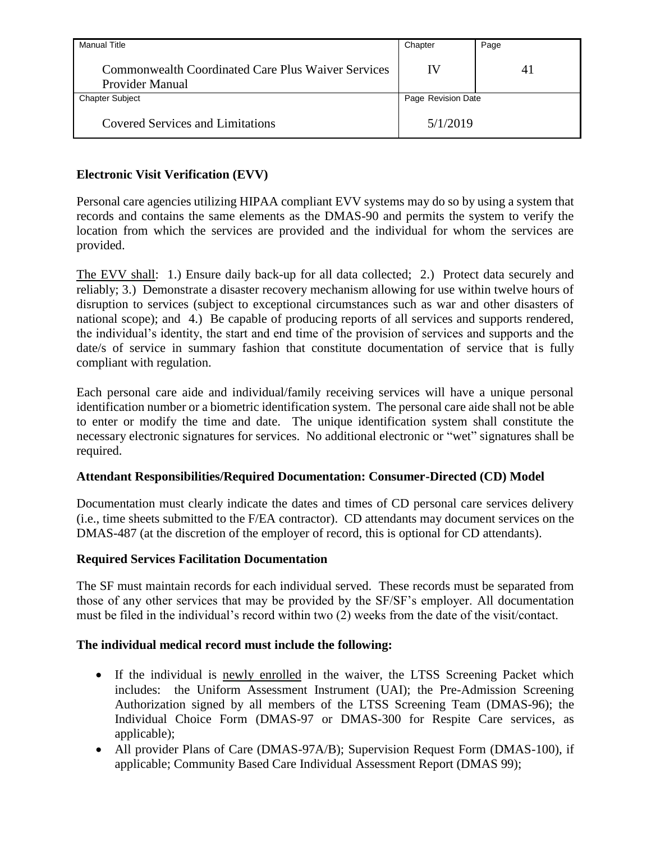| <b>Manual Title</b>                                                   | Chapter            | Page |
|-----------------------------------------------------------------------|--------------------|------|
| Commonwealth Coordinated Care Plus Waiver Services<br>Provider Manual | IV                 | 41   |
| <b>Chapter Subject</b>                                                | Page Revision Date |      |
| <b>Covered Services and Limitations</b>                               | 5/1/2019           |      |

# **Electronic Visit Verification (EVV)**

Personal care agencies utilizing HIPAA compliant EVV systems may do so by using a system that records and contains the same elements as the DMAS-90 and permits the system to verify the location from which the services are provided and the individual for whom the services are provided.

The EVV shall: 1.) Ensure daily back-up for all data collected; 2.) Protect data securely and reliably; 3.) Demonstrate a disaster recovery mechanism allowing for use within twelve hours of disruption to services (subject to exceptional circumstances such as war and other disasters of national scope); and 4.) Be capable of producing reports of all services and supports rendered, the individual's identity, the start and end time of the provision of services and supports and the date/s of service in summary fashion that constitute documentation of service that is fully compliant with regulation.

Each personal care aide and individual/family receiving services will have a unique personal identification number or a biometric identification system. The personal care aide shall not be able to enter or modify the time and date. The unique identification system shall constitute the necessary electronic signatures for services. No additional electronic or "wet" signatures shall be required.

## **Attendant Responsibilities/Required Documentation: Consumer-Directed (CD) Model**

Documentation must clearly indicate the dates and times of CD personal care services delivery (i.e., time sheets submitted to the F/EA contractor). CD attendants may document services on the DMAS-487 (at the discretion of the employer of record, this is optional for CD attendants).

## **Required Services Facilitation Documentation**

The SF must maintain records for each individual served. These records must be separated from those of any other services that may be provided by the SF/SF's employer. All documentation must be filed in the individual's record within two (2) weeks from the date of the visit/contact.

### **The individual medical record must include the following:**

- If the individual is newly enrolled in the waiver, the LTSS Screening Packet which includes: the Uniform Assessment Instrument (UAI); the Pre-Admission Screening Authorization signed by all members of the LTSS Screening Team (DMAS-96); the Individual Choice Form (DMAS-97 or DMAS-300 for Respite Care services, as applicable);
- All provider Plans of Care (DMAS-97A/B); Supervision Request Form (DMAS-100), if applicable; Community Based Care Individual Assessment Report (DMAS 99);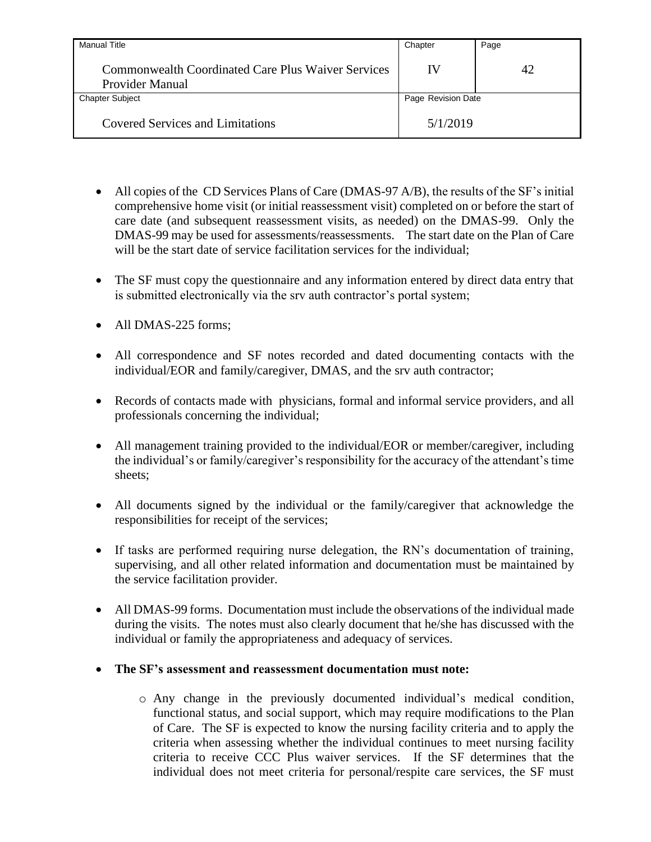| <b>Manual Title</b>                                                                 | Chapter            | Page |
|-------------------------------------------------------------------------------------|--------------------|------|
| <b>Commonwealth Coordinated Care Plus Waiver Services</b><br><b>Provider Manual</b> | IV                 | 42   |
| <b>Chapter Subject</b>                                                              | Page Revision Date |      |
| Covered Services and Limitations                                                    | 5/1/2019           |      |

- All copies of the CD Services Plans of Care (DMAS-97 A/B), the results of the SF's initial comprehensive home visit (or initial reassessment visit) completed on or before the start of care date (and subsequent reassessment visits, as needed) on the DMAS-99. Only the DMAS-99 may be used for assessments/reassessments. The start date on the Plan of Care will be the start date of service facilitation services for the individual:
- The SF must copy the questionnaire and any information entered by direct data entry that is submitted electronically via the srv auth contractor's portal system;
- All DMAS-225 forms;
- All correspondence and SF notes recorded and dated documenting contacts with the individual/EOR and family/caregiver, DMAS, and the srv auth contractor;
- Records of contacts made with physicians, formal and informal service providers, and all professionals concerning the individual;
- All management training provided to the individual/EOR or member/caregiver, including the individual's or family/caregiver's responsibility for the accuracy of the attendant's time sheets;
- All documents signed by the individual or the family/caregiver that acknowledge the responsibilities for receipt of the services;
- If tasks are performed requiring nurse delegation, the RN's documentation of training, supervising, and all other related information and documentation must be maintained by the service facilitation provider.
- All DMAS-99 forms. Documentation must include the observations of the individual made during the visits. The notes must also clearly document that he/she has discussed with the individual or family the appropriateness and adequacy of services.
- **The SF's assessment and reassessment documentation must note:**
	- o Any change in the previously documented individual's medical condition, functional status, and social support, which may require modifications to the Plan of Care. The SF is expected to know the nursing facility criteria and to apply the criteria when assessing whether the individual continues to meet nursing facility criteria to receive CCC Plus waiver services. If the SF determines that the individual does not meet criteria for personal/respite care services, the SF must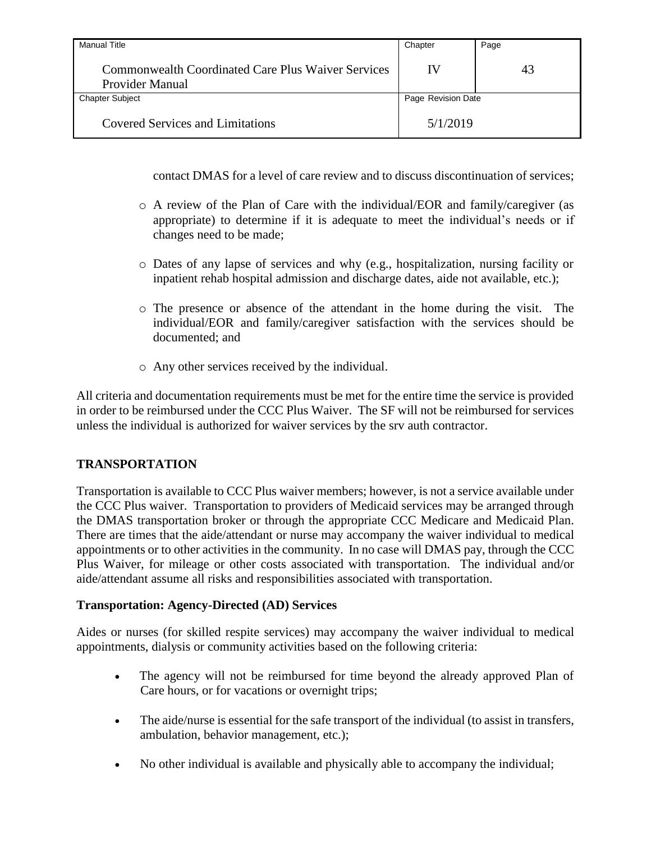| <b>Manual Title</b>                                                          | Chapter            | Page |
|------------------------------------------------------------------------------|--------------------|------|
| <b>Commonwealth Coordinated Care Plus Waiver Services</b><br>Provider Manual | IV                 | 43   |
| <b>Chapter Subject</b>                                                       | Page Revision Date |      |
| <b>Covered Services and Limitations</b>                                      | 5/1/2019           |      |

contact DMAS for a level of care review and to discuss discontinuation of services;

- o A review of the Plan of Care with the individual/EOR and family/caregiver (as appropriate) to determine if it is adequate to meet the individual's needs or if changes need to be made;
- o Dates of any lapse of services and why (e.g., hospitalization, nursing facility or inpatient rehab hospital admission and discharge dates, aide not available, etc.);
- o The presence or absence of the attendant in the home during the visit. The individual/EOR and family/caregiver satisfaction with the services should be documented; and
- o Any other services received by the individual.

All criteria and documentation requirements must be met for the entire time the service is provided in order to be reimbursed under the CCC Plus Waiver. The SF will not be reimbursed for services unless the individual is authorized for waiver services by the srv auth contractor.

## **TRANSPORTATION**

Transportation is available to CCC Plus waiver members; however, is not a service available under the CCC Plus waiver. Transportation to providers of Medicaid services may be arranged through the DMAS transportation broker or through the appropriate CCC Medicare and Medicaid Plan. There are times that the aide/attendant or nurse may accompany the waiver individual to medical appointments or to other activities in the community. In no case will DMAS pay, through the CCC Plus Waiver, for mileage or other costs associated with transportation. The individual and/or aide/attendant assume all risks and responsibilities associated with transportation.

## **Transportation: Agency-Directed (AD) Services**

Aides or nurses (for skilled respite services) may accompany the waiver individual to medical appointments, dialysis or community activities based on the following criteria:

- The agency will not be reimbursed for time beyond the already approved Plan of Care hours, or for vacations or overnight trips;
- The aide/nurse is essential for the safe transport of the individual (to assist in transfers, ambulation, behavior management, etc.);
- No other individual is available and physically able to accompany the individual;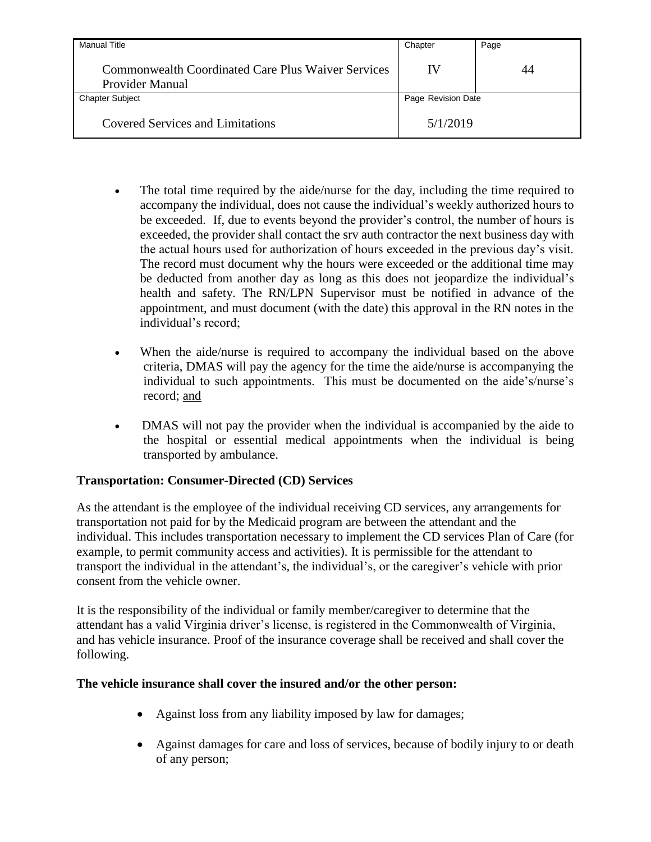| <b>Manual Title</b>                                                                 | Chapter            | Page |
|-------------------------------------------------------------------------------------|--------------------|------|
| <b>Commonwealth Coordinated Care Plus Waiver Services</b><br><b>Provider Manual</b> | IV                 | 44   |
| <b>Chapter Subject</b>                                                              | Page Revision Date |      |
| <b>Covered Services and Limitations</b>                                             | 5/1/2019           |      |

- The total time required by the aide/nurse for the day, including the time required to accompany the individual, does not cause the individual's weekly authorized hours to be exceeded. If, due to events beyond the provider's control, the number of hours is exceeded, the provider shall contact the srv auth contractor the next business day with the actual hours used for authorization of hours exceeded in the previous day's visit. The record must document why the hours were exceeded or the additional time may be deducted from another day as long as this does not jeopardize the individual's health and safety. The RN/LPN Supervisor must be notified in advance of the appointment, and must document (with the date) this approval in the RN notes in the individual's record;
- When the aide/nurse is required to accompany the individual based on the above criteria, DMAS will pay the agency for the time the aide/nurse is accompanying the individual to such appointments. This must be documented on the aide's/nurse's record; and
- DMAS will not pay the provider when the individual is accompanied by the aide to the hospital or essential medical appointments when the individual is being transported by ambulance.

## **Transportation: Consumer-Directed (CD) Services**

As the attendant is the employee of the individual receiving CD services, any arrangements for transportation not paid for by the Medicaid program are between the attendant and the individual. This includes transportation necessary to implement the CD services Plan of Care (for example, to permit community access and activities). It is permissible for the attendant to transport the individual in the attendant's, the individual's, or the caregiver's vehicle with prior consent from the vehicle owner.

It is the responsibility of the individual or family member/caregiver to determine that the attendant has a valid Virginia driver's license, is registered in the Commonwealth of Virginia, and has vehicle insurance. Proof of the insurance coverage shall be received and shall cover the following.

## **The vehicle insurance shall cover the insured and/or the other person:**

- Against loss from any liability imposed by law for damages;
- Against damages for care and loss of services, because of bodily injury to or death of any person;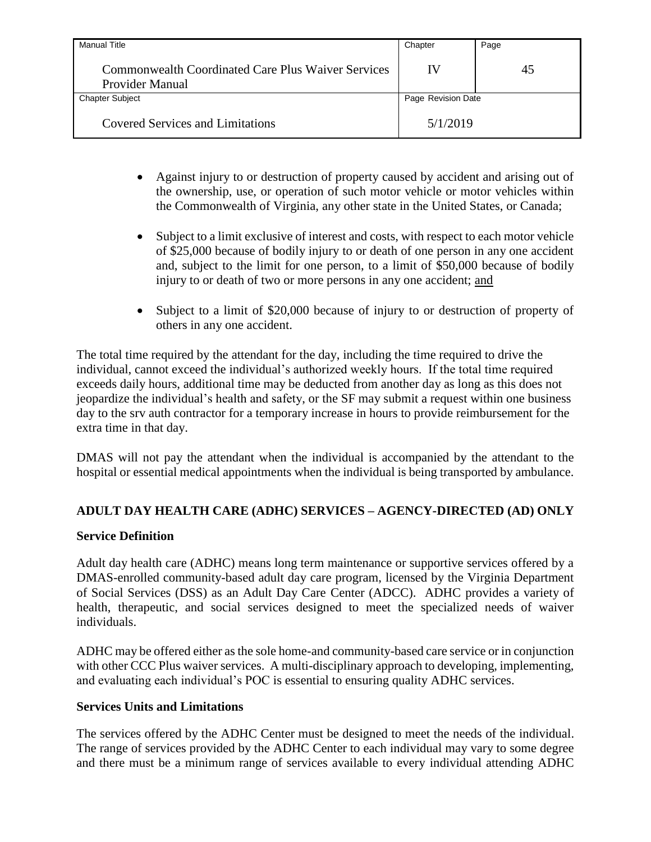| <b>Manual Title</b>                                                          | Chapter            | Page |
|------------------------------------------------------------------------------|--------------------|------|
| Commonwealth Coordinated Care Plus Waiver Services<br><b>Provider Manual</b> | IV                 | 45   |
| <b>Chapter Subject</b>                                                       | Page Revision Date |      |
| Covered Services and Limitations                                             | 5/1/2019           |      |

- Against injury to or destruction of property caused by accident and arising out of the ownership, use, or operation of such motor vehicle or motor vehicles within the Commonwealth of Virginia, any other state in the United States, or Canada;
- Subject to a limit exclusive of interest and costs, with respect to each motor vehicle of \$25,000 because of bodily injury to or death of one person in any one accident and, subject to the limit for one person, to a limit of \$50,000 because of bodily injury to or death of two or more persons in any one accident; and
- Subject to a limit of \$20,000 because of injury to or destruction of property of others in any one accident.

The total time required by the attendant for the day, including the time required to drive the individual, cannot exceed the individual's authorized weekly hours. If the total time required exceeds daily hours, additional time may be deducted from another day as long as this does not jeopardize the individual's health and safety, or the SF may submit a request within one business day to the srv auth contractor for a temporary increase in hours to provide reimbursement for the extra time in that day.

DMAS will not pay the attendant when the individual is accompanied by the attendant to the hospital or essential medical appointments when the individual is being transported by ambulance.

# **ADULT DAY HEALTH CARE (ADHC) SERVICES – AGENCY-DIRECTED (AD) ONLY**

## **Service Definition**

Adult day health care (ADHC) means long term maintenance or supportive services offered by a DMAS-enrolled community-based adult day care program, licensed by the Virginia Department of Social Services (DSS) as an Adult Day Care Center (ADCC). ADHC provides a variety of health, therapeutic, and social services designed to meet the specialized needs of waiver individuals.

ADHC may be offered either as the sole home-and community-based care service or in conjunction with other CCC Plus waiver services. A multi-disciplinary approach to developing, implementing, and evaluating each individual's POC is essential to ensuring quality ADHC services.

### **Services Units and Limitations**

The services offered by the ADHC Center must be designed to meet the needs of the individual. The range of services provided by the ADHC Center to each individual may vary to some degree and there must be a minimum range of services available to every individual attending ADHC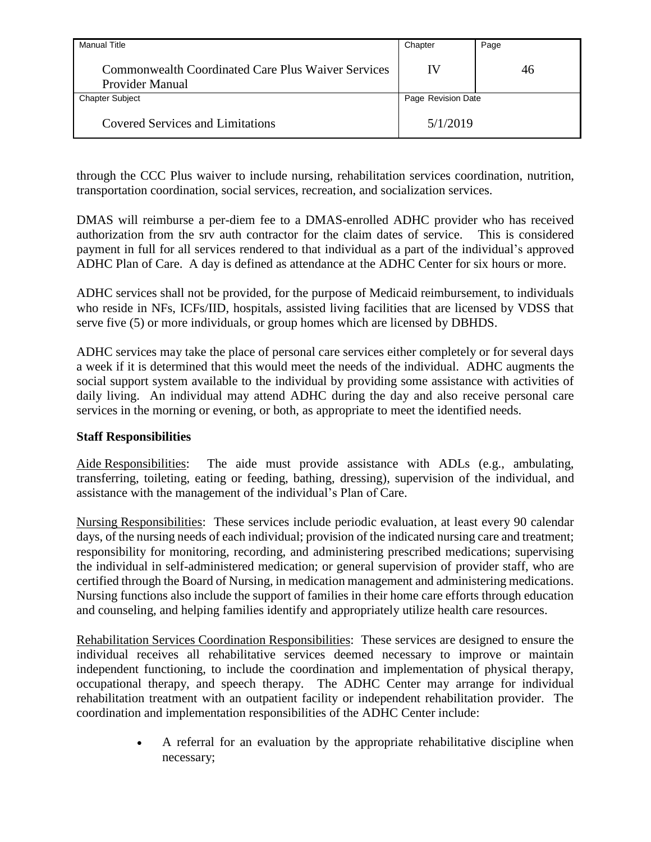| <b>Manual Title</b>                                                   | Chapter            | Page |
|-----------------------------------------------------------------------|--------------------|------|
| Commonwealth Coordinated Care Plus Waiver Services<br>Provider Manual | IV                 | 46   |
| <b>Chapter Subject</b>                                                | Page Revision Date |      |
| <b>Covered Services and Limitations</b>                               | 5/1/2019           |      |

through the CCC Plus waiver to include nursing, rehabilitation services coordination, nutrition, transportation coordination, social services, recreation, and socialization services.

DMAS will reimburse a per-diem fee to a DMAS-enrolled ADHC provider who has received authorization from the srv auth contractor for the claim dates of service. This is considered payment in full for all services rendered to that individual as a part of the individual's approved ADHC Plan of Care. A day is defined as attendance at the ADHC Center for six hours or more.

ADHC services shall not be provided, for the purpose of Medicaid reimbursement, to individuals who reside in NFs, ICFs/IID, hospitals, assisted living facilities that are licensed by VDSS that serve five (5) or more individuals, or group homes which are licensed by DBHDS.

ADHC services may take the place of personal care services either completely or for several days a week if it is determined that this would meet the needs of the individual. ADHC augments the social support system available to the individual by providing some assistance with activities of daily living. An individual may attend ADHC during the day and also receive personal care services in the morning or evening, or both, as appropriate to meet the identified needs.

## **Staff Responsibilities**

Aide Responsibilities: The aide must provide assistance with ADLs (e.g., ambulating, transferring, toileting, eating or feeding, bathing, dressing), supervision of the individual, and assistance with the management of the individual's Plan of Care.

Nursing Responsibilities: These services include periodic evaluation, at least every 90 calendar days, of the nursing needs of each individual; provision of the indicated nursing care and treatment; responsibility for monitoring, recording, and administering prescribed medications; supervising the individual in self-administered medication; or general supervision of provider staff, who are certified through the Board of Nursing, in medication management and administering medications. Nursing functions also include the support of families in their home care efforts through education and counseling, and helping families identify and appropriately utilize health care resources.

Rehabilitation Services Coordination Responsibilities: These services are designed to ensure the individual receives all rehabilitative services deemed necessary to improve or maintain independent functioning, to include the coordination and implementation of physical therapy, occupational therapy, and speech therapy. The ADHC Center may arrange for individual rehabilitation treatment with an outpatient facility or independent rehabilitation provider. The coordination and implementation responsibilities of the ADHC Center include:

> A referral for an evaluation by the appropriate rehabilitative discipline when necessary;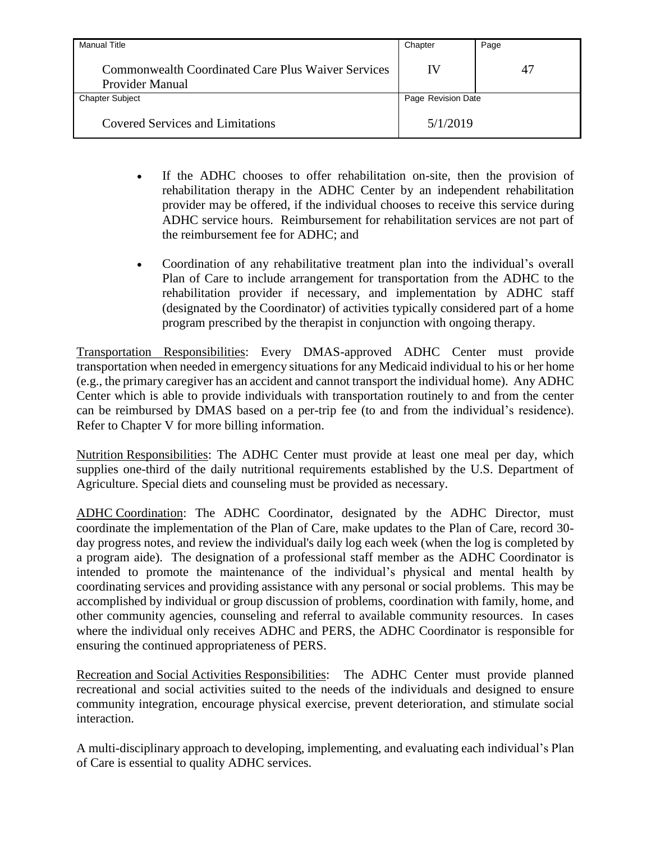| <b>Manual Title</b>                                                                 | Chapter            | Page |
|-------------------------------------------------------------------------------------|--------------------|------|
| <b>Commonwealth Coordinated Care Plus Waiver Services</b><br><b>Provider Manual</b> | IV                 | 47   |
| <b>Chapter Subject</b>                                                              | Page Revision Date |      |
| Covered Services and Limitations                                                    | 5/1/2019           |      |

- If the ADHC chooses to offer rehabilitation on-site, then the provision of rehabilitation therapy in the ADHC Center by an independent rehabilitation provider may be offered, if the individual chooses to receive this service during ADHC service hours. Reimbursement for rehabilitation services are not part of the reimbursement fee for ADHC; and
- Coordination of any rehabilitative treatment plan into the individual's overall Plan of Care to include arrangement for transportation from the ADHC to the rehabilitation provider if necessary, and implementation by ADHC staff (designated by the Coordinator) of activities typically considered part of a home program prescribed by the therapist in conjunction with ongoing therapy.

Transportation Responsibilities: Every DMAS-approved ADHC Center must provide transportation when needed in emergency situations for any Medicaid individual to his or her home (e.g., the primary caregiver has an accident and cannot transport the individual home). Any ADHC Center which is able to provide individuals with transportation routinely to and from the center can be reimbursed by DMAS based on a per-trip fee (to and from the individual's residence). Refer to Chapter V for more billing information.

Nutrition Responsibilities: The ADHC Center must provide at least one meal per day, which supplies one-third of the daily nutritional requirements established by the U.S. Department of Agriculture. Special diets and counseling must be provided as necessary.

ADHC Coordination: The ADHC Coordinator, designated by the ADHC Director, must coordinate the implementation of the Plan of Care, make updates to the Plan of Care, record 30 day progress notes, and review the individual's daily log each week (when the log is completed by a program aide). The designation of a professional staff member as the ADHC Coordinator is intended to promote the maintenance of the individual's physical and mental health by coordinating services and providing assistance with any personal or social problems. This may be accomplished by individual or group discussion of problems, coordination with family, home, and other community agencies, counseling and referral to available community resources. In cases where the individual only receives ADHC and PERS, the ADHC Coordinator is responsible for ensuring the continued appropriateness of PERS.

Recreation and Social Activities Responsibilities: The ADHC Center must provide planned recreational and social activities suited to the needs of the individuals and designed to ensure community integration, encourage physical exercise, prevent deterioration, and stimulate social interaction.

A multi-disciplinary approach to developing, implementing, and evaluating each individual's Plan of Care is essential to quality ADHC services.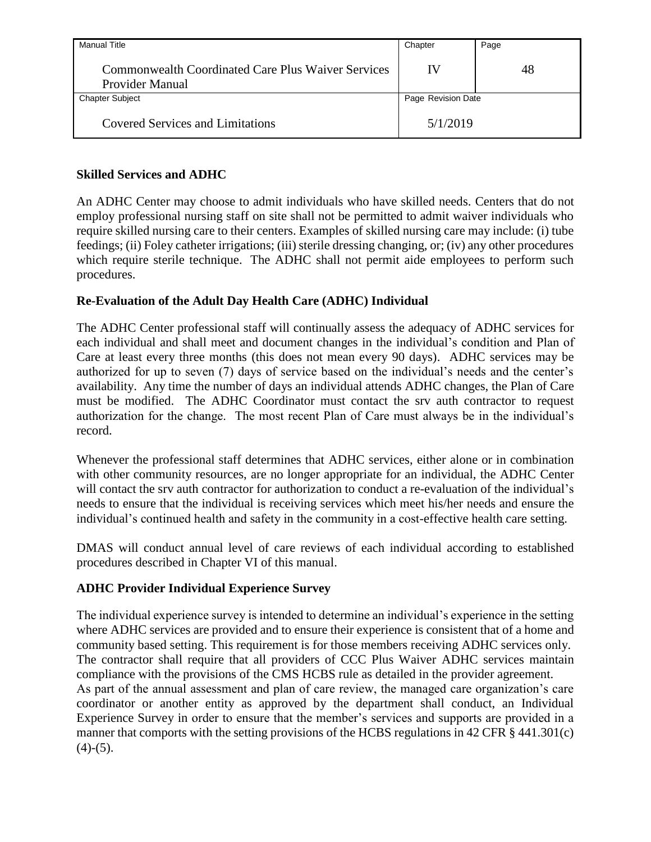| <b>Manual Title</b>                                                          | Chapter            | Page |
|------------------------------------------------------------------------------|--------------------|------|
| <b>Commonwealth Coordinated Care Plus Waiver Services</b><br>Provider Manual | IV                 | 48   |
| <b>Chapter Subject</b>                                                       | Page Revision Date |      |
| <b>Covered Services and Limitations</b>                                      | 5/1/2019           |      |

## **Skilled Services and ADHC**

An ADHC Center may choose to admit individuals who have skilled needs. Centers that do not employ professional nursing staff on site shall not be permitted to admit waiver individuals who require skilled nursing care to their centers. Examples of skilled nursing care may include: (i) tube feedings; (ii) Foley catheter irrigations; (iii) sterile dressing changing, or; (iv) any other procedures which require sterile technique. The ADHC shall not permit aide employees to perform such procedures.

# **Re-Evaluation of the Adult Day Health Care (ADHC) Individual**

The ADHC Center professional staff will continually assess the adequacy of ADHC services for each individual and shall meet and document changes in the individual's condition and Plan of Care at least every three months (this does not mean every 90 days). ADHC services may be authorized for up to seven (7) days of service based on the individual's needs and the center's availability. Any time the number of days an individual attends ADHC changes, the Plan of Care must be modified. The ADHC Coordinator must contact the srv auth contractor to request authorization for the change. The most recent Plan of Care must always be in the individual's record.

Whenever the professional staff determines that ADHC services, either alone or in combination with other community resources, are no longer appropriate for an individual, the ADHC Center will contact the srv auth contractor for authorization to conduct a re-evaluation of the individual's needs to ensure that the individual is receiving services which meet his/her needs and ensure the individual's continued health and safety in the community in a cost-effective health care setting.

DMAS will conduct annual level of care reviews of each individual according to established procedures described in Chapter VI of this manual.

# **ADHC Provider Individual Experience Survey**

The individual experience survey is intended to determine an individual's experience in the setting where ADHC services are provided and to ensure their experience is consistent that of a home and community based setting. This requirement is for those members receiving ADHC services only. The contractor shall require that all providers of CCC Plus Waiver ADHC services maintain compliance with the provisions of the CMS HCBS rule as detailed in the provider agreement. As part of the annual assessment and plan of care review, the managed care organization's care coordinator or another entity as approved by the department shall conduct, an Individual Experience Survey in order to ensure that the member's services and supports are provided in a manner that comports with the setting provisions of the HCBS regulations in 42 CFR § 441.301(c)  $(4)-(5)$ .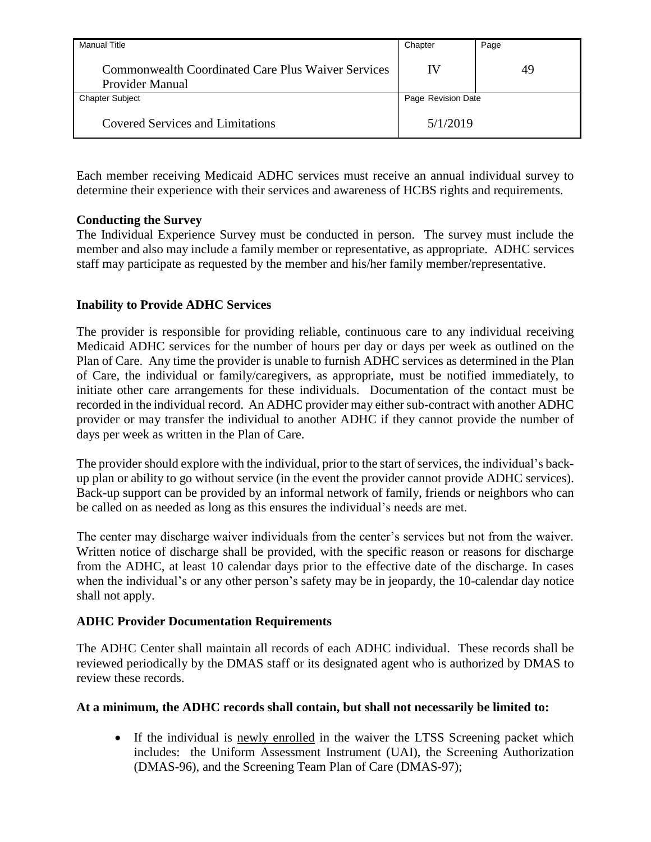| Manual Title                                                          | Chapter            | Page |
|-----------------------------------------------------------------------|--------------------|------|
| Commonwealth Coordinated Care Plus Waiver Services<br>Provider Manual | IV                 | 49   |
| <b>Chapter Subject</b>                                                | Page Revision Date |      |
| <b>Covered Services and Limitations</b>                               | 5/1/2019           |      |

Each member receiving Medicaid ADHC services must receive an annual individual survey to determine their experience with their services and awareness of HCBS rights and requirements.

## **Conducting the Survey**

The Individual Experience Survey must be conducted in person. The survey must include the member and also may include a family member or representative, as appropriate. ADHC services staff may participate as requested by the member and his/her family member/representative.

## **Inability to Provide ADHC Services**

The provider is responsible for providing reliable, continuous care to any individual receiving Medicaid ADHC services for the number of hours per day or days per week as outlined on the Plan of Care. Any time the provider is unable to furnish ADHC services as determined in the Plan of Care, the individual or family/caregivers, as appropriate, must be notified immediately, to initiate other care arrangements for these individuals. Documentation of the contact must be recorded in the individual record. An ADHC provider may either sub-contract with another ADHC provider or may transfer the individual to another ADHC if they cannot provide the number of days per week as written in the Plan of Care.

The provider should explore with the individual, prior to the start of services, the individual's backup plan or ability to go without service (in the event the provider cannot provide ADHC services). Back-up support can be provided by an informal network of family, friends or neighbors who can be called on as needed as long as this ensures the individual's needs are met.

The center may discharge waiver individuals from the center's services but not from the waiver. Written notice of discharge shall be provided, with the specific reason or reasons for discharge from the ADHC, at least 10 calendar days prior to the effective date of the discharge. In cases when the individual's or any other person's safety may be in jeopardy, the 10-calendar day notice shall not apply.

## **ADHC Provider Documentation Requirements**

The ADHC Center shall maintain all records of each ADHC individual. These records shall be reviewed periodically by the DMAS staff or its designated agent who is authorized by DMAS to review these records.

## **At a minimum, the ADHC records shall contain, but shall not necessarily be limited to:**

 If the individual is newly enrolled in the waiver the LTSS Screening packet which includes: the Uniform Assessment Instrument (UAI), the Screening Authorization (DMAS-96), and the Screening Team Plan of Care (DMAS-97);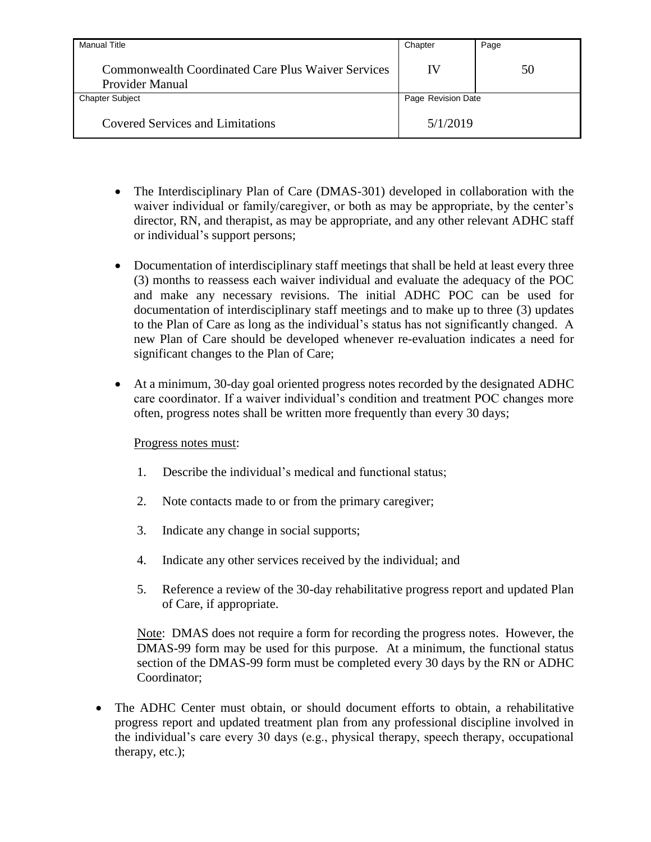| Manual Title                                                                 | Chapter            | Page |
|------------------------------------------------------------------------------|--------------------|------|
| <b>Commonwealth Coordinated Care Plus Waiver Services</b><br>Provider Manual | IV                 | 50   |
| <b>Chapter Subject</b>                                                       | Page Revision Date |      |
| <b>Covered Services and Limitations</b>                                      | 5/1/2019           |      |

- The Interdisciplinary Plan of Care (DMAS-301) developed in collaboration with the waiver individual or family/caregiver, or both as may be appropriate, by the center's director, RN, and therapist, as may be appropriate, and any other relevant ADHC staff or individual's support persons;
- Documentation of interdisciplinary staff meetings that shall be held at least every three (3) months to reassess each waiver individual and evaluate the adequacy of the POC and make any necessary revisions. The initial ADHC POC can be used for documentation of interdisciplinary staff meetings and to make up to three (3) updates to the Plan of Care as long as the individual's status has not significantly changed. A new Plan of Care should be developed whenever re-evaluation indicates a need for significant changes to the Plan of Care;
- At a minimum, 30-day goal oriented progress notes recorded by the designated ADHC care coordinator. If a waiver individual's condition and treatment POC changes more often, progress notes shall be written more frequently than every 30 days;

## Progress notes must:

- 1. Describe the individual's medical and functional status;
- 2. Note contacts made to or from the primary caregiver;
- 3. Indicate any change in social supports;
- 4. Indicate any other services received by the individual; and
- 5. Reference a review of the 30-day rehabilitative progress report and updated Plan of Care, if appropriate.

Note: DMAS does not require a form for recording the progress notes. However, the DMAS-99 form may be used for this purpose. At a minimum, the functional status section of the DMAS-99 form must be completed every 30 days by the RN or ADHC Coordinator;

 The ADHC Center must obtain, or should document efforts to obtain, a rehabilitative progress report and updated treatment plan from any professional discipline involved in the individual's care every 30 days (e.g., physical therapy, speech therapy, occupational therapy, etc.);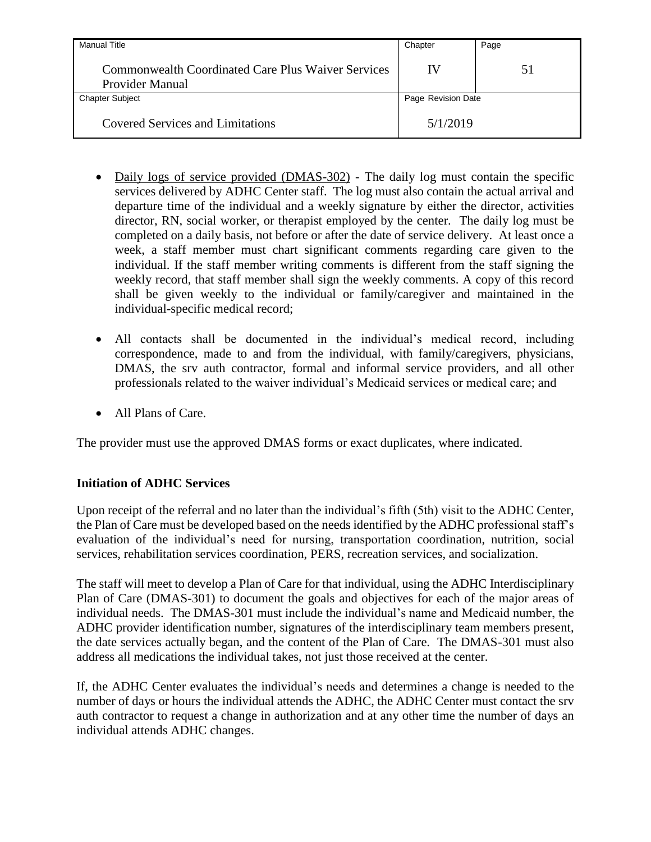| <b>Manual Title</b>                                                          | Chapter            | Page |
|------------------------------------------------------------------------------|--------------------|------|
| <b>Commonwealth Coordinated Care Plus Waiver Services</b><br>Provider Manual | IV                 | 51   |
| <b>Chapter Subject</b>                                                       | Page Revision Date |      |
| Covered Services and Limitations                                             | 5/1/2019           |      |

- Daily logs of service provided (DMAS-302) The daily log must contain the specific services delivered by ADHC Center staff. The log must also contain the actual arrival and departure time of the individual and a weekly signature by either the director, activities director, RN, social worker, or therapist employed by the center. The daily log must be completed on a daily basis, not before or after the date of service delivery. At least once a week, a staff member must chart significant comments regarding care given to the individual. If the staff member writing comments is different from the staff signing the weekly record, that staff member shall sign the weekly comments. A copy of this record shall be given weekly to the individual or family/caregiver and maintained in the individual-specific medical record;
- All contacts shall be documented in the individual's medical record, including correspondence, made to and from the individual, with family/caregivers, physicians, DMAS, the srv auth contractor, formal and informal service providers, and all other professionals related to the waiver individual's Medicaid services or medical care; and
- All Plans of Care.

The provider must use the approved DMAS forms or exact duplicates, where indicated.

# **Initiation of ADHC Services**

Upon receipt of the referral and no later than the individual's fifth (5th) visit to the ADHC Center, the Plan of Care must be developed based on the needs identified by the ADHC professional staff's evaluation of the individual's need for nursing, transportation coordination, nutrition, social services, rehabilitation services coordination, PERS, recreation services, and socialization.

The staff will meet to develop a Plan of Care for that individual, using the ADHC Interdisciplinary Plan of Care (DMAS-301) to document the goals and objectives for each of the major areas of individual needs. The DMAS-301 must include the individual's name and Medicaid number, the ADHC provider identification number, signatures of the interdisciplinary team members present, the date services actually began, and the content of the Plan of Care. The DMAS-301 must also address all medications the individual takes, not just those received at the center.

If, the ADHC Center evaluates the individual's needs and determines a change is needed to the number of days or hours the individual attends the ADHC, the ADHC Center must contact the srv auth contractor to request a change in authorization and at any other time the number of days an individual attends ADHC changes.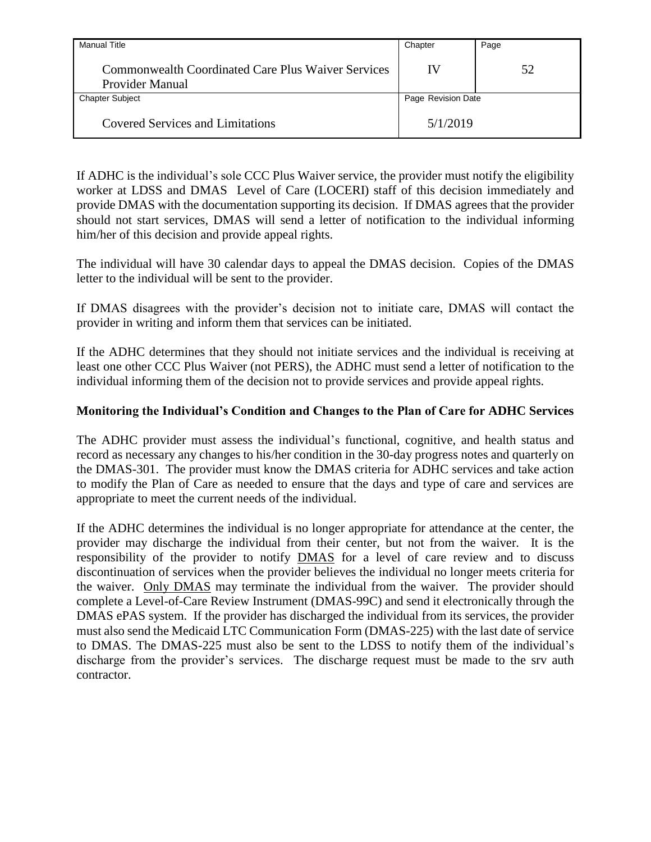| <b>Manual Title</b>                                                   | Chapter            | Page |
|-----------------------------------------------------------------------|--------------------|------|
| Commonwealth Coordinated Care Plus Waiver Services<br>Provider Manual | IV                 | 52   |
| <b>Chapter Subject</b>                                                | Page Revision Date |      |
| <b>Covered Services and Limitations</b>                               | 5/1/2019           |      |

If ADHC is the individual's sole CCC Plus Waiver service, the provider must notify the eligibility worker at LDSS and DMAS Level of Care (LOCERI) staff of this decision immediately and provide DMAS with the documentation supporting its decision. If DMAS agrees that the provider should not start services, DMAS will send a letter of notification to the individual informing him/her of this decision and provide appeal rights.

The individual will have 30 calendar days to appeal the DMAS decision. Copies of the DMAS letter to the individual will be sent to the provider.

If DMAS disagrees with the provider's decision not to initiate care, DMAS will contact the provider in writing and inform them that services can be initiated.

If the ADHC determines that they should not initiate services and the individual is receiving at least one other CCC Plus Waiver (not PERS), the ADHC must send a letter of notification to the individual informing them of the decision not to provide services and provide appeal rights.

### **Monitoring the Individual's Condition and Changes to the Plan of Care for ADHC Services**

The ADHC provider must assess the individual's functional, cognitive, and health status and record as necessary any changes to his/her condition in the 30-day progress notes and quarterly on the DMAS-301. The provider must know the DMAS criteria for ADHC services and take action to modify the Plan of Care as needed to ensure that the days and type of care and services are appropriate to meet the current needs of the individual.

If the ADHC determines the individual is no longer appropriate for attendance at the center, the provider may discharge the individual from their center, but not from the waiver. It is the responsibility of the provider to notify DMAS for a level of care review and to discuss discontinuation of services when the provider believes the individual no longer meets criteria for the waiver. Only DMAS may terminate the individual from the waiver. The provider should complete a Level-of-Care Review Instrument (DMAS-99C) and send it electronically through the DMAS ePAS system. If the provider has discharged the individual from its services, the provider must also send the Medicaid LTC Communication Form (DMAS-225) with the last date of service to DMAS. The DMAS-225 must also be sent to the LDSS to notify them of the individual's discharge from the provider's services. The discharge request must be made to the srv auth contractor.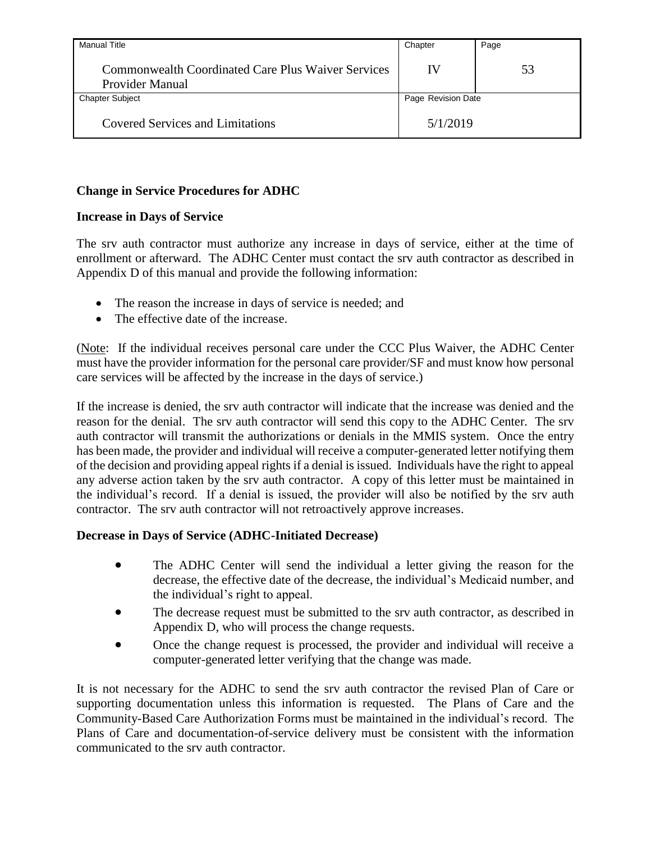| <b>Manual Title</b>                                                          | Chapter            | Page |
|------------------------------------------------------------------------------|--------------------|------|
| <b>Commonwealth Coordinated Care Plus Waiver Services</b><br>Provider Manual | IV                 | 53   |
| <b>Chapter Subject</b>                                                       | Page Revision Date |      |
| <b>Covered Services and Limitations</b>                                      | 5/1/2019           |      |

## **Change in Service Procedures for ADHC**

### **Increase in Days of Service**

The srv auth contractor must authorize any increase in days of service, either at the time of enrollment or afterward. The ADHC Center must contact the srv auth contractor as described in Appendix D of this manual and provide the following information:

- The reason the increase in days of service is needed; and
- The effective date of the increase.

(Note: If the individual receives personal care under the CCC Plus Waiver, the ADHC Center must have the provider information for the personal care provider/SF and must know how personal care services will be affected by the increase in the days of service.)

If the increase is denied, the srv auth contractor will indicate that the increase was denied and the reason for the denial. The srv auth contractor will send this copy to the ADHC Center. The srv auth contractor will transmit the authorizations or denials in the MMIS system. Once the entry has been made, the provider and individual will receive a computer-generated letter notifying them of the decision and providing appeal rights if a denial is issued. Individuals have the right to appeal any adverse action taken by the srv auth contractor. A copy of this letter must be maintained in the individual's record. If a denial is issued, the provider will also be notified by the srv auth contractor. The srv auth contractor will not retroactively approve increases.

## **Decrease in Days of Service (ADHC-Initiated Decrease)**

- The ADHC Center will send the individual a letter giving the reason for the decrease, the effective date of the decrease, the individual's Medicaid number, and the individual's right to appeal.
- The decrease request must be submitted to the srv auth contractor, as described in Appendix D, who will process the change requests.
- Once the change request is processed, the provider and individual will receive a computer-generated letter verifying that the change was made.

It is not necessary for the ADHC to send the srv auth contractor the revised Plan of Care or supporting documentation unless this information is requested. The Plans of Care and the Community-Based Care Authorization Forms must be maintained in the individual's record. The Plans of Care and documentation-of-service delivery must be consistent with the information communicated to the srv auth contractor.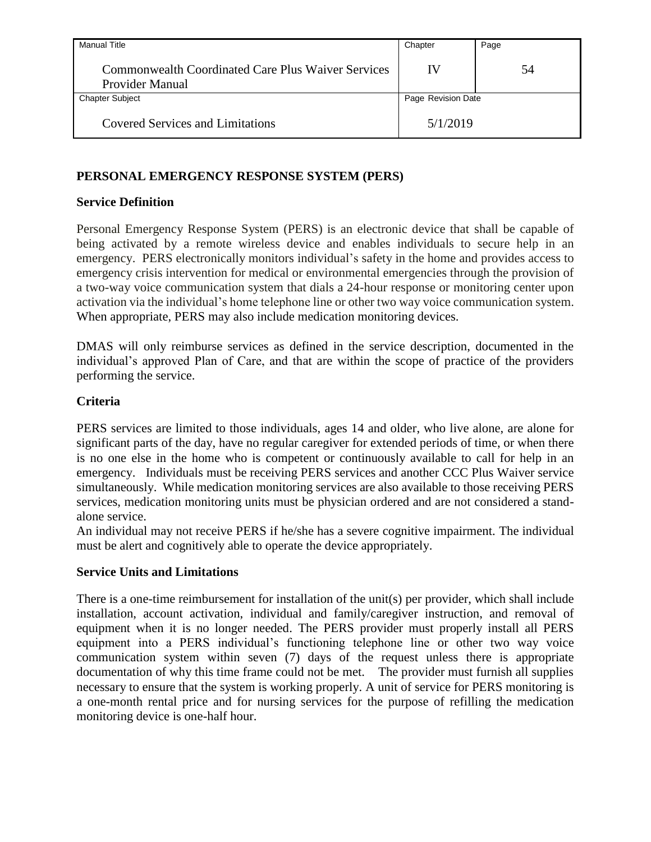| <b>Manual Title</b>                                                   | Chapter            | Page |
|-----------------------------------------------------------------------|--------------------|------|
| Commonwealth Coordinated Care Plus Waiver Services<br>Provider Manual | IV                 | 54   |
| <b>Chapter Subject</b>                                                | Page Revision Date |      |
| <b>Covered Services and Limitations</b>                               | 5/1/2019           |      |

# **PERSONAL EMERGENCY RESPONSE SYSTEM (PERS)**

## **Service Definition**

Personal Emergency Response System (PERS) is an electronic device that shall be capable of being activated by a remote wireless device and enables individuals to secure help in an emergency. PERS electronically monitors individual's safety in the home and provides access to emergency crisis intervention for medical or environmental emergencies through the provision of a two-way voice communication system that dials a 24-hour response or monitoring center upon activation via the individual's home telephone line or other two way voice communication system. When appropriate, PERS may also include medication monitoring devices.

DMAS will only reimburse services as defined in the service description, documented in the individual's approved Plan of Care, and that are within the scope of practice of the providers performing the service.

## **Criteria**

PERS services are limited to those individuals, ages 14 and older, who live alone, are alone for significant parts of the day, have no regular caregiver for extended periods of time, or when there is no one else in the home who is competent or continuously available to call for help in an emergency. Individuals must be receiving PERS services and another CCC Plus Waiver service simultaneously. While medication monitoring services are also available to those receiving PERS services, medication monitoring units must be physician ordered and are not considered a standalone service.

An individual may not receive PERS if he/she has a severe cognitive impairment. The individual must be alert and cognitively able to operate the device appropriately.

## **Service Units and Limitations**

There is a one-time reimbursement for installation of the unit(s) per provider, which shall include installation, account activation, individual and family/caregiver instruction, and removal of equipment when it is no longer needed. The PERS provider must properly install all PERS equipment into a PERS individual's functioning telephone line or other two way voice communication system within seven (7) days of the request unless there is appropriate documentation of why this time frame could not be met. The provider must furnish all supplies necessary to ensure that the system is working properly. A unit of service for PERS monitoring is a one-month rental price and for nursing services for the purpose of refilling the medication monitoring device is one-half hour.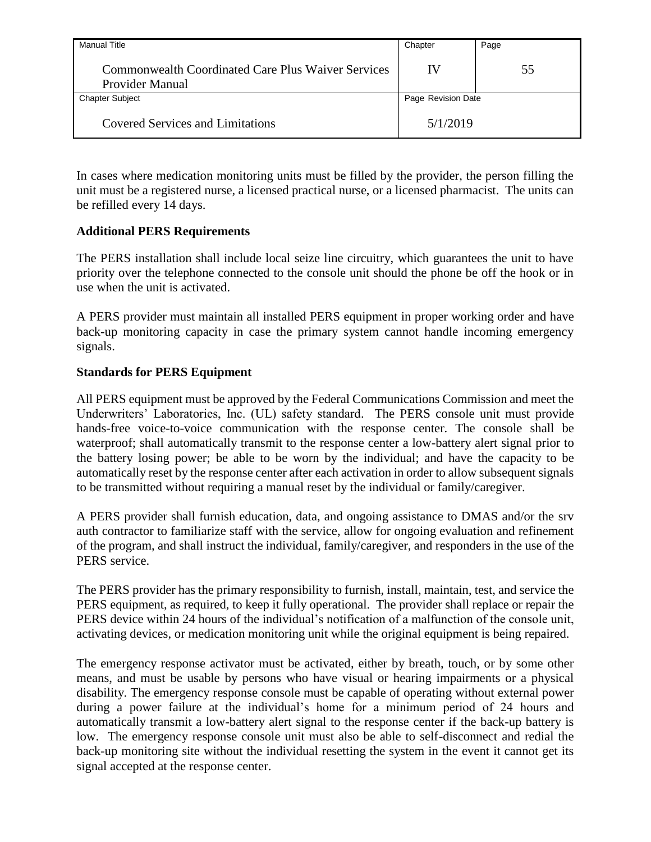| Manual Title                                                          | Chapter            | Page |
|-----------------------------------------------------------------------|--------------------|------|
| Commonwealth Coordinated Care Plus Waiver Services<br>Provider Manual | IV                 | 55   |
| <b>Chapter Subject</b>                                                | Page Revision Date |      |
| <b>Covered Services and Limitations</b>                               | 5/1/2019           |      |

In cases where medication monitoring units must be filled by the provider, the person filling the unit must be a registered nurse, a licensed practical nurse, or a licensed pharmacist. The units can be refilled every 14 days.

## **Additional PERS Requirements**

The PERS installation shall include local seize line circuitry, which guarantees the unit to have priority over the telephone connected to the console unit should the phone be off the hook or in use when the unit is activated.

A PERS provider must maintain all installed PERS equipment in proper working order and have back-up monitoring capacity in case the primary system cannot handle incoming emergency signals.

## **Standards for PERS Equipment**

All PERS equipment must be approved by the Federal Communications Commission and meet the Underwriters' Laboratories, Inc. (UL) safety standard. The PERS console unit must provide hands-free voice-to-voice communication with the response center. The console shall be waterproof; shall automatically transmit to the response center a low-battery alert signal prior to the battery losing power; be able to be worn by the individual; and have the capacity to be automatically reset by the response center after each activation in order to allow subsequent signals to be transmitted without requiring a manual reset by the individual or family/caregiver.

A PERS provider shall furnish education, data, and ongoing assistance to DMAS and/or the srv auth contractor to familiarize staff with the service, allow for ongoing evaluation and refinement of the program, and shall instruct the individual, family/caregiver, and responders in the use of the PERS service.

The PERS provider has the primary responsibility to furnish, install, maintain, test, and service the PERS equipment, as required, to keep it fully operational. The provider shall replace or repair the PERS device within 24 hours of the individual's notification of a malfunction of the console unit, activating devices, or medication monitoring unit while the original equipment is being repaired.

The emergency response activator must be activated, either by breath, touch, or by some other means, and must be usable by persons who have visual or hearing impairments or a physical disability. The emergency response console must be capable of operating without external power during a power failure at the individual's home for a minimum period of 24 hours and automatically transmit a low-battery alert signal to the response center if the back-up battery is low. The emergency response console unit must also be able to self-disconnect and redial the back-up monitoring site without the individual resetting the system in the event it cannot get its signal accepted at the response center.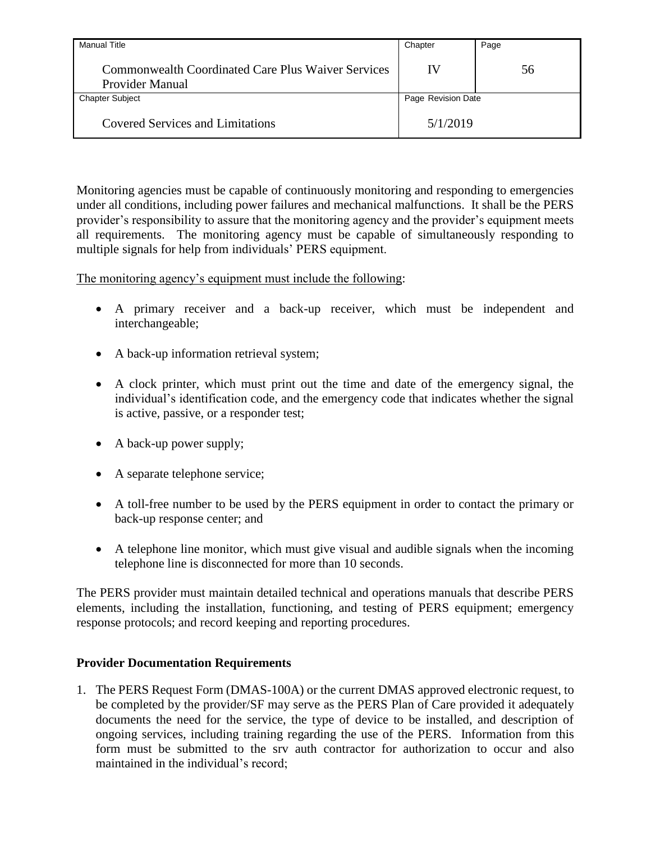| <b>Manual Title</b>                                                          | Chapter            | Page |
|------------------------------------------------------------------------------|--------------------|------|
| <b>Commonwealth Coordinated Care Plus Waiver Services</b><br>Provider Manual | IV                 | 56   |
| <b>Chapter Subject</b>                                                       | Page Revision Date |      |
| <b>Covered Services and Limitations</b>                                      | 5/1/2019           |      |

Monitoring agencies must be capable of continuously monitoring and responding to emergencies under all conditions, including power failures and mechanical malfunctions. It shall be the PERS provider's responsibility to assure that the monitoring agency and the provider's equipment meets all requirements. The monitoring agency must be capable of simultaneously responding to multiple signals for help from individuals' PERS equipment.

The monitoring agency's equipment must include the following:

- A primary receiver and a back-up receiver, which must be independent and interchangeable;
- A back-up information retrieval system;
- A clock printer, which must print out the time and date of the emergency signal, the individual's identification code, and the emergency code that indicates whether the signal is active, passive, or a responder test;
- A back-up power supply;
- A separate telephone service;
- A toll-free number to be used by the PERS equipment in order to contact the primary or back-up response center; and
- A telephone line monitor, which must give visual and audible signals when the incoming telephone line is disconnected for more than 10 seconds.

The PERS provider must maintain detailed technical and operations manuals that describe PERS elements, including the installation, functioning, and testing of PERS equipment; emergency response protocols; and record keeping and reporting procedures.

## **Provider Documentation Requirements**

1. The PERS Request Form (DMAS-100A) or the current DMAS approved electronic request, to be completed by the provider/SF may serve as the PERS Plan of Care provided it adequately documents the need for the service, the type of device to be installed, and description of ongoing services, including training regarding the use of the PERS. Information from this form must be submitted to the srv auth contractor for authorization to occur and also maintained in the individual's record;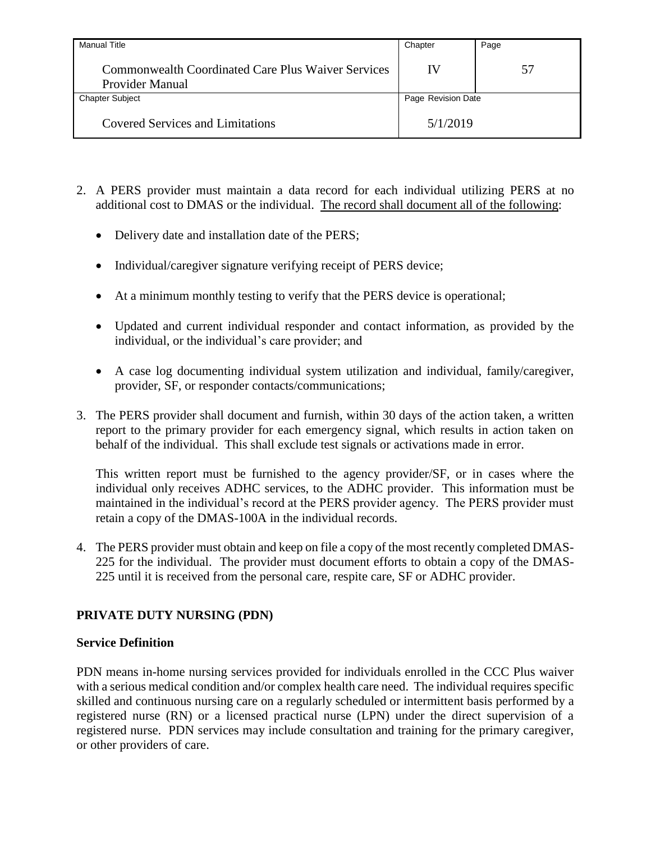| <b>Manual Title</b>                                                          | Chapter            | Page |
|------------------------------------------------------------------------------|--------------------|------|
| <b>Commonwealth Coordinated Care Plus Waiver Services</b><br>Provider Manual | IV                 | 57   |
| <b>Chapter Subject</b>                                                       | Page Revision Date |      |
| <b>Covered Services and Limitations</b>                                      | 5/1/2019           |      |

- 2. A PERS provider must maintain a data record for each individual utilizing PERS at no additional cost to DMAS or the individual. The record shall document all of the following:
	- Delivery date and installation date of the PERS;
	- Individual/caregiver signature verifying receipt of PERS device;
	- At a minimum monthly testing to verify that the PERS device is operational;
	- Updated and current individual responder and contact information, as provided by the individual, or the individual's care provider; and
	- A case log documenting individual system utilization and individual, family/caregiver, provider, SF, or responder contacts/communications;
- 3. The PERS provider shall document and furnish, within 30 days of the action taken, a written report to the primary provider for each emergency signal, which results in action taken on behalf of the individual. This shall exclude test signals or activations made in error.

This written report must be furnished to the agency provider/SF, or in cases where the individual only receives ADHC services, to the ADHC provider. This information must be maintained in the individual's record at the PERS provider agency. The PERS provider must retain a copy of the DMAS-100A in the individual records.

4. The PERS provider must obtain and keep on file a copy of the most recently completed DMAS-225 for the individual. The provider must document efforts to obtain a copy of the DMAS-225 until it is received from the personal care, respite care, SF or ADHC provider.

## **PRIVATE DUTY NURSING (PDN)**

### **Service Definition**

PDN means in-home nursing services provided for individuals enrolled in the CCC Plus waiver with a serious medical condition and/or complex health care need. The individual requires specific skilled and continuous nursing care on a regularly scheduled or intermittent basis performed by a registered nurse (RN) or a licensed practical nurse (LPN) under the direct supervision of a registered nurse. PDN services may include consultation and training for the primary caregiver, or other providers of care.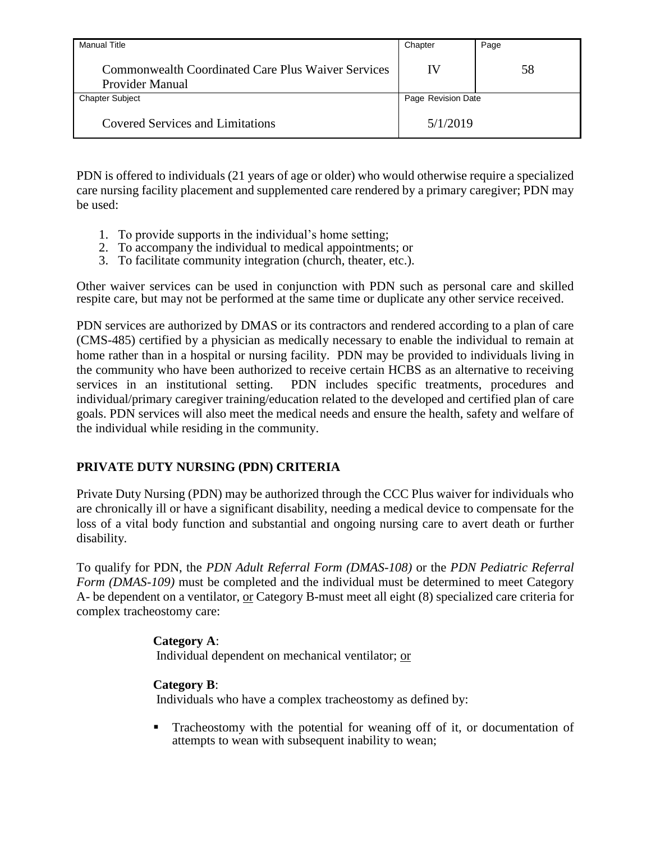| Manual Title                                                          | Chapter            | Page |
|-----------------------------------------------------------------------|--------------------|------|
| Commonwealth Coordinated Care Plus Waiver Services<br>Provider Manual | IV                 | 58   |
| <b>Chapter Subject</b>                                                | Page Revision Date |      |
| <b>Covered Services and Limitations</b>                               | 5/1/2019           |      |

PDN is offered to individuals (21 years of age or older) who would otherwise require a specialized care nursing facility placement and supplemented care rendered by a primary caregiver; PDN may be used:

- 1. To provide supports in the individual's home setting;
- 2. To accompany the individual to medical appointments; or
- 3. To facilitate community integration (church, theater, etc.).

Other waiver services can be used in conjunction with PDN such as personal care and skilled respite care, but may not be performed at the same time or duplicate any other service received.

PDN services are authorized by DMAS or its contractors and rendered according to a plan of care (CMS-485) certified by a physician as medically necessary to enable the individual to remain at home rather than in a hospital or nursing facility. PDN may be provided to individuals living in the community who have been authorized to receive certain HCBS as an alternative to receiving services in an institutional setting. PDN includes specific treatments, procedures and individual/primary caregiver training/education related to the developed and certified plan of care goals. PDN services will also meet the medical needs and ensure the health, safety and welfare of the individual while residing in the community.

# **PRIVATE DUTY NURSING (PDN) CRITERIA**

Private Duty Nursing (PDN) may be authorized through the CCC Plus waiver for individuals who are chronically ill or have a significant disability, needing a medical device to compensate for the loss of a vital body function and substantial and ongoing nursing care to avert death or further disability.

To qualify for PDN, the *PDN Adult Referral Form (DMAS-108)* or the *PDN Pediatric Referral Form (DMAS-109)* must be completed and the individual must be determined to meet Category A- be dependent on a ventilator, or Category B-must meet all eight (8) specialized care criteria for complex tracheostomy care:

## **Category A**:

Individual dependent on mechanical ventilator; or

# **Category B**:

Individuals who have a complex tracheostomy as defined by:

 Tracheostomy with the potential for weaning off of it, or documentation of attempts to wean with subsequent inability to wean;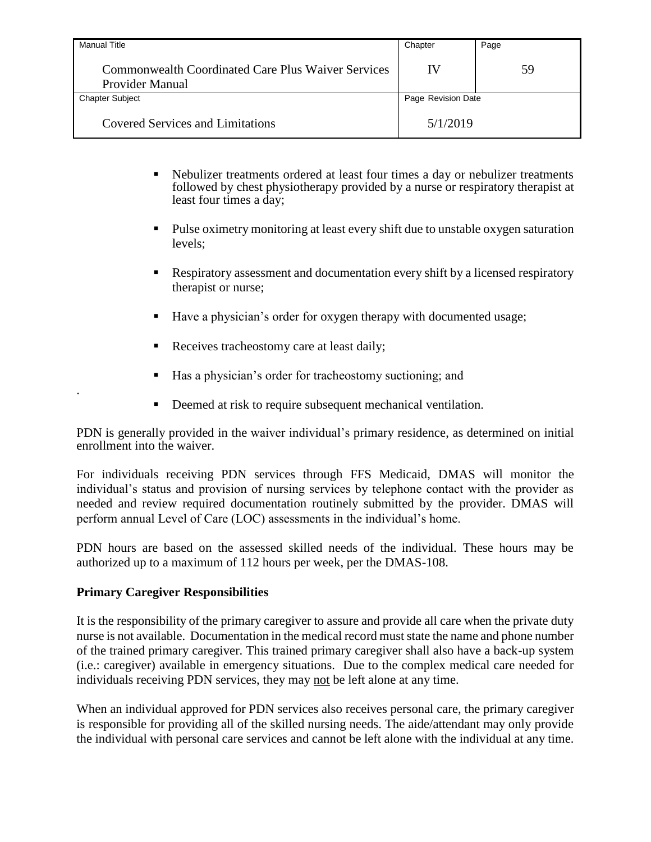| <b>Manual Title</b>                                                          | Chapter            | Page |
|------------------------------------------------------------------------------|--------------------|------|
| Commonwealth Coordinated Care Plus Waiver Services<br><b>Provider Manual</b> | IV                 | 59   |
| <b>Chapter Subject</b>                                                       | Page Revision Date |      |
| Covered Services and Limitations                                             | 5/1/2019           |      |

- Nebulizer treatments ordered at least four times a day or nebulizer treatments followed by chest physiotherapy provided by a nurse or respiratory therapist at least four times a day;
- Pulse oximetry monitoring at least every shift due to unstable oxygen saturation levels;
- Respiratory assessment and documentation every shift by a licensed respiratory therapist or nurse;
- Have a physician's order for oxygen therapy with documented usage;
- Receives tracheostomy care at least daily;
- Has a physician's order for tracheostomy suctioning; and
- Deemed at risk to require subsequent mechanical ventilation.

PDN is generally provided in the waiver individual's primary residence, as determined on initial enrollment into the waiver.

For individuals receiving PDN services through FFS Medicaid, DMAS will monitor the individual's status and provision of nursing services by telephone contact with the provider as needed and review required documentation routinely submitted by the provider. DMAS will perform annual Level of Care (LOC) assessments in the individual's home.

PDN hours are based on the assessed skilled needs of the individual. These hours may be authorized up to a maximum of 112 hours per week, per the DMAS-108.

## **Primary Caregiver Responsibilities**

.

It is the responsibility of the primary caregiver to assure and provide all care when the private duty nurse is not available. Documentation in the medical record must state the name and phone number of the trained primary caregiver. This trained primary caregiver shall also have a back-up system (i.e.: caregiver) available in emergency situations. Due to the complex medical care needed for individuals receiving PDN services, they may not be left alone at any time.

When an individual approved for PDN services also receives personal care, the primary caregiver is responsible for providing all of the skilled nursing needs. The aide/attendant may only provide the individual with personal care services and cannot be left alone with the individual at any time.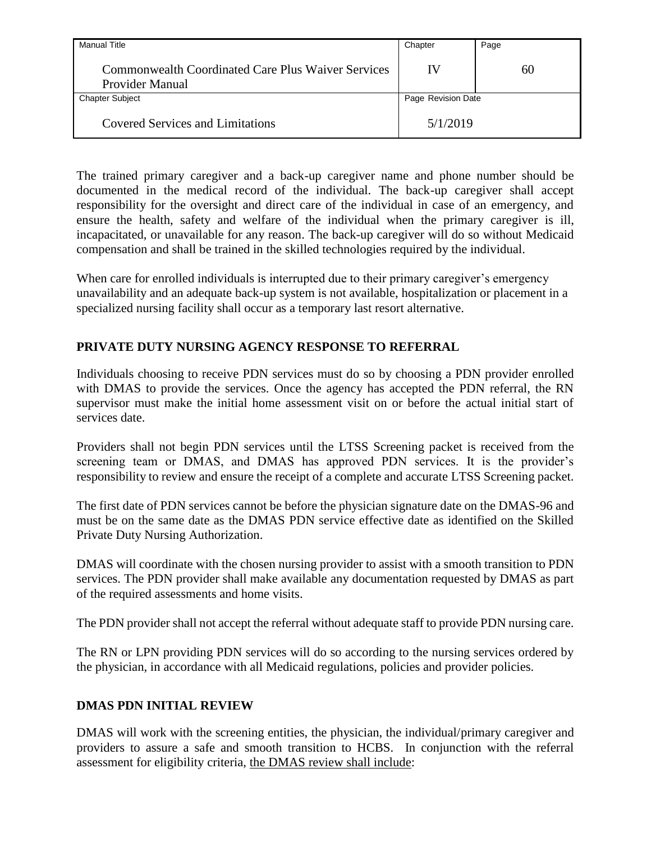| Manual Title                                                          | Chapter            | Page |
|-----------------------------------------------------------------------|--------------------|------|
| Commonwealth Coordinated Care Plus Waiver Services<br>Provider Manual | IV                 | 60   |
| <b>Chapter Subject</b>                                                | Page Revision Date |      |
| <b>Covered Services and Limitations</b>                               | 5/1/2019           |      |

The trained primary caregiver and a back-up caregiver name and phone number should be documented in the medical record of the individual. The back-up caregiver shall accept responsibility for the oversight and direct care of the individual in case of an emergency, and ensure the health, safety and welfare of the individual when the primary caregiver is ill, incapacitated, or unavailable for any reason. The back-up caregiver will do so without Medicaid compensation and shall be trained in the skilled technologies required by the individual.

When care for enrolled individuals is interrupted due to their primary caregiver's emergency unavailability and an adequate back-up system is not available, hospitalization or placement in a specialized nursing facility shall occur as a temporary last resort alternative.

## **PRIVATE DUTY NURSING AGENCY RESPONSE TO REFERRAL**

Individuals choosing to receive PDN services must do so by choosing a PDN provider enrolled with DMAS to provide the services. Once the agency has accepted the PDN referral, the RN supervisor must make the initial home assessment visit on or before the actual initial start of services date.

Providers shall not begin PDN services until the LTSS Screening packet is received from the screening team or DMAS, and DMAS has approved PDN services. It is the provider's responsibility to review and ensure the receipt of a complete and accurate LTSS Screening packet.

The first date of PDN services cannot be before the physician signature date on the DMAS-96 and must be on the same date as the DMAS PDN service effective date as identified on the Skilled Private Duty Nursing Authorization.

DMAS will coordinate with the chosen nursing provider to assist with a smooth transition to PDN services. The PDN provider shall make available any documentation requested by DMAS as part of the required assessments and home visits.

The PDN provider shall not accept the referral without adequate staff to provide PDN nursing care.

The RN or LPN providing PDN services will do so according to the nursing services ordered by the physician, in accordance with all Medicaid regulations, policies and provider policies.

## **DMAS PDN INITIAL REVIEW**

DMAS will work with the screening entities, the physician, the individual/primary caregiver and providers to assure a safe and smooth transition to HCBS. In conjunction with the referral assessment for eligibility criteria, the DMAS review shall include: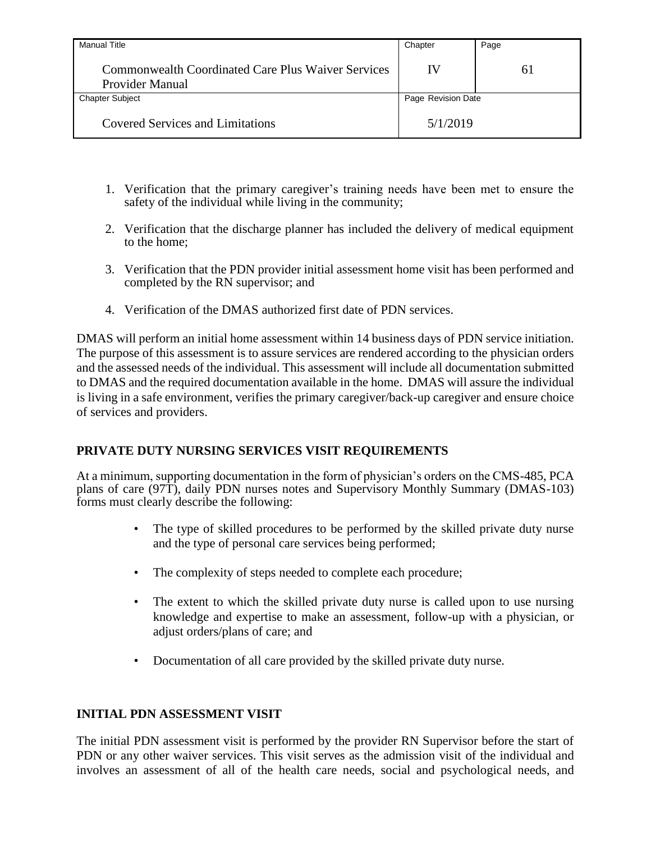| Manual Title                                                                        | Chapter            | Page |
|-------------------------------------------------------------------------------------|--------------------|------|
| <b>Commonwealth Coordinated Care Plus Waiver Services</b><br><b>Provider Manual</b> | IV                 | 61   |
| <b>Chapter Subject</b>                                                              | Page Revision Date |      |
| <b>Covered Services and Limitations</b>                                             | 5/1/2019           |      |

- 1. Verification that the primary caregiver's training needs have been met to ensure the safety of the individual while living in the community;
- 2. Verification that the discharge planner has included the delivery of medical equipment to the home;
- 3. Verification that the PDN provider initial assessment home visit has been performed and completed by the RN supervisor; and
- 4. Verification of the DMAS authorized first date of PDN services.

DMAS will perform an initial home assessment within 14 business days of PDN service initiation. The purpose of this assessment is to assure services are rendered according to the physician orders and the assessed needs of the individual. This assessment will include all documentation submitted to DMAS and the required documentation available in the home. DMAS will assure the individual is living in a safe environment, verifies the primary caregiver/back-up caregiver and ensure choice of services and providers.

# **PRIVATE DUTY NURSING SERVICES VISIT REQUIREMENTS**

At a minimum, supporting documentation in the form of physician's orders on the CMS-485, PCA plans of care (97T), daily PDN nurses notes and Supervisory Monthly Summary (DMAS-103) forms must clearly describe the following:

- The type of skilled procedures to be performed by the skilled private duty nurse and the type of personal care services being performed;
- The complexity of steps needed to complete each procedure;
- The extent to which the skilled private duty nurse is called upon to use nursing knowledge and expertise to make an assessment, follow-up with a physician, or adjust orders/plans of care; and
- Documentation of all care provided by the skilled private duty nurse.

## **INITIAL PDN ASSESSMENT VISIT**

The initial PDN assessment visit is performed by the provider RN Supervisor before the start of PDN or any other waiver services. This visit serves as the admission visit of the individual and involves an assessment of all of the health care needs, social and psychological needs, and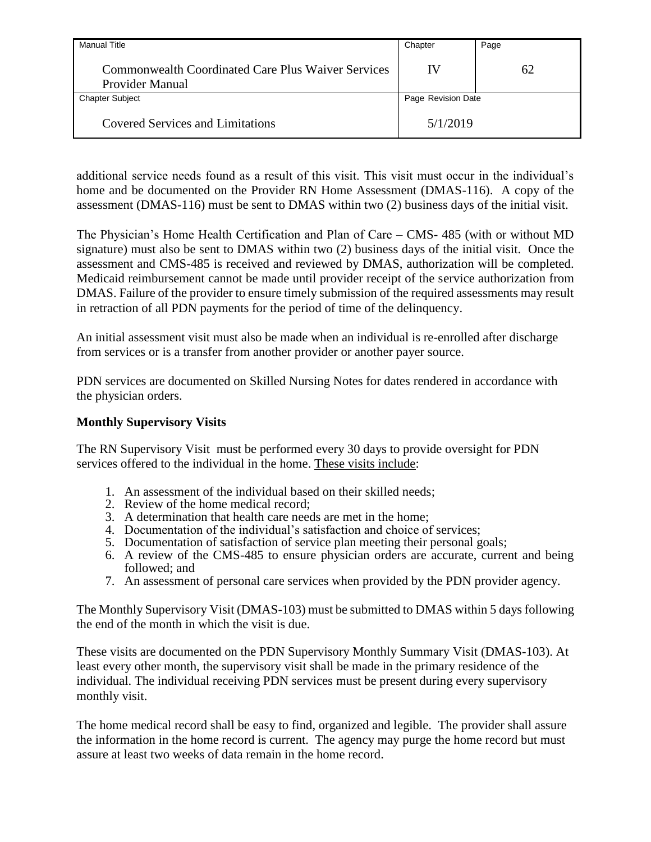| <b>Manual Title</b>                                                          | Chapter            | Page |
|------------------------------------------------------------------------------|--------------------|------|
| <b>Commonwealth Coordinated Care Plus Waiver Services</b><br>Provider Manual | IV                 | 62   |
| <b>Chapter Subject</b>                                                       | Page Revision Date |      |
| <b>Covered Services and Limitations</b>                                      | 5/1/2019           |      |

additional service needs found as a result of this visit. This visit must occur in the individual's home and be documented on the Provider RN Home Assessment (DMAS-116). A copy of the assessment (DMAS-116) must be sent to DMAS within two (2) business days of the initial visit.

The Physician's Home Health Certification and Plan of Care – CMS- 485 (with or without MD signature) must also be sent to DMAS within two (2) business days of the initial visit. Once the assessment and CMS-485 is received and reviewed by DMAS, authorization will be completed. Medicaid reimbursement cannot be made until provider receipt of the service authorization from DMAS. Failure of the provider to ensure timely submission of the required assessments may result in retraction of all PDN payments for the period of time of the delinquency.

An initial assessment visit must also be made when an individual is re-enrolled after discharge from services or is a transfer from another provider or another payer source.

PDN services are documented on Skilled Nursing Notes for dates rendered in accordance with the physician orders.

### **Monthly Supervisory Visits**

The RN Supervisory Visit must be performed every 30 days to provide oversight for PDN services offered to the individual in the home. These visits include:

- 1. An assessment of the individual based on their skilled needs;
- 2. Review of the home medical record;
- 3. A determination that health care needs are met in the home;
- 4. Documentation of the individual's satisfaction and choice of services;
- 5. Documentation of satisfaction of service plan meeting their personal goals;
- 6. A review of the CMS-485 to ensure physician orders are accurate, current and being followed; and
- 7. An assessment of personal care services when provided by the PDN provider agency.

The Monthly Supervisory Visit (DMAS-103) must be submitted to DMAS within 5 days following the end of the month in which the visit is due.

These visits are documented on the PDN Supervisory Monthly Summary Visit (DMAS-103). At least every other month, the supervisory visit shall be made in the primary residence of the individual. The individual receiving PDN services must be present during every supervisory monthly visit.

The home medical record shall be easy to find, organized and legible. The provider shall assure the information in the home record is current. The agency may purge the home record but must assure at least two weeks of data remain in the home record.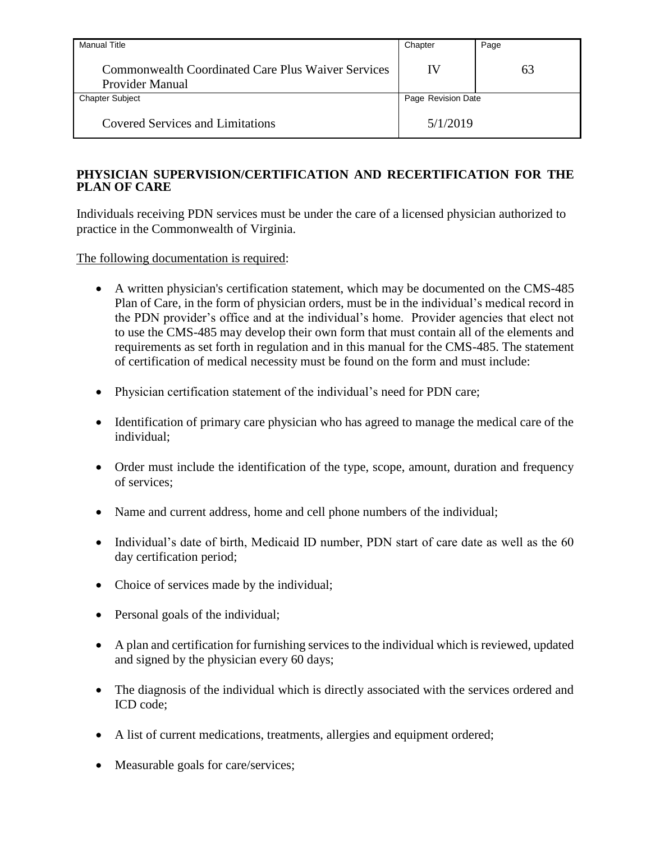| <b>Manual Title</b>                                                   | Chapter            | Page |
|-----------------------------------------------------------------------|--------------------|------|
| Commonwealth Coordinated Care Plus Waiver Services<br>Provider Manual | IV                 | 63   |
| <b>Chapter Subject</b>                                                | Page Revision Date |      |
| <b>Covered Services and Limitations</b>                               | 5/1/2019           |      |

## **PHYSICIAN SUPERVISION/CERTIFICATION AND RECERTIFICATION FOR THE PLAN OF CARE**

Individuals receiving PDN services must be under the care of a licensed physician authorized to practice in the Commonwealth of Virginia.

The following documentation is required:

- A written physician's certification statement, which may be documented on the CMS-485 Plan of Care, in the form of physician orders, must be in the individual's medical record in the PDN provider's office and at the individual's home. Provider agencies that elect not to use the CMS-485 may develop their own form that must contain all of the elements and requirements as set forth in regulation and in this manual for the CMS-485. The statement of certification of medical necessity must be found on the form and must include:
- Physician certification statement of the individual's need for PDN care;
- Identification of primary care physician who has agreed to manage the medical care of the individual;
- Order must include the identification of the type, scope, amount, duration and frequency of services;
- Name and current address, home and cell phone numbers of the individual;
- Individual's date of birth, Medicaid ID number, PDN start of care date as well as the 60 day certification period;
- Choice of services made by the individual;
- Personal goals of the individual;
- A plan and certification for furnishing services to the individual which is reviewed, updated and signed by the physician every 60 days;
- The diagnosis of the individual which is directly associated with the services ordered and ICD code;
- A list of current medications, treatments, allergies and equipment ordered;
- Measurable goals for care/services;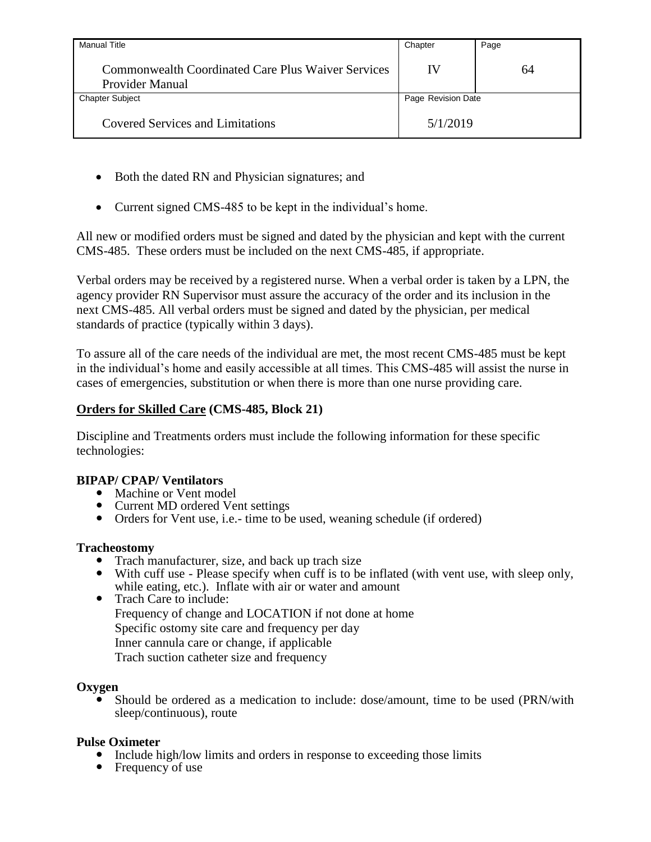| <b>Manual Title</b>                                                   | Chapter            | Page |
|-----------------------------------------------------------------------|--------------------|------|
| Commonwealth Coordinated Care Plus Waiver Services<br>Provider Manual | IV                 | 64   |
| <b>Chapter Subject</b>                                                | Page Revision Date |      |
| <b>Covered Services and Limitations</b>                               | 5/1/2019           |      |

- Both the dated RN and Physician signatures; and
- Current signed CMS-485 to be kept in the individual's home.

All new or modified orders must be signed and dated by the physician and kept with the current CMS-485. These orders must be included on the next CMS-485, if appropriate.

Verbal orders may be received by a registered nurse. When a verbal order is taken by a LPN, the agency provider RN Supervisor must assure the accuracy of the order and its inclusion in the next CMS-485. All verbal orders must be signed and dated by the physician, per medical standards of practice (typically within 3 days).

To assure all of the care needs of the individual are met, the most recent CMS-485 must be kept in the individual's home and easily accessible at all times. This CMS-485 will assist the nurse in cases of emergencies, substitution or when there is more than one nurse providing care.

## **Orders for Skilled Care (CMS-485, Block 21)**

Discipline and Treatments orders must include the following information for these specific technologies:

## **BIPAP/ CPAP/ Ventilators**

- Machine or Vent model
- Current MD ordered Vent settings
- Orders for Vent use, i.e.- time to be used, weaning schedule (if ordered)

### **Tracheostomy**

- Trach manufacturer, size, and back up trach size
- With cuff use Please specify when cuff is to be inflated (with vent use, with sleep only, while eating, etc.). Inflate with air or water and amount
- Trach Care to include: Frequency of change and LOCATION if not done at home Specific ostomy site care and frequency per day Inner cannula care or change, if applicable Trach suction catheter size and frequency

### **Oxygen**

 Should be ordered as a medication to include: dose/amount, time to be used (PRN/with sleep/continuous), route

## **Pulse Oximeter**

- Include high/low limits and orders in response to exceeding those limits
- Frequency of use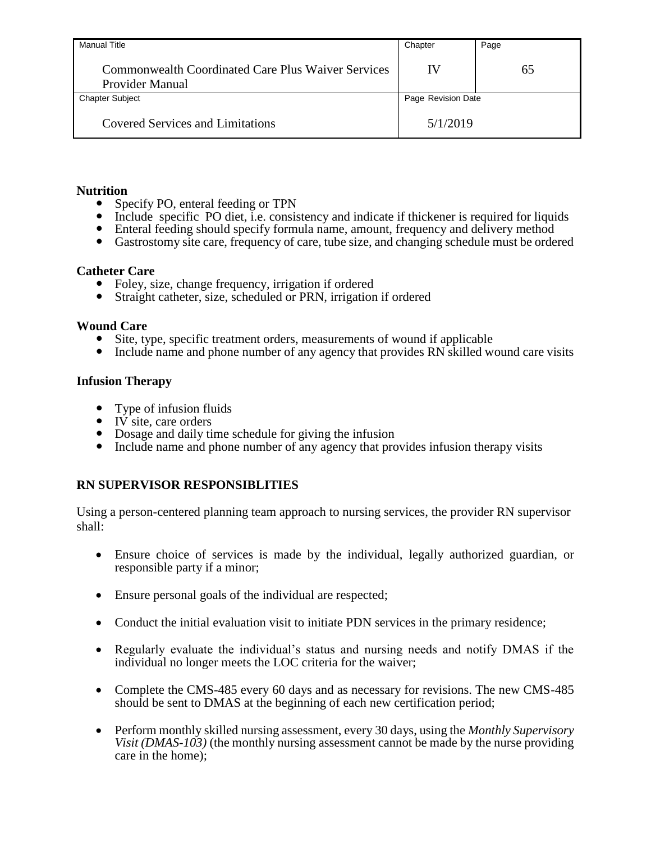| Manual Title                                                                        | Chapter            | Page |
|-------------------------------------------------------------------------------------|--------------------|------|
| <b>Commonwealth Coordinated Care Plus Waiver Services</b><br><b>Provider Manual</b> | IV                 | 65   |
| <b>Chapter Subject</b>                                                              | Page Revision Date |      |
| <b>Covered Services and Limitations</b>                                             | 5/1/2019           |      |

### **Nutrition**

- Specify PO, enteral feeding or TPN
- Include specific PO diet, i.e. consistency and indicate if thickener is required for liquids
- Enteral feeding should specify formula name, amount, frequency and delivery method
- Gastrostomy site care, frequency of care, tube size, and changing schedule must be ordered

### **Catheter Care**

- Foley, size, change frequency, irrigation if ordered
- Straight catheter, size, scheduled or PRN, irrigation if ordered

#### **Wound Care**

- Site, type, specific treatment orders, measurements of wound if applicable
- Include name and phone number of any agency that provides RN skilled wound care visits

### **Infusion Therapy**

- Type of infusion fluids
- $\bullet$  IV site, care orders
- Dosage and daily time schedule for giving the infusion
- Include name and phone number of any agency that provides infusion therapy visits

### **RN SUPERVISOR RESPONSIBLITIES**

Using a person-centered planning team approach to nursing services, the provider RN supervisor shall:

- Ensure choice of services is made by the individual, legally authorized guardian, or responsible party if a minor;
- Ensure personal goals of the individual are respected;
- Conduct the initial evaluation visit to initiate PDN services in the primary residence;
- Regularly evaluate the individual's status and nursing needs and notify DMAS if the individual no longer meets the LOC criteria for the waiver;
- Complete the CMS-485 every 60 days and as necessary for revisions. The new CMS-485 should be sent to DMAS at the beginning of each new certification period;
- Perform monthly skilled nursing assessment, every 30 days, using the *Monthly Supervisory Visit (DMAS-103)* (the monthly nursing assessment cannot be made by the nurse providing care in the home);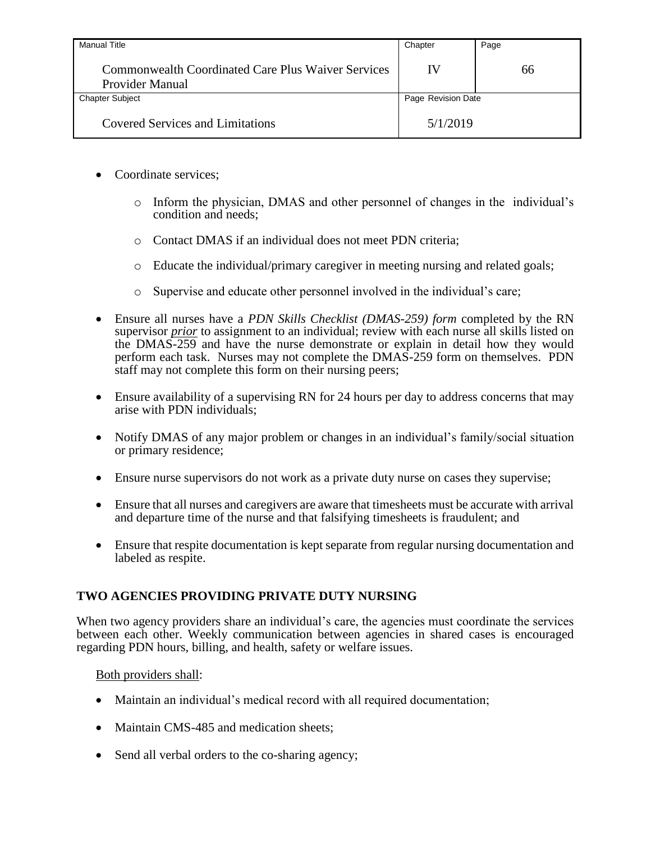| Manual Title                                                                 | Chapter            | Page |
|------------------------------------------------------------------------------|--------------------|------|
| <b>Commonwealth Coordinated Care Plus Waiver Services</b><br>Provider Manual | IV                 | 66   |
| <b>Chapter Subject</b>                                                       | Page Revision Date |      |
| <b>Covered Services and Limitations</b>                                      | 5/1/2019           |      |

- Coordinate services;
	- o Inform the physician, DMAS and other personnel of changes in the individual's condition and needs;
	- o Contact DMAS if an individual does not meet PDN criteria;
	- o Educate the individual/primary caregiver in meeting nursing and related goals;
	- o Supervise and educate other personnel involved in the individual's care;
- Ensure all nurses have a *PDN Skills Checklist (DMAS-259) form* completed by the RN supervisor *prior* to assignment to an individual; review with each nurse all skills listed on the DMAS-259 and have the nurse demonstrate or explain in detail how they would perform each task. Nurses may not complete the DMAS-259 form on themselves. PDN staff may not complete this form on their nursing peers;
- Ensure availability of a supervising RN for 24 hours per day to address concerns that may arise with PDN individuals;
- Notify DMAS of any major problem or changes in an individual's family/social situation or primary residence;
- Ensure nurse supervisors do not work as a private duty nurse on cases they supervise;
- Ensure that all nurses and caregivers are aware that timesheets must be accurate with arrival and departure time of the nurse and that falsifying timesheets is fraudulent; and
- Ensure that respite documentation is kept separate from regular nursing documentation and labeled as respite.

# **TWO AGENCIES PROVIDING PRIVATE DUTY NURSING**

When two agency providers share an individual's care, the agencies must coordinate the services between each other. Weekly communication between agencies in shared cases is encouraged regarding PDN hours, billing, and health, safety or welfare issues.

### Both providers shall:

- Maintain an individual's medical record with all required documentation;
- Maintain CMS-485 and medication sheets;
- Send all verbal orders to the co-sharing agency;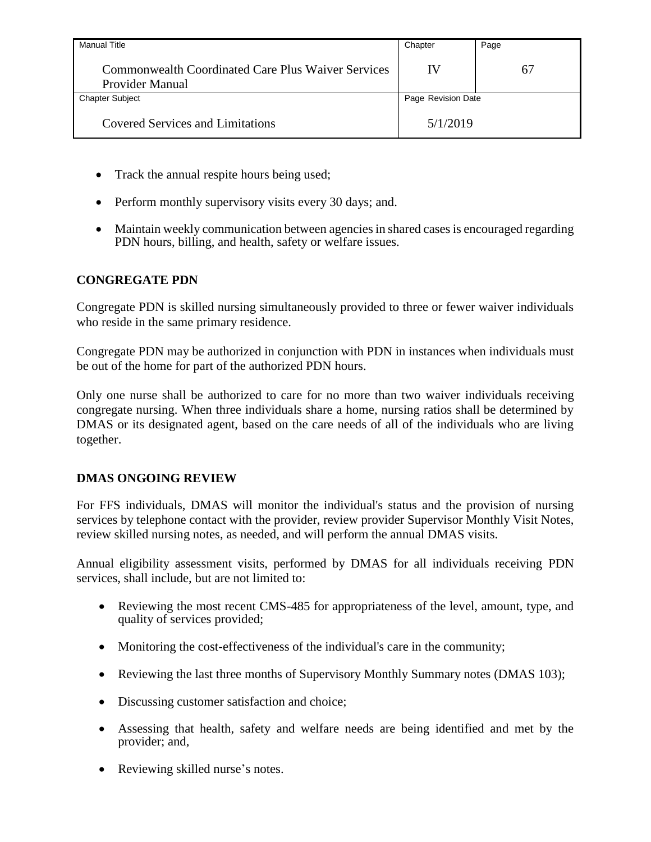| <b>Manual Title</b>                                                                 | Chapter            | Page |
|-------------------------------------------------------------------------------------|--------------------|------|
| <b>Commonwealth Coordinated Care Plus Waiver Services</b><br><b>Provider Manual</b> | IV                 | 67   |
| <b>Chapter Subject</b>                                                              | Page Revision Date |      |
| <b>Covered Services and Limitations</b>                                             | 5/1/2019           |      |

- Track the annual respite hours being used;
- Perform monthly supervisory visits every 30 days; and.
- Maintain weekly communication between agencies in shared cases is encouraged regarding PDN hours, billing, and health, safety or welfare issues.

## **CONGREGATE PDN**

Congregate PDN is skilled nursing simultaneously provided to three or fewer waiver individuals who reside in the same primary residence.

Congregate PDN may be authorized in conjunction with PDN in instances when individuals must be out of the home for part of the authorized PDN hours.

Only one nurse shall be authorized to care for no more than two waiver individuals receiving congregate nursing. When three individuals share a home, nursing ratios shall be determined by DMAS or its designated agent, based on the care needs of all of the individuals who are living together.

## **DMAS ONGOING REVIEW**

For FFS individuals, DMAS will monitor the individual's status and the provision of nursing services by telephone contact with the provider, review provider Supervisor Monthly Visit Notes, review skilled nursing notes, as needed, and will perform the annual DMAS visits.

Annual eligibility assessment visits, performed by DMAS for all individuals receiving PDN services, shall include, but are not limited to:

- Reviewing the most recent CMS-485 for appropriateness of the level, amount, type, and quality of services provided;
- Monitoring the cost-effectiveness of the individual's care in the community;
- Reviewing the last three months of Supervisory Monthly Summary notes (DMAS 103);
- Discussing customer satisfaction and choice;
- Assessing that health, safety and welfare needs are being identified and met by the provider; and,
- Reviewing skilled nurse's notes.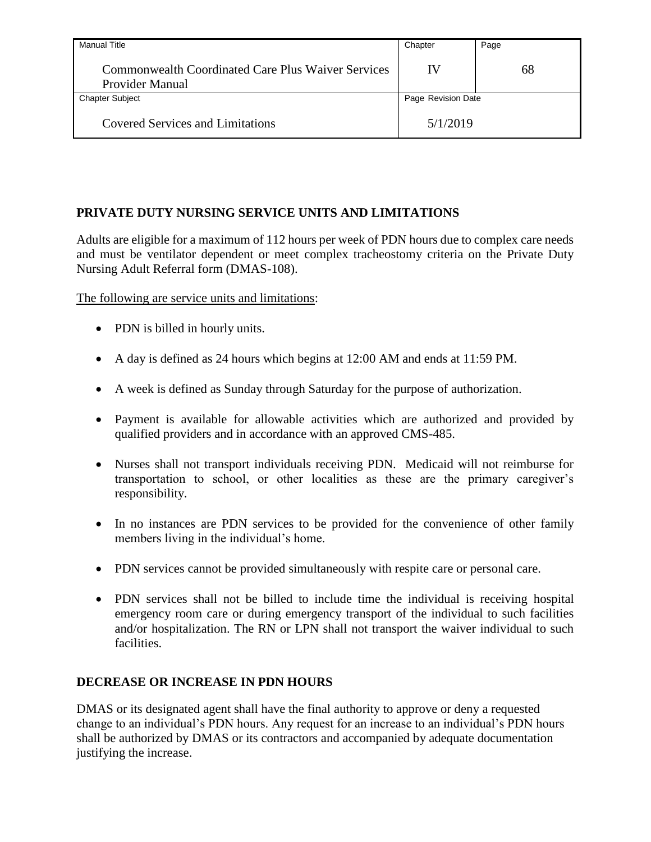| <b>Manual Title</b>                                                          | Chapter            | Page |
|------------------------------------------------------------------------------|--------------------|------|
| <b>Commonwealth Coordinated Care Plus Waiver Services</b><br>Provider Manual | IV                 | 68   |
| <b>Chapter Subject</b>                                                       | Page Revision Date |      |
| <b>Covered Services and Limitations</b>                                      | 5/1/2019           |      |

# **PRIVATE DUTY NURSING SERVICE UNITS AND LIMITATIONS**

Adults are eligible for a maximum of 112 hours per week of PDN hours due to complex care needs and must be ventilator dependent or meet complex tracheostomy criteria on the Private Duty Nursing Adult Referral form (DMAS-108).

The following are service units and limitations:

- PDN is billed in hourly units.
- A day is defined as 24 hours which begins at 12:00 AM and ends at 11:59 PM.
- A week is defined as Sunday through Saturday for the purpose of authorization.
- Payment is available for allowable activities which are authorized and provided by qualified providers and in accordance with an approved CMS-485.
- Nurses shall not transport individuals receiving PDN. Medicaid will not reimburse for transportation to school, or other localities as these are the primary caregiver's responsibility.
- In no instances are PDN services to be provided for the convenience of other family members living in the individual's home.
- PDN services cannot be provided simultaneously with respite care or personal care.
- PDN services shall not be billed to include time the individual is receiving hospital emergency room care or during emergency transport of the individual to such facilities and/or hospitalization. The RN or LPN shall not transport the waiver individual to such facilities.

### **DECREASE OR INCREASE IN PDN HOURS**

DMAS or its designated agent shall have the final authority to approve or deny a requested change to an individual's PDN hours. Any request for an increase to an individual's PDN hours shall be authorized by DMAS or its contractors and accompanied by adequate documentation justifying the increase.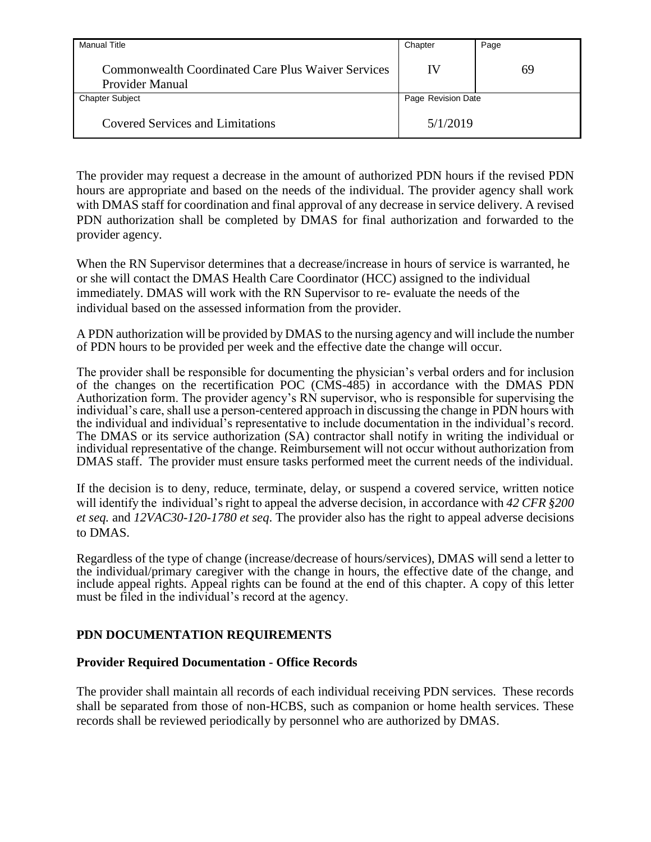| <b>Manual Title</b>                                                          | Chapter            | Page |
|------------------------------------------------------------------------------|--------------------|------|
| <b>Commonwealth Coordinated Care Plus Waiver Services</b><br>Provider Manual | IV                 | 69   |
| <b>Chapter Subject</b>                                                       | Page Revision Date |      |
| <b>Covered Services and Limitations</b>                                      | 5/1/2019           |      |

The provider may request a decrease in the amount of authorized PDN hours if the revised PDN hours are appropriate and based on the needs of the individual. The provider agency shall work with DMAS staff for coordination and final approval of any decrease in service delivery. A revised PDN authorization shall be completed by DMAS for final authorization and forwarded to the provider agency.

When the RN Supervisor determines that a decrease/increase in hours of service is warranted, he or she will contact the DMAS Health Care Coordinator (HCC) assigned to the individual immediately. DMAS will work with the RN Supervisor to re- evaluate the needs of the individual based on the assessed information from the provider.

A PDN authorization will be provided by DMAS to the nursing agency and will include the number of PDN hours to be provided per week and the effective date the change will occur.

The provider shall be responsible for documenting the physician's verbal orders and for inclusion of the changes on the recertification POC (CMS-485) in accordance with the DMAS PDN Authorization form. The provider agency's RN supervisor, who is responsible for supervising the individual's care, shall use a person-centered approach in discussing the change in PDN hours with the individual and individual's representative to include documentation in the individual's record. The DMAS or its service authorization (SA) contractor shall notify in writing the individual or individual representative of the change. Reimbursement will not occur without authorization from DMAS staff. The provider must ensure tasks performed meet the current needs of the individual.

If the decision is to deny, reduce, terminate, delay, or suspend a covered service, written notice will identify the individual's right to appeal the adverse decision, in accordance with *42 CFR §200 et seq.* and *12VAC30-120-1780 et seq*. The provider also has the right to appeal adverse decisions to DMAS.

Regardless of the type of change (increase/decrease of hours/services), DMAS will send a letter to the individual/primary caregiver with the change in hours, the effective date of the change, and include appeal rights. Appeal rights can be found at the end of this chapter. A copy of this letter must be filed in the individual's record at the agency.

### **PDN DOCUMENTATION REQUIREMENTS**

#### **Provider Required Documentation - Office Records**

The provider shall maintain all records of each individual receiving PDN services. These records shall be separated from those of non-HCBS, such as companion or home health services. These records shall be reviewed periodically by personnel who are authorized by DMAS.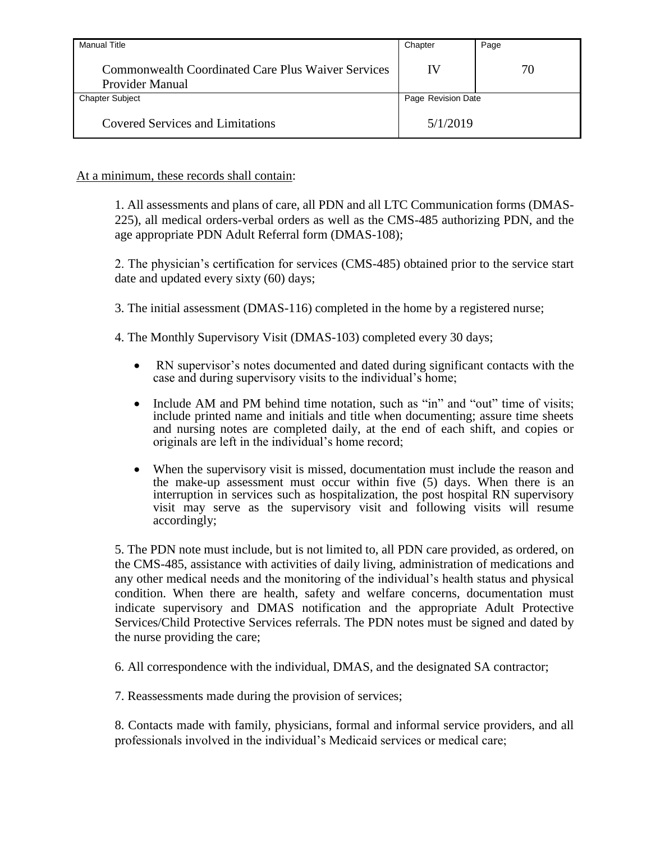| Manual Title                                                                 | Chapter            | Page |
|------------------------------------------------------------------------------|--------------------|------|
| <b>Commonwealth Coordinated Care Plus Waiver Services</b><br>Provider Manual | IV                 | 70   |
| <b>Chapter Subject</b>                                                       | Page Revision Date |      |
| <b>Covered Services and Limitations</b>                                      | 5/1/2019           |      |

### At a minimum, these records shall contain:

1. All assessments and plans of care, all PDN and all LTC Communication forms (DMAS-225), all medical orders-verbal orders as well as the CMS-485 authorizing PDN, and the age appropriate PDN Adult Referral form (DMAS-108);

2. The physician's certification for services (CMS-485) obtained prior to the service start date and updated every sixty (60) days;

- 3. The initial assessment (DMAS-116) completed in the home by a registered nurse;
- 4. The Monthly Supervisory Visit (DMAS-103) completed every 30 days;
	- RN supervisor's notes documented and dated during significant contacts with the case and during supervisory visits to the individual's home;
	- Include AM and PM behind time notation, such as "in" and "out" time of visits; include printed name and initials and title when documenting; assure time sheets and nursing notes are completed daily, at the end of each shift, and copies or originals are left in the individual's home record;
	- When the supervisory visit is missed, documentation must include the reason and the make-up assessment must occur within five (5) days. When there is an interruption in services such as hospitalization, the post hospital RN supervisory visit may serve as the supervisory visit and following visits will resume accordingly;

5. The PDN note must include, but is not limited to, all PDN care provided, as ordered, on the CMS-485, assistance with activities of daily living, administration of medications and any other medical needs and the monitoring of the individual's health status and physical condition. When there are health, safety and welfare concerns, documentation must indicate supervisory and DMAS notification and the appropriate Adult Protective Services/Child Protective Services referrals. The PDN notes must be signed and dated by the nurse providing the care;

6. All correspondence with the individual, DMAS, and the designated SA contractor;

7. Reassessments made during the provision of services;

8. Contacts made with family, physicians, formal and informal service providers, and all professionals involved in the individual's Medicaid services or medical care;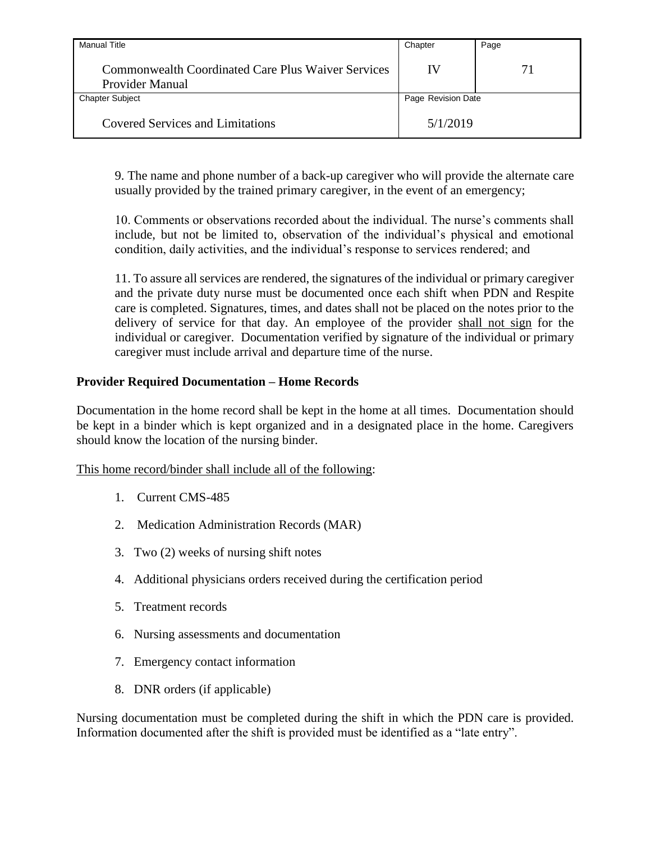| <b>Manual Title</b>                                                   | Chapter            | Page |
|-----------------------------------------------------------------------|--------------------|------|
| Commonwealth Coordinated Care Plus Waiver Services<br>Provider Manual | IV                 | 71   |
| <b>Chapter Subject</b>                                                | Page Revision Date |      |
| <b>Covered Services and Limitations</b>                               | 5/1/2019           |      |

9. The name and phone number of a back-up caregiver who will provide the alternate care usually provided by the trained primary caregiver, in the event of an emergency;

10. Comments or observations recorded about the individual. The nurse's comments shall include, but not be limited to, observation of the individual's physical and emotional condition, daily activities, and the individual's response to services rendered; and

11. To assure all services are rendered, the signatures of the individual or primary caregiver and the private duty nurse must be documented once each shift when PDN and Respite care is completed. Signatures, times, and dates shall not be placed on the notes prior to the delivery of service for that day. An employee of the provider shall not sign for the individual or caregiver. Documentation verified by signature of the individual or primary caregiver must include arrival and departure time of the nurse.

### **Provider Required Documentation – Home Records**

Documentation in the home record shall be kept in the home at all times. Documentation should be kept in a binder which is kept organized and in a designated place in the home. Caregivers should know the location of the nursing binder.

This home record/binder shall include all of the following:

- 1. Current CMS-485
- 2. Medication Administration Records (MAR)
- 3. Two (2) weeks of nursing shift notes
- 4. Additional physicians orders received during the certification period
- 5. Treatment records
- 6. Nursing assessments and documentation
- 7. Emergency contact information
- 8. DNR orders (if applicable)

Nursing documentation must be completed during the shift in which the PDN care is provided. Information documented after the shift is provided must be identified as a "late entry".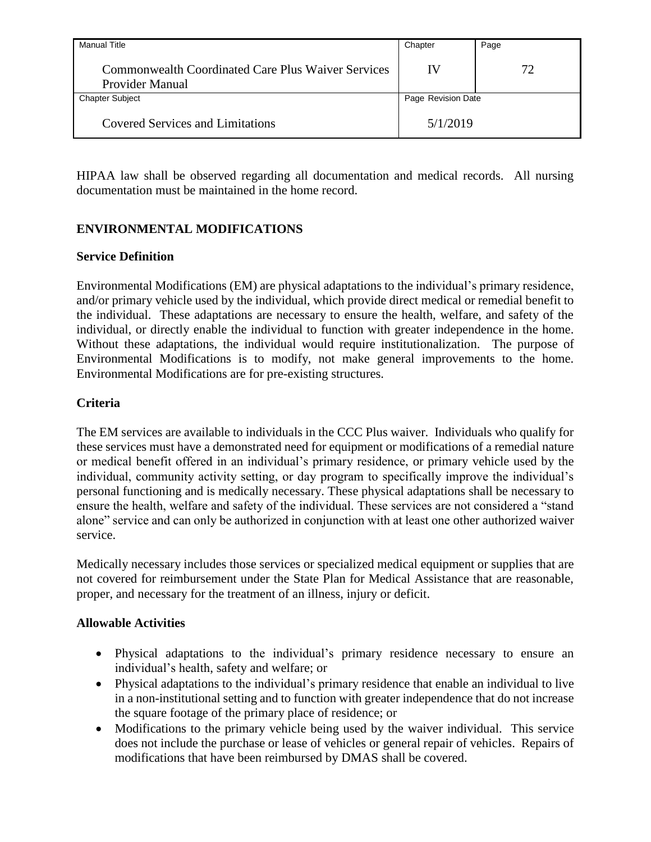| Manual Title                                                                 | Chapter            | Page |
|------------------------------------------------------------------------------|--------------------|------|
| <b>Commonwealth Coordinated Care Plus Waiver Services</b><br>Provider Manual | IV                 | 72   |
| <b>Chapter Subject</b>                                                       | Page Revision Date |      |
| <b>Covered Services and Limitations</b>                                      | 5/1/2019           |      |

HIPAA law shall be observed regarding all documentation and medical records. All nursing documentation must be maintained in the home record.

# **ENVIRONMENTAL MODIFICATIONS**

### **Service Definition**

Environmental Modifications (EM) are physical adaptations to the individual's primary residence, and/or primary vehicle used by the individual, which provide direct medical or remedial benefit to the individual. These adaptations are necessary to ensure the health, welfare, and safety of the individual, or directly enable the individual to function with greater independence in the home. Without these adaptations, the individual would require institutionalization. The purpose of Environmental Modifications is to modify, not make general improvements to the home. Environmental Modifications are for pre-existing structures.

### **Criteria**

The EM services are available to individuals in the CCC Plus waiver. Individuals who qualify for these services must have a demonstrated need for equipment or modifications of a remedial nature or medical benefit offered in an individual's primary residence, or primary vehicle used by the individual, community activity setting, or day program to specifically improve the individual's personal functioning and is medically necessary. These physical adaptations shall be necessary to ensure the health, welfare and safety of the individual. These services are not considered a "stand alone" service and can only be authorized in conjunction with at least one other authorized waiver service.

Medically necessary includes those services or specialized medical equipment or supplies that are not covered for reimbursement under the State Plan for Medical Assistance that are reasonable, proper, and necessary for the treatment of an illness, injury or deficit.

### **Allowable Activities**

- Physical adaptations to the individual's primary residence necessary to ensure an individual's health, safety and welfare; or
- Physical adaptations to the individual's primary residence that enable an individual to live in a non-institutional setting and to function with greater independence that do not increase the square footage of the primary place of residence; or
- Modifications to the primary vehicle being used by the waiver individual. This service does not include the purchase or lease of vehicles or general repair of vehicles. Repairs of modifications that have been reimbursed by DMAS shall be covered.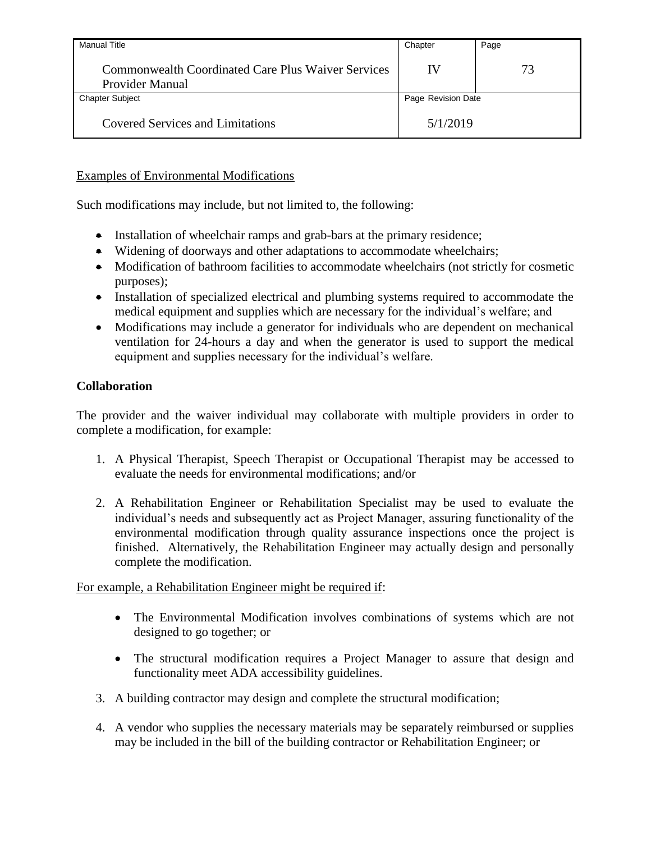| <b>Manual Title</b>                                                          | Chapter            | Page |
|------------------------------------------------------------------------------|--------------------|------|
| <b>Commonwealth Coordinated Care Plus Waiver Services</b><br>Provider Manual | IV                 | 73   |
| <b>Chapter Subject</b>                                                       | Page Revision Date |      |
| <b>Covered Services and Limitations</b>                                      | 5/1/2019           |      |

## Examples of Environmental Modifications

Such modifications may include, but not limited to, the following:

- Installation of wheelchair ramps and grab-bars at the primary residence;
- Widening of doorways and other adaptations to accommodate wheelchairs;
- Modification of bathroom facilities to accommodate wheelchairs (not strictly for cosmetic purposes);
- Installation of specialized electrical and plumbing systems required to accommodate the medical equipment and supplies which are necessary for the individual's welfare; and
- Modifications may include a generator for individuals who are dependent on mechanical ventilation for 24-hours a day and when the generator is used to support the medical equipment and supplies necessary for the individual's welfare.

## **Collaboration**

The provider and the waiver individual may collaborate with multiple providers in order to complete a modification, for example:

- 1. A Physical Therapist, Speech Therapist or Occupational Therapist may be accessed to evaluate the needs for environmental modifications; and/or
- 2. A Rehabilitation Engineer or Rehabilitation Specialist may be used to evaluate the individual's needs and subsequently act as Project Manager, assuring functionality of the environmental modification through quality assurance inspections once the project is finished. Alternatively, the Rehabilitation Engineer may actually design and personally complete the modification.

For example, a Rehabilitation Engineer might be required if:

- The Environmental Modification involves combinations of systems which are not designed to go together; or
- The structural modification requires a Project Manager to assure that design and functionality meet ADA accessibility guidelines.
- 3. A building contractor may design and complete the structural modification;
- 4. A vendor who supplies the necessary materials may be separately reimbursed or supplies may be included in the bill of the building contractor or Rehabilitation Engineer; or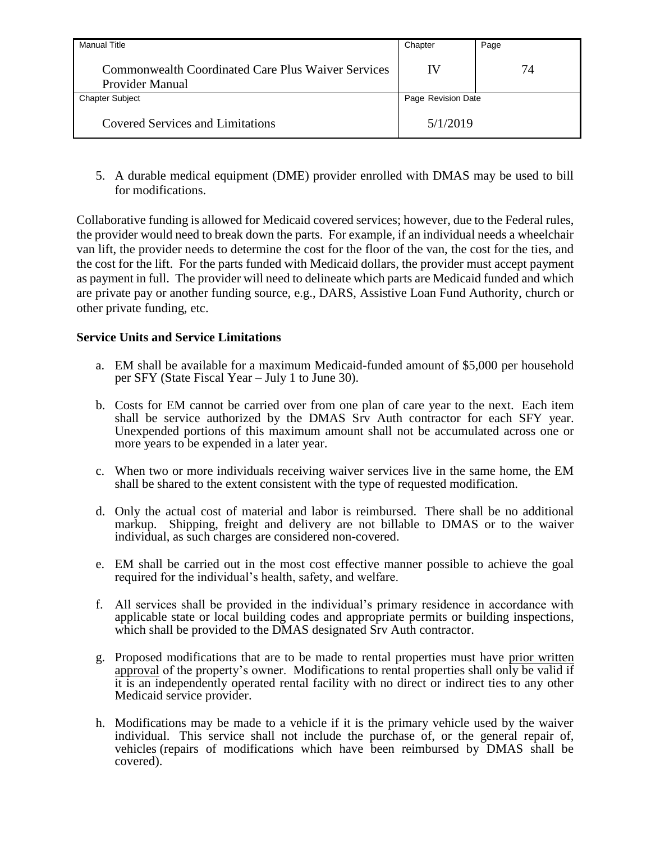| Manual Title                                                          | Chapter            | Page |
|-----------------------------------------------------------------------|--------------------|------|
| Commonwealth Coordinated Care Plus Waiver Services<br>Provider Manual | IV                 | 74   |
| <b>Chapter Subject</b>                                                | Page Revision Date |      |
| <b>Covered Services and Limitations</b>                               | 5/1/2019           |      |

5. A durable medical equipment (DME) provider enrolled with DMAS may be used to bill for modifications.

Collaborative funding is allowed for Medicaid covered services; however, due to the Federal rules, the provider would need to break down the parts. For example, if an individual needs a wheelchair van lift, the provider needs to determine the cost for the floor of the van, the cost for the ties, and the cost for the lift. For the parts funded with Medicaid dollars, the provider must accept payment as payment in full. The provider will need to delineate which parts are Medicaid funded and which are private pay or another funding source, e.g., DARS, Assistive Loan Fund Authority, church or other private funding, etc.

### **Service Units and Service Limitations**

- a. EM shall be available for a maximum Medicaid-funded amount of \$5,000 per household per SFY (State Fiscal Year – July 1 to June 30).
- b. Costs for EM cannot be carried over from one plan of care year to the next. Each item shall be service authorized by the DMAS Srv Auth contractor for each SFY year. Unexpended portions of this maximum amount shall not be accumulated across one or more years to be expended in a later year.
- c. When two or more individuals receiving waiver services live in the same home, the EM shall be shared to the extent consistent with the type of requested modification.
- d. Only the actual cost of material and labor is reimbursed. There shall be no additional markup. Shipping, freight and delivery are not billable to DMAS or to the waiver individual, as such charges are considered non-covered.
- e. EM shall be carried out in the most cost effective manner possible to achieve the goal required for the individual's health, safety, and welfare.
- f. All services shall be provided in the individual's primary residence in accordance with applicable state or local building codes and appropriate permits or building inspections, which shall be provided to the DMAS designated Srv Auth contractor.
- g. Proposed modifications that are to be made to rental properties must have prior written approval of the property's owner. Modifications to rental properties shall only be valid if it is an independently operated rental facility with no direct or indirect ties to any other Medicaid service provider.
- h. Modifications may be made to a vehicle if it is the primary vehicle used by the waiver individual. This service shall not include the purchase of, or the general repair of, vehicles (repairs of modifications which have been reimbursed by DMAS shall be covered).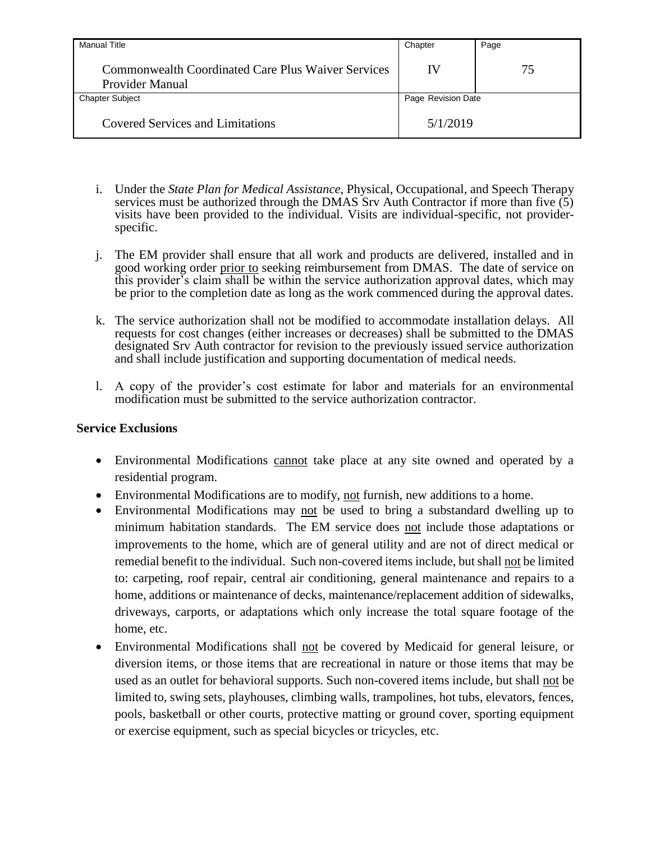| <b>Manual Title</b>                                                          | Chapter            | Page |
|------------------------------------------------------------------------------|--------------------|------|
| <b>Commonwealth Coordinated Care Plus Waiver Services</b><br>Provider Manual | IV                 | 75   |
| <b>Chapter Subject</b>                                                       | Page Revision Date |      |
| <b>Covered Services and Limitations</b>                                      | 5/1/2019           |      |

- i. Under the *State Plan for Medical Assistance*, Physical, Occupational, and Speech Therapy services must be authorized through the DMAS Srv Auth Contractor if more than five  $(5)$ visits have been provided to the individual. Visits are individual-specific, not providerspecific.
- j. The EM provider shall ensure that all work and products are delivered, installed and in good working order prior to seeking reimbursement from DMAS. The date of service on this provider's claim shall be within the service authorization approval dates, which may be prior to the completion date as long as the work commenced during the approval dates.
- k. The service authorization shall not be modified to accommodate installation delays. All requests for cost changes (either increases or decreases) shall be submitted to the DMAS designated Srv Auth contractor for revision to the previously issued service authorization and shall include justification and supporting documentation of medical needs.
- l. A copy of the provider's cost estimate for labor and materials for an environmental modification must be submitted to the service authorization contractor.

#### **Service Exclusions**

- Environmental Modifications cannot take place at any site owned and operated by a residential program.
- Environmental Modifications are to modify, not furnish, new additions to a home.
- Environmental Modifications may not be used to bring a substandard dwelling up to minimum habitation standards. The EM service does not include those adaptations or improvements to the home, which are of general utility and are not of direct medical or remedial benefit to the individual. Such non-covered items include, but shall not be limited to: carpeting, roof repair, central air conditioning, general maintenance and repairs to a home, additions or maintenance of decks, maintenance/replacement addition of sidewalks, driveways, carports, or adaptations which only increase the total square footage of the home, etc.
- Environmental Modifications shall not be covered by Medicaid for general leisure, or diversion items, or those items that are recreational in nature or those items that may be used as an outlet for behavioral supports. Such non-covered items include, but shall not be limited to, swing sets, playhouses, climbing walls, trampolines, hot tubs, elevators, fences, pools, basketball or other courts, protective matting or ground cover, sporting equipment or exercise equipment, such as special bicycles or tricycles, etc.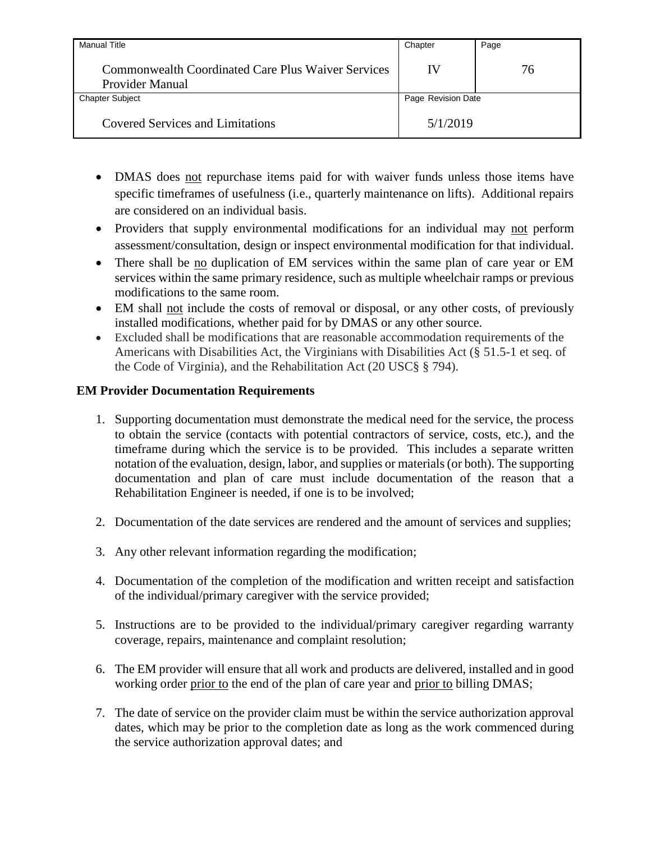| <b>Manual Title</b>                                                                 | Chapter            | Page |
|-------------------------------------------------------------------------------------|--------------------|------|
| <b>Commonwealth Coordinated Care Plus Waiver Services</b><br><b>Provider Manual</b> | IV                 | 76   |
| <b>Chapter Subject</b>                                                              | Page Revision Date |      |
| <b>Covered Services and Limitations</b>                                             | 5/1/2019           |      |

- DMAS does not repurchase items paid for with waiver funds unless those items have specific timeframes of usefulness (i.e., quarterly maintenance on lifts). Additional repairs are considered on an individual basis.
- Providers that supply environmental modifications for an individual may not perform assessment/consultation, design or inspect environmental modification for that individual.
- There shall be no duplication of EM services within the same plan of care year or EM services within the same primary residence, such as multiple wheelchair ramps or previous modifications to the same room.
- EM shall not include the costs of removal or disposal, or any other costs, of previously installed modifications, whether paid for by DMAS or any other source.
- Excluded shall be modifications that are reasonable accommodation requirements of the Americans with Disabilities Act, the Virginians with Disabilities Act (§ 51.5-1 et seq. of the Code of Virginia), and the Rehabilitation Act (20 USC§ § 794).

### **EM Provider Documentation Requirements**

- 1. Supporting documentation must demonstrate the medical need for the service, the process to obtain the service (contacts with potential contractors of service, costs, etc.), and the timeframe during which the service is to be provided. This includes a separate written notation of the evaluation, design, labor, and supplies or materials (or both). The supporting documentation and plan of care must include documentation of the reason that a Rehabilitation Engineer is needed, if one is to be involved;
- 2. Documentation of the date services are rendered and the amount of services and supplies;
- 3. Any other relevant information regarding the modification;
- 4. Documentation of the completion of the modification and written receipt and satisfaction of the individual/primary caregiver with the service provided;
- 5. Instructions are to be provided to the individual/primary caregiver regarding warranty coverage, repairs, maintenance and complaint resolution;
- 6. The EM provider will ensure that all work and products are delivered, installed and in good working order prior to the end of the plan of care year and prior to billing DMAS;
- 7. The date of service on the provider claim must be within the service authorization approval dates, which may be prior to the completion date as long as the work commenced during the service authorization approval dates; and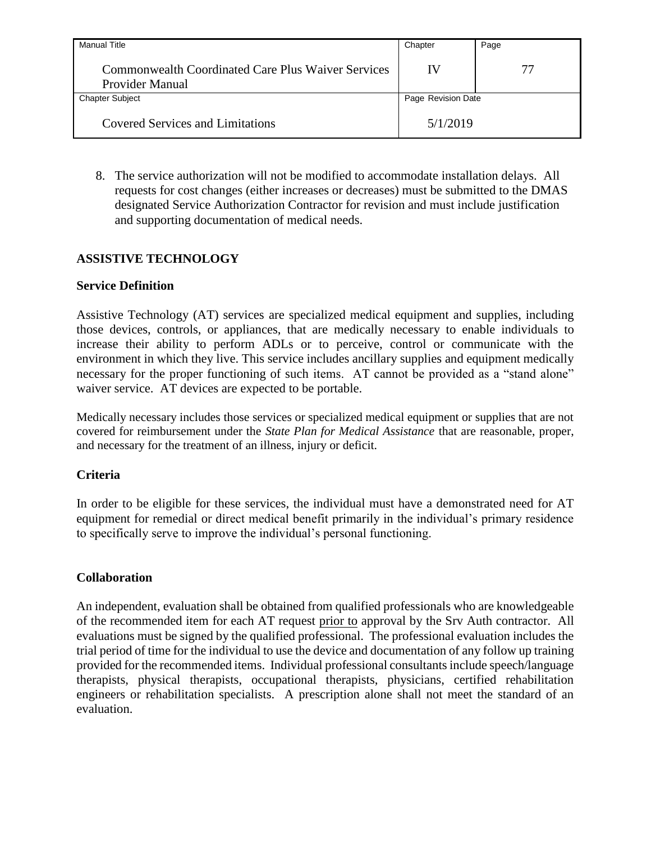| <b>Manual Title</b>                                                   | Chapter            | Page |
|-----------------------------------------------------------------------|--------------------|------|
| Commonwealth Coordinated Care Plus Waiver Services<br>Provider Manual | IV                 | 77   |
| <b>Chapter Subject</b>                                                | Page Revision Date |      |
| <b>Covered Services and Limitations</b>                               | 5/1/2019           |      |

8. The service authorization will not be modified to accommodate installation delays. All requests for cost changes (either increases or decreases) must be submitted to the DMAS designated Service Authorization Contractor for revision and must include justification and supporting documentation of medical needs.

### **ASSISTIVE TECHNOLOGY**

#### **Service Definition**

Assistive Technology (AT) services are specialized medical equipment and supplies, including those devices, controls, or appliances, that are medically necessary to enable individuals to increase their ability to perform ADLs or to perceive, control or communicate with the environment in which they live. This service includes ancillary supplies and equipment medically necessary for the proper functioning of such items. AT cannot be provided as a "stand alone" waiver service. AT devices are expected to be portable.

Medically necessary includes those services or specialized medical equipment or supplies that are not covered for reimbursement under the *State Plan for Medical Assistance* that are reasonable, proper, and necessary for the treatment of an illness, injury or deficit.

### **Criteria**

In order to be eligible for these services, the individual must have a demonstrated need for AT equipment for remedial or direct medical benefit primarily in the individual's primary residence to specifically serve to improve the individual's personal functioning.

#### **Collaboration**

An independent, evaluation shall be obtained from qualified professionals who are knowledgeable of the recommended item for each AT request prior to approval by the Srv Auth contractor. All evaluations must be signed by the qualified professional. The professional evaluation includes the trial period of time for the individual to use the device and documentation of any follow up training provided for the recommended items. Individual professional consultants include speech/language therapists, physical therapists, occupational therapists, physicians, certified rehabilitation engineers or rehabilitation specialists. A prescription alone shall not meet the standard of an evaluation.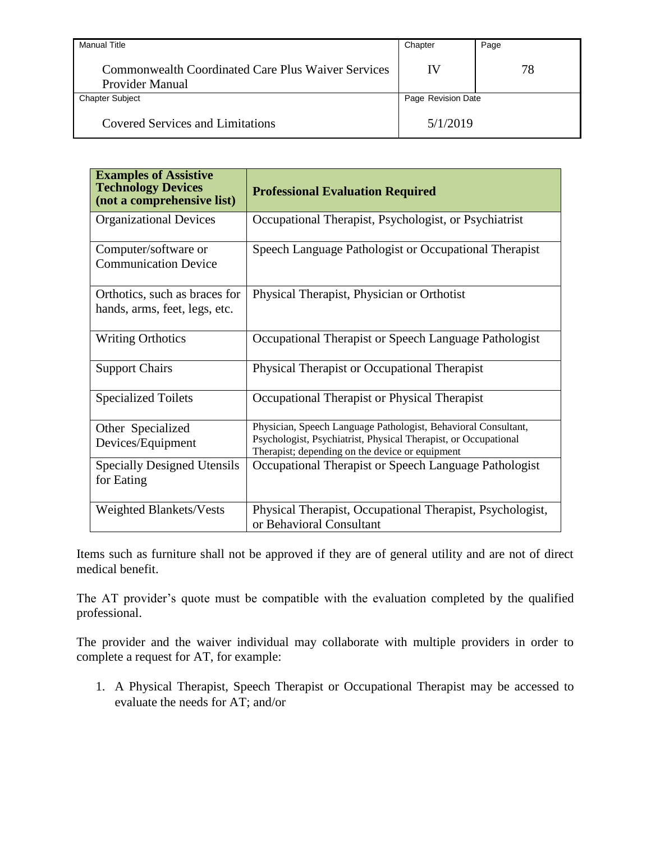| <b>Manual Title</b>                                                          | Chapter            | Page |
|------------------------------------------------------------------------------|--------------------|------|
| <b>Commonwealth Coordinated Care Plus Waiver Services</b><br>Provider Manual | IV                 | 78   |
| <b>Chapter Subject</b>                                                       | Page Revision Date |      |
| <b>Covered Services and Limitations</b>                                      | 5/1/2019           |      |

| <b>Examples of Assistive</b><br><b>Technology Devices</b><br>(not a comprehensive list) | <b>Professional Evaluation Required</b>                                                                                                                                              |
|-----------------------------------------------------------------------------------------|--------------------------------------------------------------------------------------------------------------------------------------------------------------------------------------|
| <b>Organizational Devices</b>                                                           | Occupational Therapist, Psychologist, or Psychiatrist                                                                                                                                |
| Computer/software or<br><b>Communication Device</b>                                     | Speech Language Pathologist or Occupational Therapist                                                                                                                                |
| Orthotics, such as braces for<br>hands, arms, feet, legs, etc.                          | Physical Therapist, Physician or Orthotist                                                                                                                                           |
| <b>Writing Orthotics</b>                                                                | Occupational Therapist or Speech Language Pathologist                                                                                                                                |
| <b>Support Chairs</b>                                                                   | Physical Therapist or Occupational Therapist                                                                                                                                         |
| <b>Specialized Toilets</b>                                                              | Occupational Therapist or Physical Therapist                                                                                                                                         |
| Other Specialized<br>Devices/Equipment                                                  | Physician, Speech Language Pathologist, Behavioral Consultant,<br>Psychologist, Psychiatrist, Physical Therapist, or Occupational<br>Therapist; depending on the device or equipment |
| <b>Specially Designed Utensils</b><br>for Eating                                        | Occupational Therapist or Speech Language Pathologist                                                                                                                                |
| <b>Weighted Blankets/Vests</b>                                                          | Physical Therapist, Occupational Therapist, Psychologist,<br>or Behavioral Consultant                                                                                                |

Items such as furniture shall not be approved if they are of general utility and are not of direct medical benefit.

The AT provider's quote must be compatible with the evaluation completed by the qualified professional.

The provider and the waiver individual may collaborate with multiple providers in order to complete a request for AT, for example:

1. A Physical Therapist, Speech Therapist or Occupational Therapist may be accessed to evaluate the needs for AT; and/or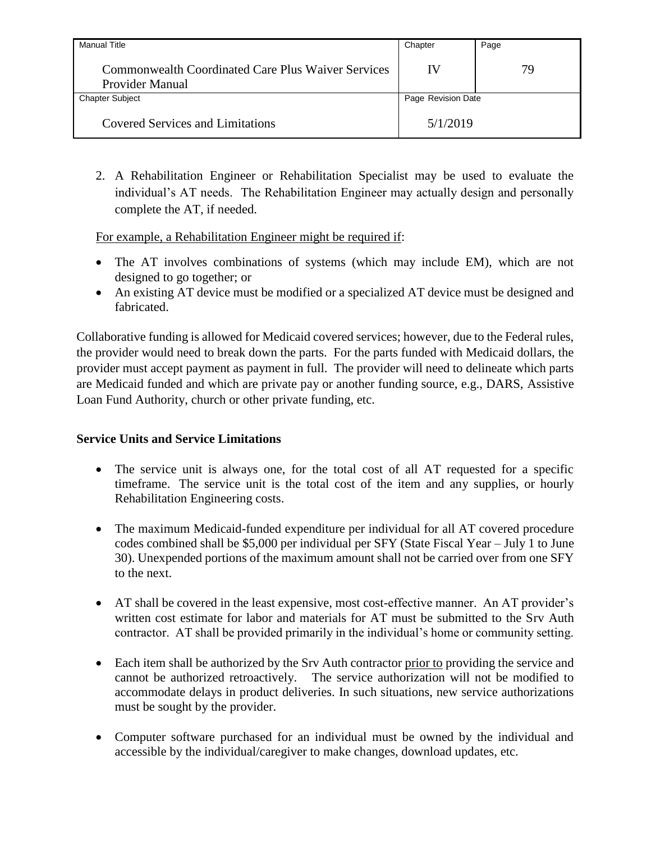| <b>Manual Title</b>                                                   | Chapter            | Page |
|-----------------------------------------------------------------------|--------------------|------|
| Commonwealth Coordinated Care Plus Waiver Services<br>Provider Manual | IV                 | 79   |
| <b>Chapter Subject</b>                                                | Page Revision Date |      |
| <b>Covered Services and Limitations</b>                               | 5/1/2019           |      |

2. A Rehabilitation Engineer or Rehabilitation Specialist may be used to evaluate the individual's AT needs. The Rehabilitation Engineer may actually design and personally complete the AT, if needed.

For example, a Rehabilitation Engineer might be required if:

- The AT involves combinations of systems (which may include EM), which are not designed to go together; or
- An existing AT device must be modified or a specialized AT device must be designed and fabricated.

Collaborative funding is allowed for Medicaid covered services; however, due to the Federal rules, the provider would need to break down the parts. For the parts funded with Medicaid dollars, the provider must accept payment as payment in full. The provider will need to delineate which parts are Medicaid funded and which are private pay or another funding source, e.g., DARS, Assistive Loan Fund Authority, church or other private funding, etc.

# **Service Units and Service Limitations**

- The service unit is always one, for the total cost of all AT requested for a specific timeframe. The service unit is the total cost of the item and any supplies, or hourly Rehabilitation Engineering costs.
- The maximum Medicaid-funded expenditure per individual for all AT covered procedure codes combined shall be \$5,000 per individual per SFY (State Fiscal Year – July 1 to June 30). Unexpended portions of the maximum amount shall not be carried over from one SFY to the next.
- AT shall be covered in the least expensive, most cost-effective manner. An AT provider's written cost estimate for labor and materials for AT must be submitted to the Srv Auth contractor. AT shall be provided primarily in the individual's home or community setting.
- Each item shall be authorized by the Srv Auth contractor prior to providing the service and cannot be authorized retroactively. The service authorization will not be modified to accommodate delays in product deliveries. In such situations, new service authorizations must be sought by the provider.
- Computer software purchased for an individual must be owned by the individual and accessible by the individual/caregiver to make changes, download updates, etc.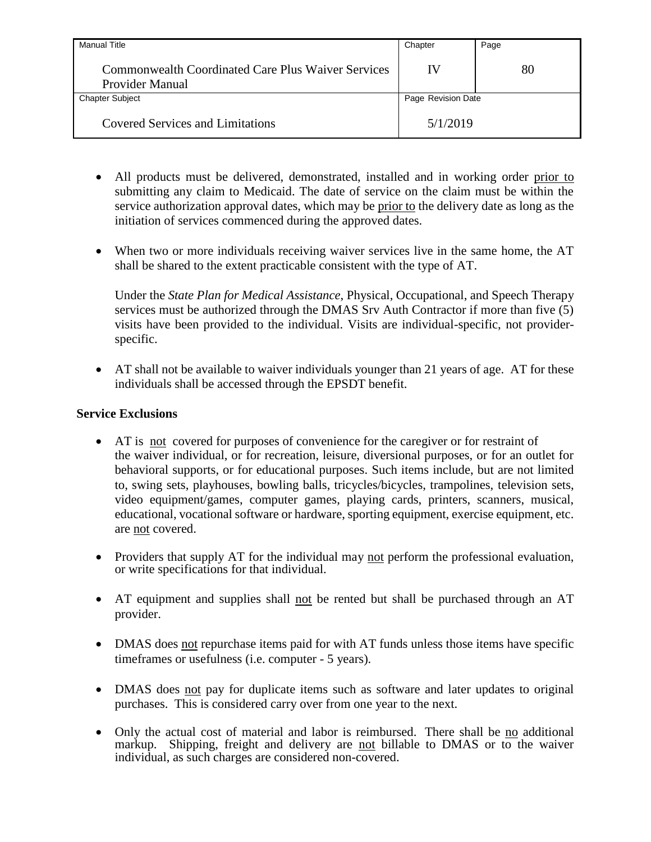| <b>Manual Title</b>                                                          | Chapter            | Page |
|------------------------------------------------------------------------------|--------------------|------|
| <b>Commonwealth Coordinated Care Plus Waiver Services</b><br>Provider Manual | IV                 | 80   |
| <b>Chapter Subject</b>                                                       | Page Revision Date |      |
| <b>Covered Services and Limitations</b>                                      | 5/1/2019           |      |

- All products must be delivered, demonstrated, installed and in working order prior to submitting any claim to Medicaid. The date of service on the claim must be within the service authorization approval dates, which may be prior to the delivery date as long as the initiation of services commenced during the approved dates.
- When two or more individuals receiving waiver services live in the same home, the AT shall be shared to the extent practicable consistent with the type of AT.

Under the *State Plan for Medical Assistance*, Physical, Occupational, and Speech Therapy services must be authorized through the DMAS Srv Auth Contractor if more than five (5) visits have been provided to the individual. Visits are individual-specific, not providerspecific.

 AT shall not be available to waiver individuals younger than 21 years of age. AT for these individuals shall be accessed through the EPSDT benefit.

#### **Service Exclusions**

- AT is not covered for purposes of convenience for the caregiver or for restraint of the waiver individual, or for recreation, leisure, diversional purposes, or for an outlet for behavioral supports, or for educational purposes. Such items include, but are not limited to, swing sets, playhouses, bowling balls, tricycles/bicycles, trampolines, television sets, video equipment/games, computer games, playing cards, printers, scanners, musical, educational, vocational software or hardware, sporting equipment, exercise equipment, etc. are not covered.
- Providers that supply AT for the individual may not perform the professional evaluation, or write specifications for that individual.
- AT equipment and supplies shall not be rented but shall be purchased through an AT provider.
- DMAS does not repurchase items paid for with AT funds unless those items have specific timeframes or usefulness (i.e. computer - 5 years).
- DMAS does not pay for duplicate items such as software and later updates to original purchases. This is considered carry over from one year to the next.
- Only the actual cost of material and labor is reimbursed. There shall be no additional markup. Shipping, freight and delivery are not billable to DMAS or to the waiver individual, as such charges are considered non-covered.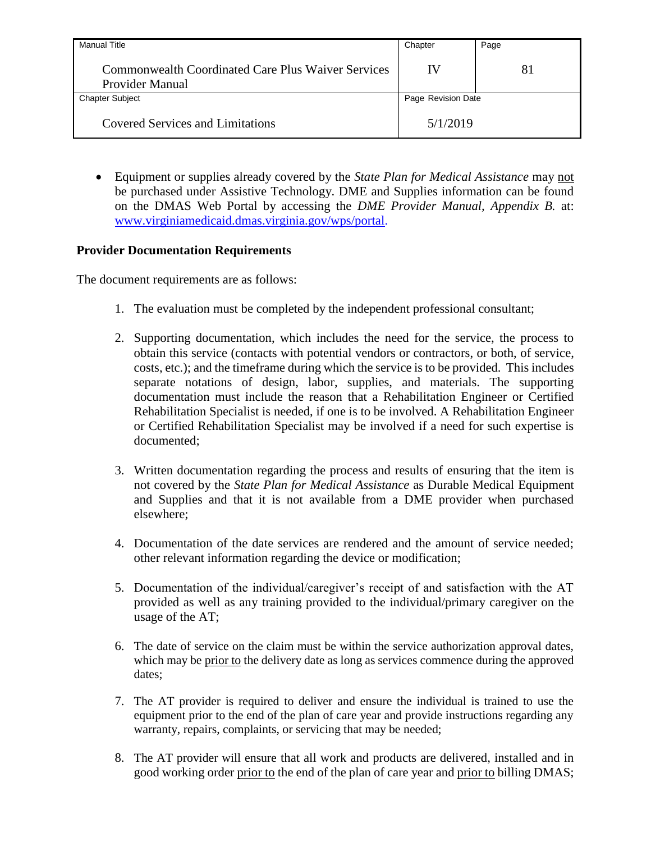| <b>Manual Title</b>                                                   | Chapter            | Page |
|-----------------------------------------------------------------------|--------------------|------|
| Commonwealth Coordinated Care Plus Waiver Services<br>Provider Manual | IV                 | 81   |
| <b>Chapter Subject</b>                                                | Page Revision Date |      |
| <b>Covered Services and Limitations</b>                               | 5/1/2019           |      |

 Equipment or supplies already covered by the *State Plan for Medical Assistance* may not be purchased under Assistive Technology. DME and Supplies information can be found on the DMAS Web Portal by accessing the *DME Provider Manual, Appendix B.* at: www.virginiamedicaid.dmas.virginia.gov/wps/portal.

### **Provider Documentation Requirements**

The document requirements are as follows:

- 1. The evaluation must be completed by the independent professional consultant;
- 2. Supporting documentation, which includes the need for the service, the process to obtain this service (contacts with potential vendors or contractors, or both, of service, costs, etc.); and the timeframe during which the service is to be provided. This includes separate notations of design, labor, supplies, and materials. The supporting documentation must include the reason that a Rehabilitation Engineer or Certified Rehabilitation Specialist is needed, if one is to be involved. A Rehabilitation Engineer or Certified Rehabilitation Specialist may be involved if a need for such expertise is documented;
- 3. Written documentation regarding the process and results of ensuring that the item is not covered by the *State Plan for Medical Assistance* as Durable Medical Equipment and Supplies and that it is not available from a DME provider when purchased elsewhere;
- 4. Documentation of the date services are rendered and the amount of service needed; other relevant information regarding the device or modification;
- 5. Documentation of the individual/caregiver's receipt of and satisfaction with the AT provided as well as any training provided to the individual/primary caregiver on the usage of the AT;
- 6. The date of service on the claim must be within the service authorization approval dates, which may be prior to the delivery date as long as services commence during the approved dates;
- 7. The AT provider is required to deliver and ensure the individual is trained to use the equipment prior to the end of the plan of care year and provide instructions regarding any warranty, repairs, complaints, or servicing that may be needed;
- 8. The AT provider will ensure that all work and products are delivered, installed and in good working order prior to the end of the plan of care year and prior to billing DMAS;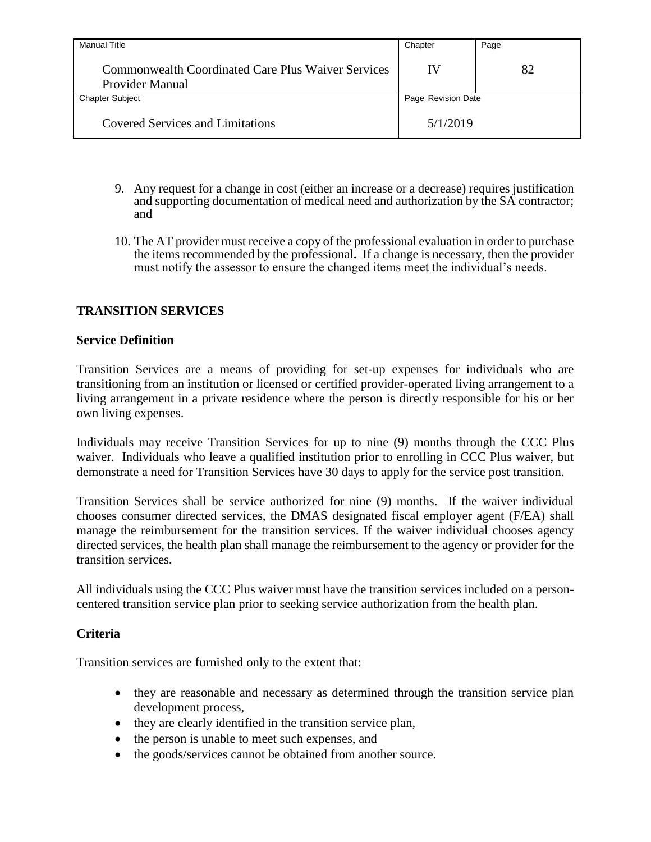| <b>Manual Title</b>                                                          | Chapter            | Page |
|------------------------------------------------------------------------------|--------------------|------|
| <b>Commonwealth Coordinated Care Plus Waiver Services</b><br>Provider Manual | IV                 | 82   |
| <b>Chapter Subject</b>                                                       | Page Revision Date |      |
| <b>Covered Services and Limitations</b>                                      | 5/1/2019           |      |

- 9. Any request for a change in cost (either an increase or a decrease) requires justification and supporting documentation of medical need and authorization by the SA contractor; and
- 10. The AT provider must receive a copy of the professional evaluation in order to purchase the items recommended by the professional**.** If a change is necessary, then the provider must notify the assessor to ensure the changed items meet the individual's needs.

## **TRANSITION SERVICES**

#### **Service Definition**

Transition Services are a means of providing for set-up expenses for individuals who are transitioning from an institution or licensed or certified provider-operated living arrangement to a living arrangement in a private residence where the person is directly responsible for his or her own living expenses.

Individuals may receive Transition Services for up to nine (9) months through the CCC Plus waiver. Individuals who leave a qualified institution prior to enrolling in CCC Plus waiver, but demonstrate a need for Transition Services have 30 days to apply for the service post transition.

Transition Services shall be service authorized for nine (9) months. If the waiver individual chooses consumer directed services, the DMAS designated fiscal employer agent (F/EA) shall manage the reimbursement for the transition services. If the waiver individual chooses agency directed services, the health plan shall manage the reimbursement to the agency or provider for the transition services.

All individuals using the CCC Plus waiver must have the transition services included on a personcentered transition service plan prior to seeking service authorization from the health plan.

#### **Criteria**

Transition services are furnished only to the extent that:

- they are reasonable and necessary as determined through the transition service plan development process,
- they are clearly identified in the transition service plan,
- the person is unable to meet such expenses, and
- the goods/services cannot be obtained from another source.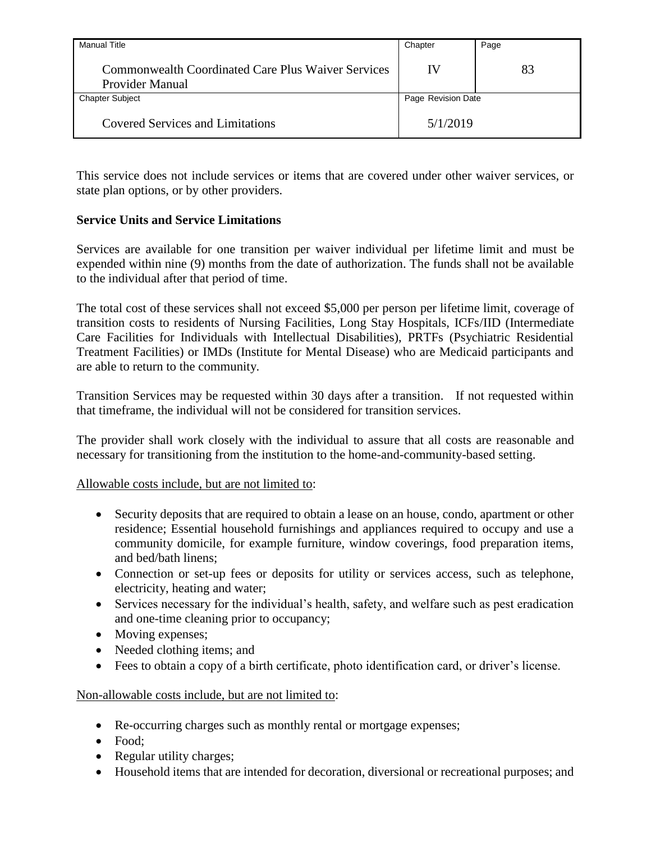| Manual Title                                                          | Chapter            | Page |
|-----------------------------------------------------------------------|--------------------|------|
| Commonwealth Coordinated Care Plus Waiver Services<br>Provider Manual | IV                 | 83   |
| <b>Chapter Subject</b>                                                | Page Revision Date |      |
| <b>Covered Services and Limitations</b>                               | 5/1/2019           |      |

This service does not include services or items that are covered under other waiver services, or state plan options, or by other providers.

## **Service Units and Service Limitations**

Services are available for one transition per waiver individual per lifetime limit and must be expended within nine (9) months from the date of authorization. The funds shall not be available to the individual after that period of time.

The total cost of these services shall not exceed \$5,000 per person per lifetime limit, coverage of transition costs to residents of Nursing Facilities, Long Stay Hospitals, ICFs/IID (Intermediate Care Facilities for Individuals with Intellectual Disabilities), PRTFs (Psychiatric Residential Treatment Facilities) or IMDs (Institute for Mental Disease) who are Medicaid participants and are able to return to the community.

Transition Services may be requested within 30 days after a transition. If not requested within that timeframe, the individual will not be considered for transition services.

The provider shall work closely with the individual to assure that all costs are reasonable and necessary for transitioning from the institution to the home-and-community-based setting.

### Allowable costs include, but are not limited to:

- Security deposits that are required to obtain a lease on an house, condo, apartment or other residence; Essential household furnishings and appliances required to occupy and use a community domicile, for example furniture, window coverings, food preparation items, and bed/bath linens;
- Connection or set-up fees or deposits for utility or services access, such as telephone, electricity, heating and water;
- Services necessary for the individual's health, safety, and welfare such as pest eradication and one-time cleaning prior to occupancy;
- Moving expenses;
- Needed clothing items; and
- Fees to obtain a copy of a birth certificate, photo identification card, or driver's license.

Non-allowable costs include, but are not limited to:

- Re-occurring charges such as monthly rental or mortgage expenses;
- Food:
- Regular utility charges;
- Household items that are intended for decoration, diversional or recreational purposes; and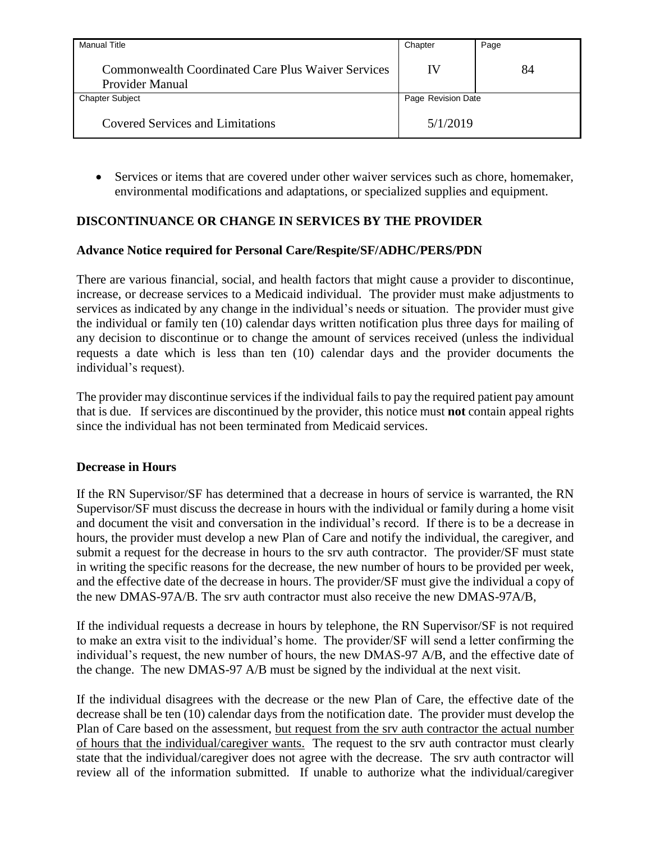| <b>Manual Title</b>                                                   | Chapter            | Page |
|-----------------------------------------------------------------------|--------------------|------|
| Commonwealth Coordinated Care Plus Waiver Services<br>Provider Manual | IV                 | 84   |
| <b>Chapter Subject</b>                                                | Page Revision Date |      |
| <b>Covered Services and Limitations</b>                               | 5/1/2019           |      |

 Services or items that are covered under other waiver services such as chore, homemaker, environmental modifications and adaptations, or specialized supplies and equipment.

## **DISCONTINUANCE OR CHANGE IN SERVICES BY THE PROVIDER**

### **Advance Notice required for Personal Care/Respite/SF/ADHC/PERS/PDN**

There are various financial, social, and health factors that might cause a provider to discontinue, increase, or decrease services to a Medicaid individual. The provider must make adjustments to services as indicated by any change in the individual's needs or situation. The provider must give the individual or family ten (10) calendar days written notification plus three days for mailing of any decision to discontinue or to change the amount of services received (unless the individual requests a date which is less than ten (10) calendar days and the provider documents the individual's request).

The provider may discontinue services if the individual fails to pay the required patient pay amount that is due. If services are discontinued by the provider, this notice must **not** contain appeal rights since the individual has not been terminated from Medicaid services.

#### **Decrease in Hours**

If the RN Supervisor/SF has determined that a decrease in hours of service is warranted, the RN Supervisor/SF must discuss the decrease in hours with the individual or family during a home visit and document the visit and conversation in the individual's record. If there is to be a decrease in hours, the provider must develop a new Plan of Care and notify the individual, the caregiver, and submit a request for the decrease in hours to the srv auth contractor. The provider/SF must state in writing the specific reasons for the decrease, the new number of hours to be provided per week, and the effective date of the decrease in hours. The provider/SF must give the individual a copy of the new DMAS-97A/B. The srv auth contractor must also receive the new DMAS-97A/B,

If the individual requests a decrease in hours by telephone, the RN Supervisor/SF is not required to make an extra visit to the individual's home. The provider/SF will send a letter confirming the individual's request, the new number of hours, the new DMAS-97 A/B, and the effective date of the change. The new DMAS-97 A/B must be signed by the individual at the next visit.

If the individual disagrees with the decrease or the new Plan of Care, the effective date of the decrease shall be ten (10) calendar days from the notification date. The provider must develop the Plan of Care based on the assessment, but request from the srv auth contractor the actual number of hours that the individual/caregiver wants. The request to the srv auth contractor must clearly state that the individual/caregiver does not agree with the decrease. The srv auth contractor will review all of the information submitted. If unable to authorize what the individual/caregiver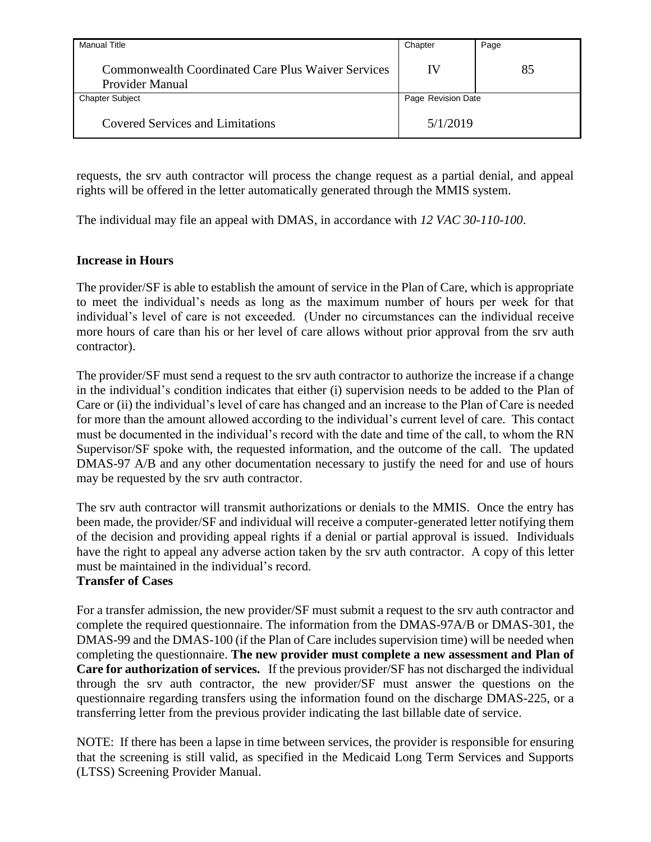| <b>Manual Title</b>                                                   | Chapter            | Page |
|-----------------------------------------------------------------------|--------------------|------|
| Commonwealth Coordinated Care Plus Waiver Services<br>Provider Manual | IV                 | 85   |
| <b>Chapter Subject</b>                                                | Page Revision Date |      |
| <b>Covered Services and Limitations</b>                               | 5/1/2019           |      |

requests, the srv auth contractor will process the change request as a partial denial, and appeal rights will be offered in the letter automatically generated through the MMIS system.

The individual may file an appeal with DMAS, in accordance with *12 VAC 30-110-100*.

### **Increase in Hours**

The provider/SF is able to establish the amount of service in the Plan of Care, which is appropriate to meet the individual's needs as long as the maximum number of hours per week for that individual's level of care is not exceeded. (Under no circumstances can the individual receive more hours of care than his or her level of care allows without prior approval from the srv auth contractor).

The provider/SF must send a request to the srv auth contractor to authorize the increase if a change in the individual's condition indicates that either (i) supervision needs to be added to the Plan of Care or (ii) the individual's level of care has changed and an increase to the Plan of Care is needed for more than the amount allowed according to the individual's current level of care. This contact must be documented in the individual's record with the date and time of the call, to whom the RN Supervisor/SF spoke with, the requested information, and the outcome of the call. The updated DMAS-97 A/B and any other documentation necessary to justify the need for and use of hours may be requested by the srv auth contractor.

The srv auth contractor will transmit authorizations or denials to the MMIS. Once the entry has been made, the provider/SF and individual will receive a computer-generated letter notifying them of the decision and providing appeal rights if a denial or partial approval is issued. Individuals have the right to appeal any adverse action taken by the srv auth contractor. A copy of this letter must be maintained in the individual's record.

#### **Transfer of Cases**

For a transfer admission, the new provider/SF must submit a request to the srv auth contractor and complete the required questionnaire. The information from the DMAS-97A/B or DMAS-301, the DMAS-99 and the DMAS-100 (if the Plan of Care includes supervision time) will be needed when completing the questionnaire. **The new provider must complete a new assessment and Plan of Care for authorization of services.** If the previous provider/SF has not discharged the individual through the srv auth contractor, the new provider/SF must answer the questions on the questionnaire regarding transfers using the information found on the discharge DMAS-225, or a transferring letter from the previous provider indicating the last billable date of service.

NOTE: If there has been a lapse in time between services, the provider is responsible for ensuring that the screening is still valid, as specified in the Medicaid Long Term Services and Supports (LTSS) Screening Provider Manual.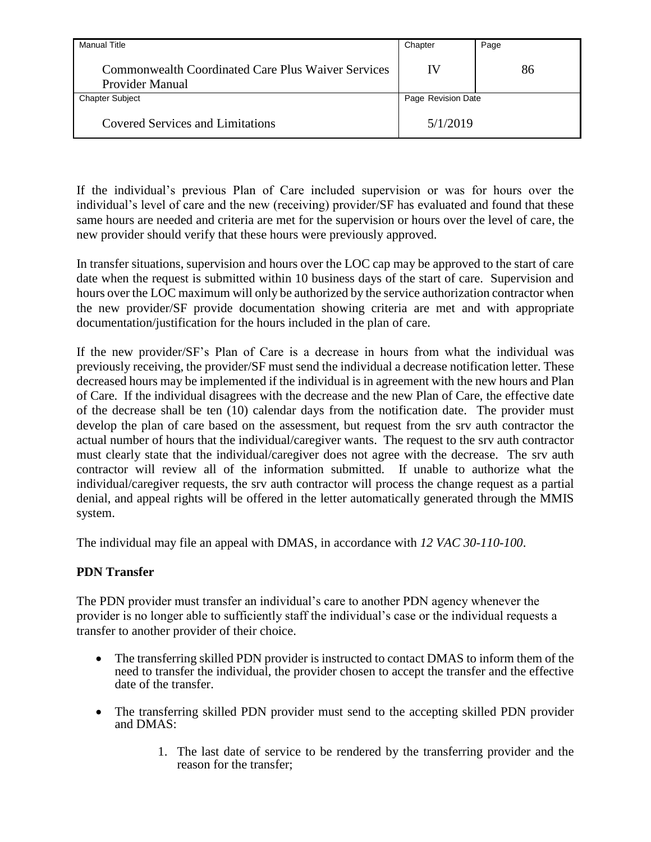| <b>Manual Title</b>                                                          | Chapter            | Page |
|------------------------------------------------------------------------------|--------------------|------|
| <b>Commonwealth Coordinated Care Plus Waiver Services</b><br>Provider Manual | IV                 | 86   |
| <b>Chapter Subject</b>                                                       | Page Revision Date |      |
| <b>Covered Services and Limitations</b>                                      | 5/1/2019           |      |

If the individual's previous Plan of Care included supervision or was for hours over the individual's level of care and the new (receiving) provider/SF has evaluated and found that these same hours are needed and criteria are met for the supervision or hours over the level of care, the new provider should verify that these hours were previously approved.

In transfer situations, supervision and hours over the LOC cap may be approved to the start of care date when the request is submitted within 10 business days of the start of care. Supervision and hours over the LOC maximum will only be authorized by the service authorization contractor when the new provider/SF provide documentation showing criteria are met and with appropriate documentation/justification for the hours included in the plan of care.

If the new provider/SF's Plan of Care is a decrease in hours from what the individual was previously receiving, the provider/SF must send the individual a decrease notification letter. These decreased hours may be implemented if the individual is in agreement with the new hours and Plan of Care. If the individual disagrees with the decrease and the new Plan of Care, the effective date of the decrease shall be ten (10) calendar days from the notification date. The provider must develop the plan of care based on the assessment, but request from the srv auth contractor the actual number of hours that the individual/caregiver wants. The request to the srv auth contractor must clearly state that the individual/caregiver does not agree with the decrease. The srv auth contractor will review all of the information submitted. If unable to authorize what the individual/caregiver requests, the srv auth contractor will process the change request as a partial denial, and appeal rights will be offered in the letter automatically generated through the MMIS system.

The individual may file an appeal with DMAS, in accordance with *12 VAC 30-110-100*.

### **PDN Transfer**

The PDN provider must transfer an individual's care to another PDN agency whenever the provider is no longer able to sufficiently staff the individual's case or the individual requests a transfer to another provider of their choice.

- The transferring skilled PDN provider is instructed to contact DMAS to inform them of the need to transfer the individual, the provider chosen to accept the transfer and the effective date of the transfer.
- The transferring skilled PDN provider must send to the accepting skilled PDN provider and DMAS:
	- 1. The last date of service to be rendered by the transferring provider and the reason for the transfer;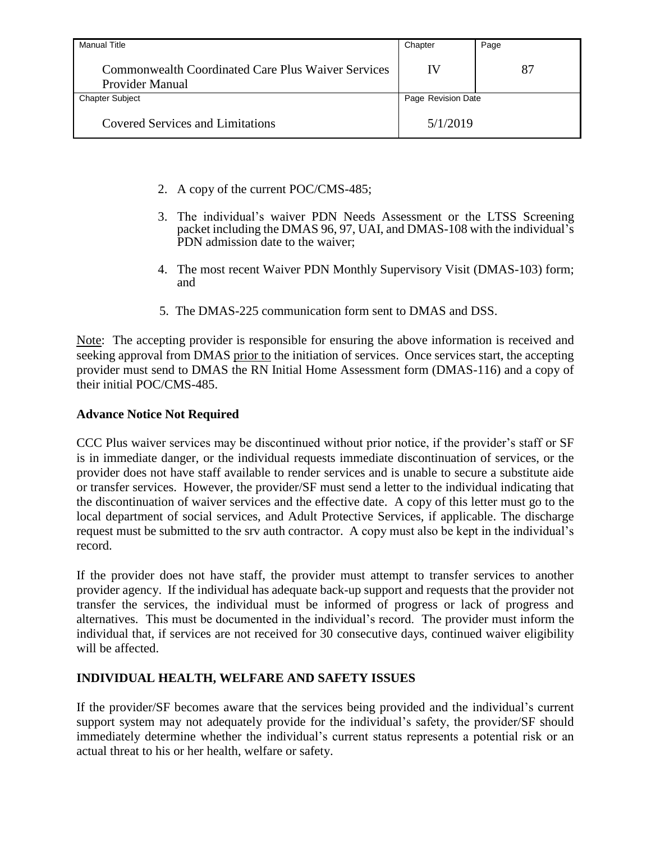| <b>Manual Title</b>                                                          | Chapter            | Page |
|------------------------------------------------------------------------------|--------------------|------|
| <b>Commonwealth Coordinated Care Plus Waiver Services</b><br>Provider Manual | IV                 | 87   |
| <b>Chapter Subject</b>                                                       | Page Revision Date |      |
| <b>Covered Services and Limitations</b>                                      | 5/1/2019           |      |

- 2. A copy of the current POC/CMS-485;
- 3. The individual's waiver PDN Needs Assessment or the LTSS Screening packet including the DMAS 96, 97, UAI, and DMAS-108 with the individual's PDN admission date to the waiver:
- 4. The most recent Waiver PDN Monthly Supervisory Visit (DMAS-103) form; and
- 5. The DMAS-225 communication form sent to DMAS and DSS.

Note: The accepting provider is responsible for ensuring the above information is received and seeking approval from DMAS prior to the initiation of services. Once services start, the accepting provider must send to DMAS the RN Initial Home Assessment form (DMAS-116) and a copy of their initial POC/CMS-485.

## **Advance Notice Not Required**

CCC Plus waiver services may be discontinued without prior notice, if the provider's staff or SF is in immediate danger, or the individual requests immediate discontinuation of services, or the provider does not have staff available to render services and is unable to secure a substitute aide or transfer services. However, the provider/SF must send a letter to the individual indicating that the discontinuation of waiver services and the effective date. A copy of this letter must go to the local department of social services, and Adult Protective Services, if applicable. The discharge request must be submitted to the srv auth contractor. A copy must also be kept in the individual's record.

If the provider does not have staff, the provider must attempt to transfer services to another provider agency. If the individual has adequate back-up support and requests that the provider not transfer the services, the individual must be informed of progress or lack of progress and alternatives. This must be documented in the individual's record. The provider must inform the individual that, if services are not received for 30 consecutive days, continued waiver eligibility will be affected.

# **INDIVIDUAL HEALTH, WELFARE AND SAFETY ISSUES**

If the provider/SF becomes aware that the services being provided and the individual's current support system may not adequately provide for the individual's safety, the provider/SF should immediately determine whether the individual's current status represents a potential risk or an actual threat to his or her health, welfare or safety.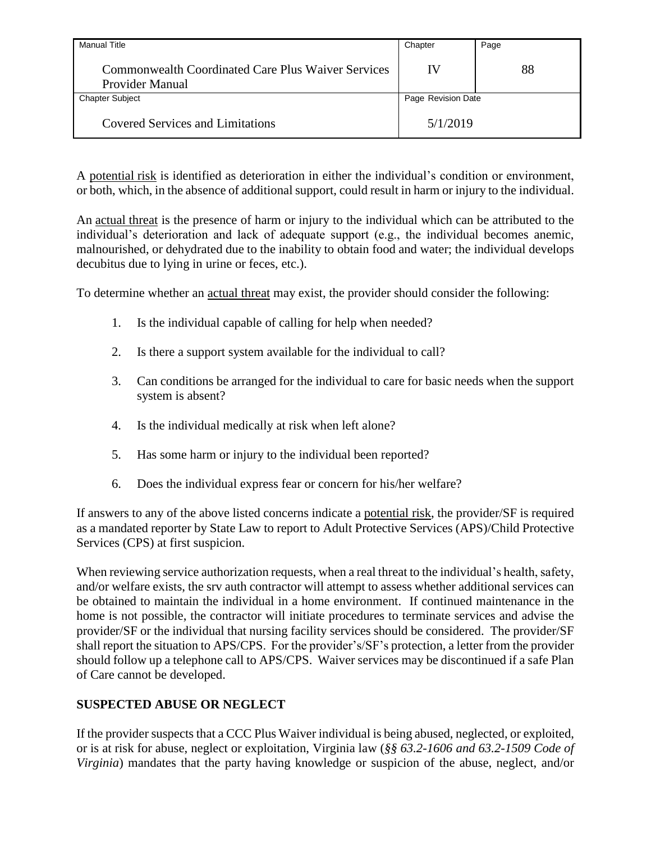| Manual Title                                                                 | Chapter            | Page |
|------------------------------------------------------------------------------|--------------------|------|
| <b>Commonwealth Coordinated Care Plus Waiver Services</b><br>Provider Manual | IV                 | 88   |
| <b>Chapter Subject</b>                                                       | Page Revision Date |      |
| Covered Services and Limitations                                             | 5/1/2019           |      |

A potential risk is identified as deterioration in either the individual's condition or environment, or both, which, in the absence of additional support, could result in harm or injury to the individual.

An actual threat is the presence of harm or injury to the individual which can be attributed to the individual's deterioration and lack of adequate support (e.g., the individual becomes anemic, malnourished, or dehydrated due to the inability to obtain food and water; the individual develops decubitus due to lying in urine or feces, etc.).

To determine whether an actual threat may exist, the provider should consider the following:

- 1. Is the individual capable of calling for help when needed?
- 2. Is there a support system available for the individual to call?
- 3. Can conditions be arranged for the individual to care for basic needs when the support system is absent?
- 4. Is the individual medically at risk when left alone?
- 5. Has some harm or injury to the individual been reported?
- 6. Does the individual express fear or concern for his/her welfare?

If answers to any of the above listed concerns indicate a potential risk, the provider/SF is required as a mandated reporter by State Law to report to Adult Protective Services (APS)/Child Protective Services (CPS) at first suspicion.

When reviewing service authorization requests, when a real threat to the individual's health, safety, and/or welfare exists, the srv auth contractor will attempt to assess whether additional services can be obtained to maintain the individual in a home environment. If continued maintenance in the home is not possible, the contractor will initiate procedures to terminate services and advise the provider/SF or the individual that nursing facility services should be considered. The provider/SF shall report the situation to APS/CPS. For the provider's/SF's protection, a letter from the provider should follow up a telephone call to APS/CPS. Waiver services may be discontinued if a safe Plan of Care cannot be developed.

# **SUSPECTED ABUSE OR NEGLECT**

If the provider suspects that a CCC Plus Waiver individual is being abused, neglected, or exploited, or is at risk for abuse, neglect or exploitation, Virginia law (*§§ 63.2-1606 and 63.2-1509 Code of Virginia*) mandates that the party having knowledge or suspicion of the abuse, neglect, and/or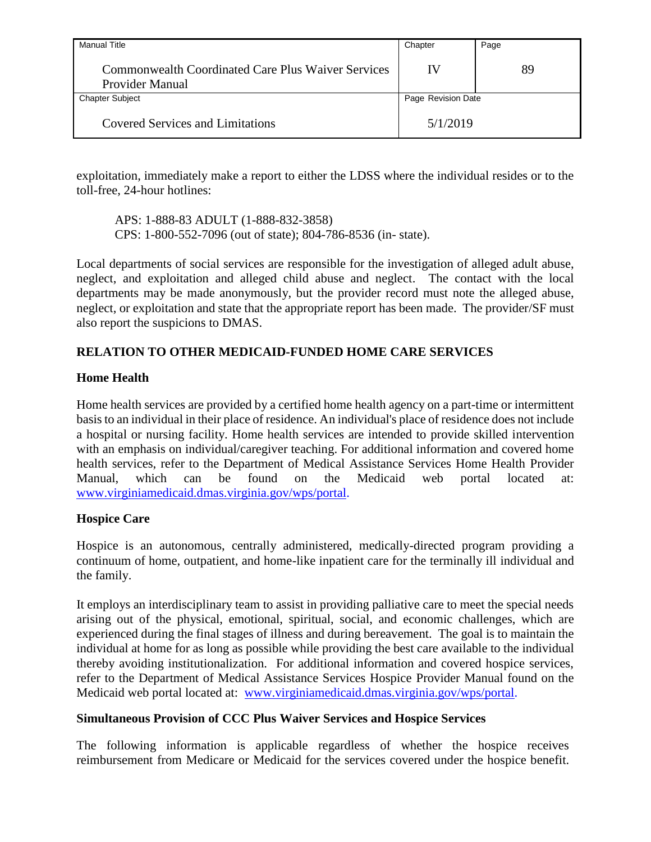| Manual Title                                                          | Chapter            | Page |
|-----------------------------------------------------------------------|--------------------|------|
| Commonwealth Coordinated Care Plus Waiver Services<br>Provider Manual | IV                 | 89   |
| <b>Chapter Subject</b>                                                | Page Revision Date |      |
| <b>Covered Services and Limitations</b>                               | 5/1/2019           |      |

exploitation, immediately make a report to either the LDSS where the individual resides or to the toll-free, 24-hour hotlines:

APS: 1-888-83 ADULT (1-888-832-3858) CPS: 1-800-552-7096 (out of state); 804-786-8536 (in- state).

Local departments of social services are responsible for the investigation of alleged adult abuse, neglect, and exploitation and alleged child abuse and neglect. The contact with the local departments may be made anonymously, but the provider record must note the alleged abuse, neglect, or exploitation and state that the appropriate report has been made. The provider/SF must also report the suspicions to DMAS.

# **RELATION TO OTHER MEDICAID-FUNDED HOME CARE SERVICES**

### **Home Health**

Home health services are provided by a certified home health agency on a part-time or intermittent basis to an individual in their place of residence. An individual's place of residence does not include a hospital or nursing facility. Home health services are intended to provide skilled intervention with an emphasis on individual/caregiver teaching. For additional information and covered home health services, refer to the Department of Medical Assistance Services Home Health Provider Manual, which can be found on the Medicaid web portal located at: [www.virginiamedicaid.dmas.virginia.gov/wps/portal.](http://www.virginiamedicaid.dmas.virginia.gov/wps/portal)

### **Hospice Care**

Hospice is an autonomous, centrally administered, medically-directed program providing a continuum of home, outpatient, and home-like inpatient care for the terminally ill individual and the family.

It employs an interdisciplinary team to assist in providing palliative care to meet the special needs arising out of the physical, emotional, spiritual, social, and economic challenges, which are experienced during the final stages of illness and during bereavement. The goal is to maintain the individual at home for as long as possible while providing the best care available to the individual thereby avoiding institutionalization. For additional information and covered hospice services, refer to the Department of Medical Assistance Services Hospice Provider Manual found on the Medicaid web portal located at: www.virginiamedicaid.dmas.virginia.gov/wps/portal.

### **Simultaneous Provision of CCC Plus Waiver Services and Hospice Services**

The following information is applicable regardless of whether the hospice receives reimbursement from Medicare or Medicaid for the services covered under the hospice benefit.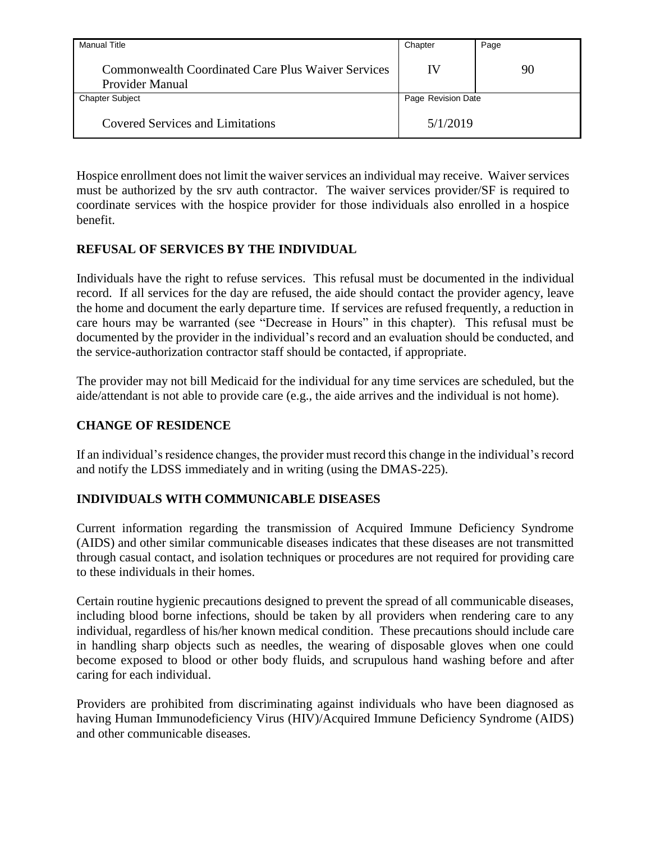| Manual Title                                                          | Chapter            | Page |
|-----------------------------------------------------------------------|--------------------|------|
| Commonwealth Coordinated Care Plus Waiver Services<br>Provider Manual | IV                 | 90   |
| <b>Chapter Subject</b>                                                | Page Revision Date |      |
| <b>Covered Services and Limitations</b>                               | 5/1/2019           |      |

Hospice enrollment does not limit the waiver services an individual may receive. Waiver services must be authorized by the srv auth contractor. The waiver services provider/SF is required to coordinate services with the hospice provider for those individuals also enrolled in a hospice benefit.

### **REFUSAL OF SERVICES BY THE INDIVIDUAL**

Individuals have the right to refuse services. This refusal must be documented in the individual record. If all services for the day are refused, the aide should contact the provider agency, leave the home and document the early departure time. If services are refused frequently, a reduction in care hours may be warranted (see "Decrease in Hours" in this chapter). This refusal must be documented by the provider in the individual's record and an evaluation should be conducted, and the service-authorization contractor staff should be contacted, if appropriate.

The provider may not bill Medicaid for the individual for any time services are scheduled, but the aide/attendant is not able to provide care (e.g., the aide arrives and the individual is not home).

### **CHANGE OF RESIDENCE**

If an individual's residence changes, the provider must record this change in the individual's record and notify the LDSS immediately and in writing (using the DMAS-225).

### **INDIVIDUALS WITH COMMUNICABLE DISEASES**

Current information regarding the transmission of Acquired Immune Deficiency Syndrome (AIDS) and other similar communicable diseases indicates that these diseases are not transmitted through casual contact, and isolation techniques or procedures are not required for providing care to these individuals in their homes.

Certain routine hygienic precautions designed to prevent the spread of all communicable diseases, including blood borne infections, should be taken by all providers when rendering care to any individual, regardless of his/her known medical condition. These precautions should include care in handling sharp objects such as needles, the wearing of disposable gloves when one could become exposed to blood or other body fluids, and scrupulous hand washing before and after caring for each individual.

Providers are prohibited from discriminating against individuals who have been diagnosed as having Human Immunodeficiency Virus (HIV)/Acquired Immune Deficiency Syndrome (AIDS) and other communicable diseases.